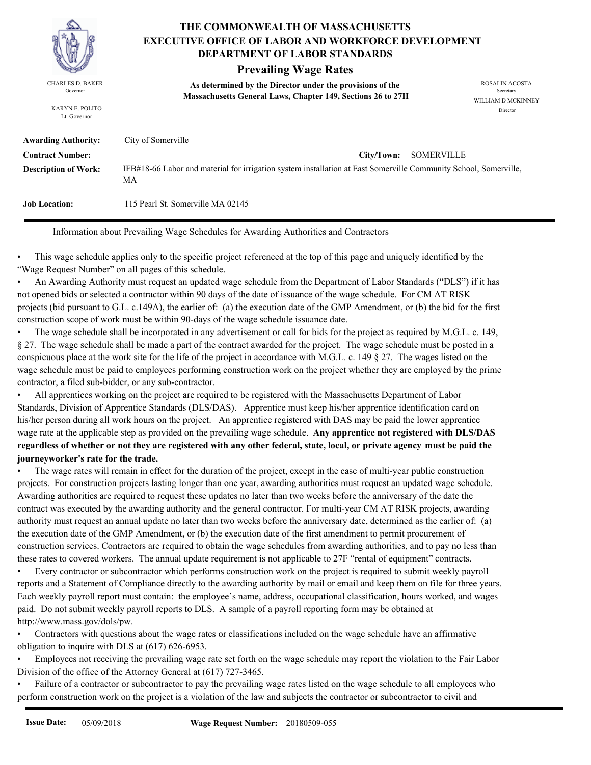

KARYN E. POLITO Lt. Governor

# **THE COMMONWEALTH OF MASSACHUSETTS DEPARTMENT OF LABOR STANDARDS EXECUTIVE OFFICE OF LABOR AND WORKFORCE DEVELOPMENT**

# **Prevailing Wage Rates**

**As determined by the Director under the provisions of the**  CHARLES D. BAKER ROSALIN ACOSTA Governor<br> **Massachusetts General Laws, Chapter 149, Sections 26 to 27H** 

WILLIAM D MCKINNEY Director

| <b>Awarding Authority:</b>  | City of Somerville                                                                                                     |
|-----------------------------|------------------------------------------------------------------------------------------------------------------------|
| <b>Contract Number:</b>     | City/Town: SOMERVILLE                                                                                                  |
| <b>Description of Work:</b> | IFB#18-66 Labor and material for irrigation system installation at East Somerville Community School, Somerville,<br>МA |
| <b>Job Location:</b>        | 115 Pearl St. Somerville MA 02145                                                                                      |

Information about Prevailing Wage Schedules for Awarding Authorities and Contractors

• This wage schedule applies only to the specific project referenced at the top of this page and uniquely identified by the "Wage Request Number" on all pages of this schedule.<br>• An Awarding Authority must request an updated wage schedule from the Department of Labor Standards ("DLS") if it has

not opened bids or selected a contractor within 90 days of the date of issuance of the wage schedule. For CM AT RISK projects (bid pursuant to G.L. c.149A), the earlier of: (a) the execution date of the GMP Amendment, or (b) the bid for the first construction scope of work must be within 90-days of the wage schedule issuance date.

• The wage schedule shall be incorporated in any advertisement or call for bids for the project as required by M.G.L. c. 149, § 27. The wage schedule shall be made a part of the contract awarded for the project. The wage schedule must be posted in a conspicuous place at the work site for the life of the project in accordance with M.G.L. c. 149 § 27. The wages listed on the wage schedule must be paid to employees performing construction work on the project whether they are employed by the prime

contractor, a filed sub-bidder, or any sub-contractor. • All apprentices working on the project are required to be registered with the Massachusetts Department of Labor Standards, Division of Apprentice Standards (DLS/DAS). Apprentice must keep his/her apprentice identification card on his/her person during all work hours on the project. An apprentice registered with DAS may be paid the lower apprentice wage rate at the applicable step as provided on the prevailing wage schedule. **Any apprentice not registered with DLS/DAS regardless of whether or not they are registered with any other federal, state, local, or private agency must be paid the journeyworker's rate for the trade.**

• The wage rates will remain in effect for the duration of the project, except in the case of multi-year public construction projects. For construction projects lasting longer than one year, awarding authorities must request an updated wage schedule. Awarding authorities are required to request these updates no later than two weeks before the anniversary of the date the contract was executed by the awarding authority and the general contractor. For multi-year CM AT RISK projects, awarding authority must request an annual update no later than two weeks before the anniversary date, determined as the earlier of: (a) the execution date of the GMP Amendment, or (b) the execution date of the first amendment to permit procurement of construction services. Contractors are required to obtain the wage schedules from awarding authorities, and to pay no less than these rates to covered workers. The annual update requirement is not applicable to 27F "rental of equipment" contracts.<br>• Every contractor or subcontractor which performs construction work on the project is required to sub

reports and a Statement of Compliance directly to the awarding authority by mail or email and keep them on file for three years. Each weekly payroll report must contain: the employee's name, address, occupational classification, hours worked, and wages paid. Do not submit weekly payroll reports to DLS. A sample of a payroll reporting form may be obtained at http://www.mass.gov/dols/pw.<br>• Contractors with questions about the wage rates or classifications included on the wage schedule have an affirmative

obligation to inquire with DLS at (617) 626-6953. • Employees not receiving the prevailing wage rate set forth on the wage schedule may report the violation to the Fair Labor Division of the office of the Attorney General at (617) 727-3465.

• Failure of a contractor or subcontractor to pay the prevailing wage rates listed on the wage schedule to all employees who perform construction work on the project is a violation of the law and subjects the contractor or subcontractor to civil and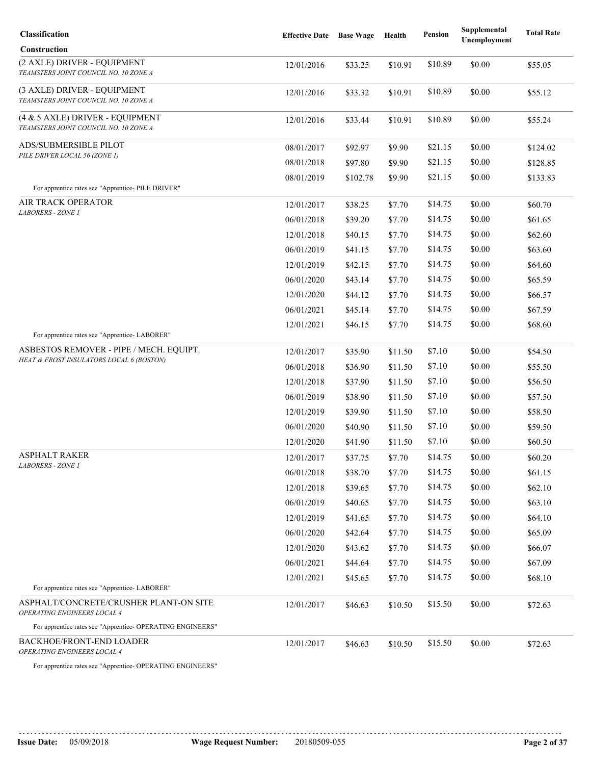| Classification                                                           | <b>Effective Date</b> | <b>Base Wage</b> | Health  | Pension | Supplemental<br><b>Unemployment</b> | <b>Total Rate</b> |
|--------------------------------------------------------------------------|-----------------------|------------------|---------|---------|-------------------------------------|-------------------|
| Construction                                                             |                       |                  |         |         |                                     |                   |
| (2 AXLE) DRIVER - EQUIPMENT<br>TEAMSTERS JOINT COUNCIL NO. 10 ZONE A     | 12/01/2016            | \$33.25          | \$10.91 | \$10.89 | \$0.00                              | \$55.05           |
| (3 AXLE) DRIVER - EQUIPMENT<br>TEAMSTERS JOINT COUNCIL NO. 10 ZONE A     | 12/01/2016            | \$33.32          | \$10.91 | \$10.89 | \$0.00                              | \$55.12           |
| (4 & 5 AXLE) DRIVER - EQUIPMENT<br>TEAMSTERS JOINT COUNCIL NO. 10 ZONE A | 12/01/2016            | \$33.44          | \$10.91 | \$10.89 | \$0.00                              | \$55.24           |
| ADS/SUBMERSIBLE PILOT                                                    | 08/01/2017            | \$92.97          | \$9.90  | \$21.15 | \$0.00                              | \$124.02          |
| PILE DRIVER LOCAL 56 (ZONE 1)                                            | 08/01/2018            | \$97.80          | \$9.90  | \$21.15 | \$0.00                              | \$128.85          |
| For apprentice rates see "Apprentice- PILE DRIVER"                       | 08/01/2019            | \$102.78         | \$9.90  | \$21.15 | \$0.00                              | \$133.83          |
| AIR TRACK OPERATOR                                                       | 12/01/2017            | \$38.25          | \$7.70  | \$14.75 | \$0.00                              | \$60.70           |
| <b>LABORERS - ZONE 1</b>                                                 | 06/01/2018            | \$39.20          | \$7.70  | \$14.75 | \$0.00                              | \$61.65           |
|                                                                          | 12/01/2018            | \$40.15          | \$7.70  | \$14.75 | \$0.00                              | \$62.60           |
|                                                                          | 06/01/2019            | \$41.15          | \$7.70  | \$14.75 | \$0.00                              | \$63.60           |
|                                                                          | 12/01/2019            | \$42.15          | \$7.70  | \$14.75 | \$0.00                              | \$64.60           |
|                                                                          | 06/01/2020            | \$43.14          | \$7.70  | \$14.75 | \$0.00                              | \$65.59           |
|                                                                          | 12/01/2020            | \$44.12          | \$7.70  | \$14.75 | \$0.00                              | \$66.57           |
|                                                                          | 06/01/2021            | \$45.14          | \$7.70  | \$14.75 | \$0.00                              | \$67.59           |
| For apprentice rates see "Apprentice-LABORER"                            | 12/01/2021            | \$46.15          | \$7.70  | \$14.75 | \$0.00                              | \$68.60           |
| ASBESTOS REMOVER - PIPE / MECH. EQUIPT.                                  | 12/01/2017            | \$35.90          | \$11.50 | \$7.10  | \$0.00                              | \$54.50           |
| HEAT & FROST INSULATORS LOCAL 6 (BOSTON)                                 | 06/01/2018            | \$36.90          | \$11.50 | \$7.10  | \$0.00                              | \$55.50           |
|                                                                          | 12/01/2018            | \$37.90          | \$11.50 | \$7.10  | \$0.00                              | \$56.50           |
|                                                                          | 06/01/2019            | \$38.90          | \$11.50 | \$7.10  | \$0.00                              | \$57.50           |
|                                                                          | 12/01/2019            | \$39.90          | \$11.50 | \$7.10  | \$0.00                              | \$58.50           |
|                                                                          | 06/01/2020            | \$40.90          | \$11.50 | \$7.10  | \$0.00                              | \$59.50           |
|                                                                          | 12/01/2020            | \$41.90          | \$11.50 | \$7.10  | \$0.00                              | \$60.50           |
| ASPHALT RAKER                                                            | 12/01/2017            | \$37.75          | \$7.70  | \$14.75 | \$0.00                              | \$60.20           |
| <i>LABORERS - ZONE 1</i>                                                 | 06/01/2018            | \$38.70          | \$7.70  | \$14.75 | \$0.00                              | \$61.15           |
|                                                                          | 12/01/2018            | \$39.65          | \$7.70  | \$14.75 | \$0.00                              | \$62.10           |
|                                                                          | 06/01/2019            | \$40.65          | \$7.70  | \$14.75 | \$0.00                              | \$63.10           |
|                                                                          | 12/01/2019            | \$41.65          | \$7.70  | \$14.75 | \$0.00                              | \$64.10           |
|                                                                          | 06/01/2020            | \$42.64          | \$7.70  | \$14.75 | \$0.00                              | \$65.09           |
|                                                                          | 12/01/2020            | \$43.62          | \$7.70  | \$14.75 | \$0.00                              | \$66.07           |
|                                                                          | 06/01/2021            | \$44.64          | \$7.70  | \$14.75 | \$0.00                              | \$67.09           |
|                                                                          | 12/01/2021            | \$45.65          | \$7.70  | \$14.75 | \$0.00                              | \$68.10           |
| For apprentice rates see "Apprentice-LABORER"                            |                       |                  |         |         |                                     |                   |
| ASPHALT/CONCRETE/CRUSHER PLANT-ON SITE<br>OPERATING ENGINEERS LOCAL 4    | 12/01/2017            | \$46.63          | \$10.50 | \$15.50 | \$0.00                              | \$72.63           |
| For apprentice rates see "Apprentice- OPERATING ENGINEERS"               |                       |                  |         |         |                                     |                   |
| <b>BACKHOE/FRONT-END LOADER</b><br>OPERATING ENGINEERS LOCAL 4           | 12/01/2017            | \$46.63          | \$10.50 | \$15.50 | \$0.00                              | \$72.63           |
|                                                                          |                       |                  |         |         |                                     |                   |

For apprentice rates see "Apprentice- OPERATING ENGINEERS"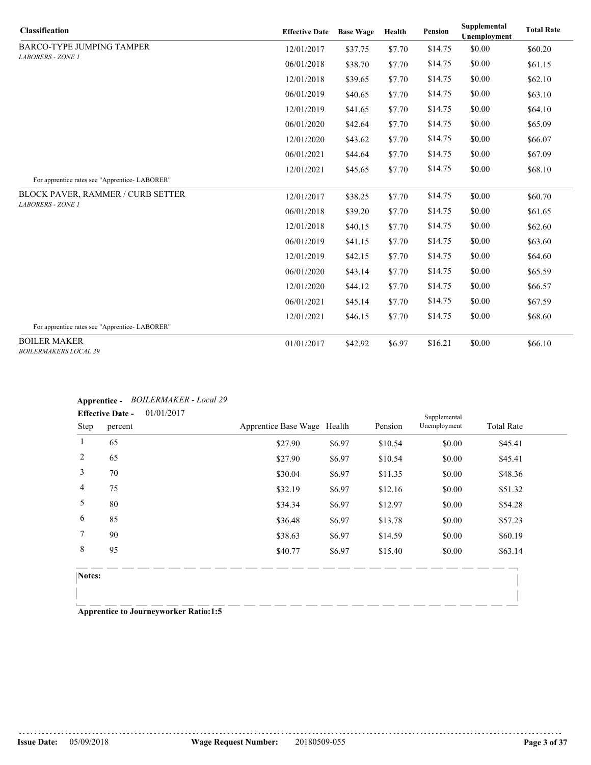| <b>Classification</b>                               | <b>Effective Date</b> | <b>Base Wage</b> | Health | <b>Pension</b> | Supplemental<br>Unemployment | <b>Total Rate</b> |
|-----------------------------------------------------|-----------------------|------------------|--------|----------------|------------------------------|-------------------|
| <b>BARCO-TYPE JUMPING TAMPER</b>                    | 12/01/2017            | \$37.75          | \$7.70 | \$14.75        | \$0.00                       | \$60.20           |
| <b>LABORERS - ZONE 1</b>                            | 06/01/2018            | \$38.70          | \$7.70 | \$14.75        | \$0.00                       | \$61.15           |
|                                                     | 12/01/2018            | \$39.65          | \$7.70 | \$14.75        | \$0.00                       | \$62.10           |
|                                                     | 06/01/2019            | \$40.65          | \$7.70 | \$14.75        | \$0.00                       | \$63.10           |
|                                                     | 12/01/2019            | \$41.65          | \$7.70 | \$14.75        | \$0.00                       | \$64.10           |
|                                                     | 06/01/2020            | \$42.64          | \$7.70 | \$14.75        | \$0.00                       | \$65.09           |
|                                                     | 12/01/2020            | \$43.62          | \$7.70 | \$14.75        | \$0.00                       | \$66.07           |
|                                                     | 06/01/2021            | \$44.64          | \$7.70 | \$14.75        | \$0.00                       | \$67.09           |
| For apprentice rates see "Apprentice-LABORER"       | 12/01/2021            | \$45.65          | \$7.70 | \$14.75        | \$0.00                       | \$68.10           |
| BLOCK PAVER, RAMMER / CURB SETTER                   | 12/01/2017            | \$38.25          | \$7.70 | \$14.75        | \$0.00                       | \$60.70           |
| <b>LABORERS - ZONE 1</b>                            | 06/01/2018            | \$39.20          | \$7.70 | \$14.75        | \$0.00                       | \$61.65           |
|                                                     | 12/01/2018            | \$40.15          | \$7.70 | \$14.75        | \$0.00                       | \$62.60           |
|                                                     | 06/01/2019            | \$41.15          | \$7.70 | \$14.75        | \$0.00                       | \$63.60           |
|                                                     | 12/01/2019            | \$42.15          | \$7.70 | \$14.75        | \$0.00                       | \$64.60           |
|                                                     | 06/01/2020            | \$43.14          | \$7.70 | \$14.75        | \$0.00                       | \$65.59           |
|                                                     | 12/01/2020            | \$44.12          | \$7.70 | \$14.75        | \$0.00                       | \$66.57           |
|                                                     | 06/01/2021            | \$45.14          | \$7.70 | \$14.75        | \$0.00                       | \$67.59           |
|                                                     | 12/01/2021            | \$46.15          | \$7.70 | \$14.75        | \$0.00                       | \$68.60           |
| For apprentice rates see "Apprentice-LABORER"       |                       |                  |        |                |                              |                   |
| <b>BOILER MAKER</b><br><b>BOILERMAKERS LOCAL 29</b> | 01/01/2017            | \$42.92          | \$6.97 | \$16.21        | \$0.00                       | \$66.10           |

# **Apprentice -** *BOILERMAKER - Local 29*

|                | <b>Effective Date -</b> | 01/01/2017                  |        |         | Supplemental |                   |  |
|----------------|-------------------------|-----------------------------|--------|---------|--------------|-------------------|--|
| Step           | percent                 | Apprentice Base Wage Health |        | Pension | Unemployment | <b>Total Rate</b> |  |
| -1             | 65                      | \$27.90                     | \$6.97 | \$10.54 | \$0.00       | \$45.41           |  |
| 2              | 65                      | \$27.90                     | \$6.97 | \$10.54 | \$0.00       | \$45.41           |  |
| $\overline{3}$ | 70                      | \$30.04                     | \$6.97 | \$11.35 | \$0.00       | \$48.36           |  |
| $\overline{4}$ | 75                      | \$32.19                     | \$6.97 | \$12.16 | \$0.00       | \$51.32           |  |
| 5              | 80                      | \$34.34                     | \$6.97 | \$12.97 | \$0.00       | \$54.28           |  |
| 6              | 85                      | \$36.48                     | \$6.97 | \$13.78 | \$0.00       | \$57.23           |  |
| $\tau$         | 90                      | \$38.63                     | \$6.97 | \$14.59 | \$0.00       | \$60.19           |  |
| 8              | 95                      | \$40.77                     | \$6.97 | \$15.40 | \$0.00       | \$63.14           |  |
|                |                         |                             |        |         |              |                   |  |

**Notes:**

**Apprentice to Journeyworker Ratio:1:5**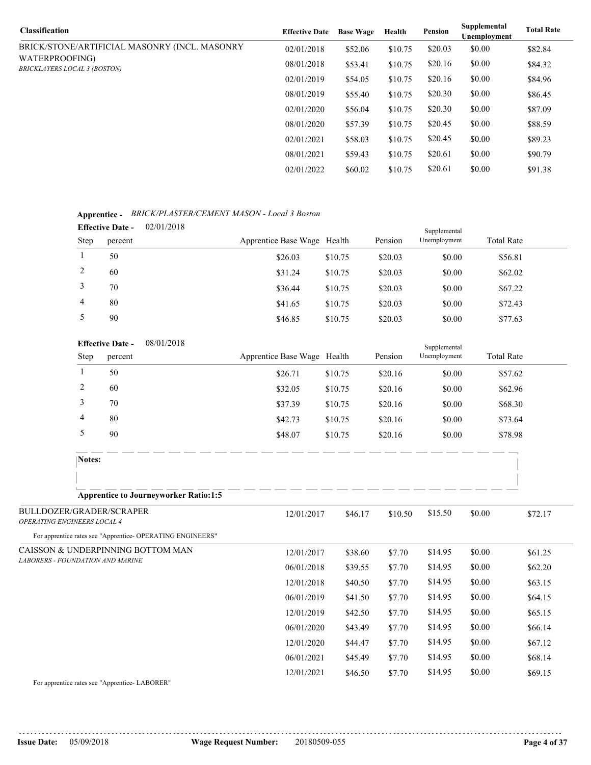| <b>Classification</b>                                 | <b>Effective Date</b> | <b>Base Wage</b> | Health  | Pension | Supplemental<br><b>Unemployment</b> | <b>Total Rate</b> |
|-------------------------------------------------------|-----------------------|------------------|---------|---------|-------------------------------------|-------------------|
| BRICK/STONE/ARTIFICIAL MASONRY (INCL. MASONRY         | 02/01/2018            | \$52.06          | \$10.75 | \$20.03 | \$0.00                              | \$82.84           |
| WATERPROOFING)<br><b>BRICKLAYERS LOCAL 3 (BOSTON)</b> | 08/01/2018            | \$53.41          | \$10.75 | \$20.16 | \$0.00                              | \$84.32           |
|                                                       | 02/01/2019            | \$54.05          | \$10.75 | \$20.16 | \$0.00                              | \$84.96           |
|                                                       | 08/01/2019            | \$55.40          | \$10.75 | \$20.30 | \$0.00                              | \$86.45           |
|                                                       | 02/01/2020            | \$56.04          | \$10.75 | \$20.30 | \$0.00                              | \$87.09           |
|                                                       | 08/01/2020            | \$57.39          | \$10.75 | \$20.45 | \$0.00                              | \$88.59           |
|                                                       | 02/01/2021            | \$58.03          | \$10.75 | \$20.45 | \$0.00                              | \$89.23           |
|                                                       | 08/01/2021            | \$59.43          | \$10.75 | \$20.61 | \$0.00                              | \$90.79           |
|                                                       | 02/01/2022            | \$60.02          | \$10.75 | \$20.61 | \$0.00                              | \$91.38           |

# **Apprentice -** *BRICK/PLASTER/CEMENT MASON - Local 3 Boston*

|      | 02/01/2018<br><b>Effective Date -</b><br>Supplemental |  |                             |         |         |              |                   |  |
|------|-------------------------------------------------------|--|-----------------------------|---------|---------|--------------|-------------------|--|
| Step | percent                                               |  | Apprentice Base Wage Health |         | Pension | Unemployment | <b>Total Rate</b> |  |
|      | 50                                                    |  | \$26.03                     | \$10.75 | \$20.03 | \$0.00       | \$56.81           |  |
|      | 60                                                    |  | \$31.24                     | \$10.75 | \$20.03 | \$0.00       | \$62.02           |  |
|      | 70                                                    |  | \$36.44                     | \$10.75 | \$20.03 | \$0.00       | \$67.22           |  |
| 4    | 80                                                    |  | \$41.65                     | \$10.75 | \$20.03 | \$0.00       | \$72.43           |  |
|      | 90                                                    |  | \$46.85                     | \$10.75 | \$20.03 | \$0.00       | \$77.63           |  |

|        | <b>Effective Date -</b> | 08/01/2018                                   |         |         | Supplemental |                   |
|--------|-------------------------|----------------------------------------------|---------|---------|--------------|-------------------|
| Step   | percent                 | Apprentice Base Wage Health                  |         | Pension | Unemployment | <b>Total Rate</b> |
|        | 50                      | \$26.71                                      | \$10.75 | \$20.16 | \$0.00       | \$57.62           |
|        | 60                      | \$32.05                                      | \$10.75 | \$20.16 | \$0.00       | \$62.96           |
| 3      | 70                      | \$37.39                                      | \$10.75 | \$20.16 | \$0.00       | \$68.30           |
| 4      | 80                      | \$42.73                                      | \$10.75 | \$20.16 | \$0.00       | \$73.64           |
|        | 90                      | \$48.07                                      | \$10.75 | \$20.16 | \$0.00       | \$78.98           |
| Notes: |                         |                                              |         |         |              |                   |
|        |                         |                                              |         |         |              |                   |
|        |                         | <b>Apprentice to Journeyworker Ratio:1:5</b> |         |         |              |                   |

| BULLDOZER/GRADER/SCRAPER<br><b>OPERATING ENGINEERS LOCAL 4</b> | 12/01/2017 | \$46.17 | \$10.50 | \$15.50 | \$0.00 | \$72.17 |
|----------------------------------------------------------------|------------|---------|---------|---------|--------|---------|
| For apprentice rates see "Apprentice-OPERATING ENGINEERS"      |            |         |         |         |        |         |
| CAISSON & UNDERPINNING BOTTOM MAN                              | 12/01/2017 | \$38.60 | \$7.70  | \$14.95 | \$0.00 | \$61.25 |
| <b>LABORERS - FOUNDATION AND MARINE</b>                        | 06/01/2018 | \$39.55 | \$7.70  | \$14.95 | \$0.00 | \$62.20 |
|                                                                | 12/01/2018 | \$40.50 | \$7.70  | \$14.95 | \$0.00 | \$63.15 |
|                                                                | 06/01/2019 | \$41.50 | \$7.70  | \$14.95 | \$0.00 | \$64.15 |
|                                                                | 12/01/2019 | \$42.50 | \$7.70  | \$14.95 | \$0.00 | \$65.15 |
|                                                                | 06/01/2020 | \$43.49 | \$7.70  | \$14.95 | \$0.00 | \$66.14 |
|                                                                | 12/01/2020 | \$44.47 | \$7.70  | \$14.95 | \$0.00 | \$67.12 |
|                                                                | 06/01/2021 | \$45.49 | \$7.70  | \$14.95 | \$0.00 | \$68.14 |
|                                                                | 12/01/2021 | \$46.50 | \$7.70  | \$14.95 | \$0.00 | \$69.15 |

For apprentice rates see "Apprentice- LABORER"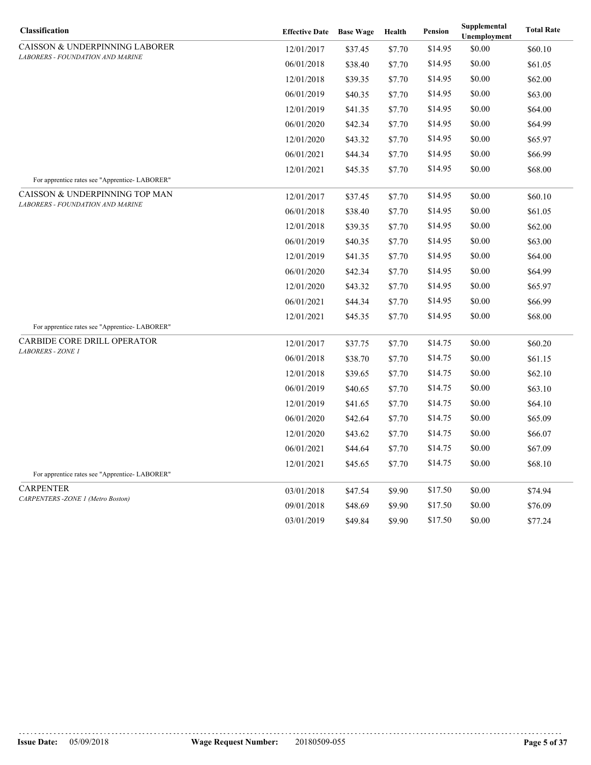| Classification                                                     | <b>Effective Date</b> Base Wage |         | Health | <b>Pension</b> | Supplemental<br>Unemployment | <b>Total Rate</b> |
|--------------------------------------------------------------------|---------------------------------|---------|--------|----------------|------------------------------|-------------------|
| CAISSON & UNDERPINNING LABORER                                     | 12/01/2017                      | \$37.45 | \$7.70 | \$14.95        | \$0.00                       | \$60.10           |
| LABORERS - FOUNDATION AND MARINE                                   | 06/01/2018                      | \$38.40 | \$7.70 | \$14.95        | \$0.00                       | \$61.05           |
|                                                                    | 12/01/2018                      | \$39.35 | \$7.70 | \$14.95        | \$0.00                       | \$62.00           |
|                                                                    | 06/01/2019                      | \$40.35 | \$7.70 | \$14.95        | \$0.00                       | \$63.00           |
|                                                                    | 12/01/2019                      | \$41.35 | \$7.70 | \$14.95        | \$0.00                       | \$64.00           |
|                                                                    | 06/01/2020                      | \$42.34 | \$7.70 | \$14.95        | \$0.00                       | \$64.99           |
|                                                                    | 12/01/2020                      | \$43.32 | \$7.70 | \$14.95        | \$0.00                       | \$65.97           |
|                                                                    | 06/01/2021                      | \$44.34 | \$7.70 | \$14.95        | \$0.00                       | \$66.99           |
|                                                                    | 12/01/2021                      | \$45.35 | \$7.70 | \$14.95        | \$0.00                       | \$68.00           |
| For apprentice rates see "Apprentice-LABORER"                      |                                 |         |        |                |                              |                   |
| CAISSON & UNDERPINNING TOP MAN<br>LABORERS - FOUNDATION AND MARINE | 12/01/2017                      | \$37.45 | \$7.70 | \$14.95        | \$0.00                       | \$60.10           |
|                                                                    | 06/01/2018                      | \$38.40 | \$7.70 | \$14.95        | \$0.00                       | \$61.05           |
|                                                                    | 12/01/2018                      | \$39.35 | \$7.70 | \$14.95        | \$0.00                       | \$62.00           |
|                                                                    | 06/01/2019                      | \$40.35 | \$7.70 | \$14.95        | \$0.00                       | \$63.00           |
|                                                                    | 12/01/2019                      | \$41.35 | \$7.70 | \$14.95        | \$0.00                       | \$64.00           |
|                                                                    | 06/01/2020                      | \$42.34 | \$7.70 | \$14.95        | \$0.00                       | \$64.99           |
|                                                                    | 12/01/2020                      | \$43.32 | \$7.70 | \$14.95        | \$0.00                       | \$65.97           |
|                                                                    | 06/01/2021                      | \$44.34 | \$7.70 | \$14.95        | \$0.00                       | \$66.99           |
|                                                                    | 12/01/2021                      | \$45.35 | \$7.70 | \$14.95        | \$0.00                       | \$68.00           |
| For apprentice rates see "Apprentice-LABORER"                      |                                 |         |        |                |                              |                   |
| CARBIDE CORE DRILL OPERATOR<br>LABORERS - ZONE 1                   | 12/01/2017                      | \$37.75 | \$7.70 | \$14.75        | \$0.00                       | \$60.20           |
|                                                                    | 06/01/2018                      | \$38.70 | \$7.70 | \$14.75        | \$0.00                       | \$61.15           |
|                                                                    | 12/01/2018                      | \$39.65 | \$7.70 | \$14.75        | \$0.00                       | \$62.10           |
|                                                                    | 06/01/2019                      | \$40.65 | \$7.70 | \$14.75        | \$0.00                       | \$63.10           |
|                                                                    | 12/01/2019                      | \$41.65 | \$7.70 | \$14.75        | \$0.00                       | \$64.10           |
|                                                                    | 06/01/2020                      | \$42.64 | \$7.70 | \$14.75        | \$0.00                       | \$65.09           |
|                                                                    | 12/01/2020                      | \$43.62 | \$7.70 | \$14.75        | \$0.00                       | \$66.07           |
|                                                                    | 06/01/2021                      | \$44.64 | \$7.70 | \$14.75        | \$0.00                       | \$67.09           |
|                                                                    | 12/01/2021                      | \$45.65 | \$7.70 | \$14.75        | \$0.00                       | \$68.10           |
| For apprentice rates see "Apprentice-LABORER"                      |                                 |         |        |                |                              |                   |
| <b>CARPENTER</b><br>CARPENTERS-ZONE 1 (Metro Boston)               | 03/01/2018                      | \$47.54 | \$9.90 | \$17.50        | \$0.00                       | \$74.94           |
|                                                                    | 09/01/2018                      | \$48.69 | \$9.90 | \$17.50        | \$0.00                       | \$76.09           |
|                                                                    | 03/01/2019                      | \$49.84 | \$9.90 | \$17.50        | \$0.00                       | \$77.24           |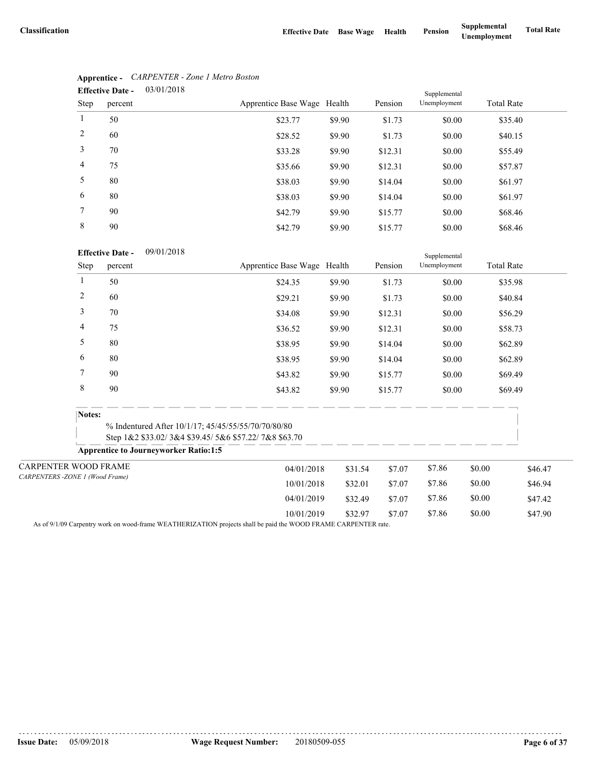|                | 03/01/2018<br><b>Effective Date -</b> |                             |        |         |              | Supplemental      |  |  |
|----------------|---------------------------------------|-----------------------------|--------|---------|--------------|-------------------|--|--|
| Step           | percent                               | Apprentice Base Wage Health |        | Pension | Unemployment | <b>Total Rate</b> |  |  |
|                | 50                                    | \$23.77                     | \$9.90 | \$1.73  | \$0.00       | \$35.40           |  |  |
| 2              | 60                                    | \$28.52                     | \$9.90 | \$1.73  | \$0.00       | \$40.15           |  |  |
| 3              | 70                                    | \$33.28                     | \$9.90 | \$12.31 | \$0.00       | \$55.49           |  |  |
| $\overline{4}$ | 75                                    | \$35.66                     | \$9.90 | \$12.31 | \$0.00       | \$57.87           |  |  |
| 5              | 80                                    | \$38.03                     | \$9.90 | \$14.04 | \$0.00       | \$61.97           |  |  |
| 6              | 80                                    | \$38.03                     | \$9.90 | \$14.04 | \$0.00       | \$61.97           |  |  |
| $\tau$         | 90                                    | \$42.79                     | \$9.90 | \$15.77 | \$0.00       | \$68.46           |  |  |
| 8              | 90                                    | \$42.79                     | \$9.90 | \$15.77 | \$0.00       | \$68.46           |  |  |

# **Apprentice -** *CARPENTER - Zone 1 Metro Boston*

## **Effective Date -** 09/01/2018

|                                |                | <b>Effective Date -</b><br>09/01/2018        |                                                                                                             | Supplemental |         |              |                   |         |
|--------------------------------|----------------|----------------------------------------------|-------------------------------------------------------------------------------------------------------------|--------------|---------|--------------|-------------------|---------|
|                                | Step           | percent                                      | Apprentice Base Wage Health                                                                                 |              | Pension | Unemployment | <b>Total Rate</b> |         |
|                                |                | 50                                           | \$24.35                                                                                                     | \$9.90       | \$1.73  | \$0.00       | \$35.98           |         |
|                                | $\overline{2}$ | 60                                           | \$29.21                                                                                                     | \$9.90       | \$1.73  | \$0.00       | \$40.84           |         |
|                                | 3              | 70                                           | \$34.08                                                                                                     | \$9.90       | \$12.31 | \$0.00       | \$56.29           |         |
|                                | 4              | 75                                           | \$36.52                                                                                                     | \$9.90       | \$12.31 | \$0.00       | \$58.73           |         |
|                                | 5              | 80                                           | \$38.95                                                                                                     | \$9.90       | \$14.04 | \$0.00       | \$62.89           |         |
|                                | 6              | 80                                           | \$38.95                                                                                                     | \$9.90       | \$14.04 | \$0.00       | \$62.89           |         |
|                                | 7              | 90                                           | \$43.82                                                                                                     | \$9.90       | \$15.77 | \$0.00       | \$69.49           |         |
|                                | $\,$ 8 $\,$    | 90                                           | \$43.82                                                                                                     | \$9.90       | \$15.77 | \$0.00       | \$69.49           |         |
|                                | Notes:         |                                              |                                                                                                             |              |         |              |                   |         |
|                                |                |                                              | % Indentured After 10/1/17; 45/45/55/55/70/70/80/80<br>Step 1&2 \$33.02/3&4 \$39.45/5&6 \$57.22/7&8 \$63.70 |              |         |              |                   |         |
|                                |                | <b>Apprentice to Journeyworker Ratio:1:5</b> |                                                                                                             |              |         |              |                   |         |
| CARPENTER WOOD FRAME           |                |                                              | 04/01/2018                                                                                                  | \$31.54      | \$7.07  | \$7.86       | \$0.00            | \$46.47 |
| CARPENTERS-ZONE 1 (Wood Frame) |                |                                              | 10/01/2018                                                                                                  | \$32.01      | \$7.07  | \$7.86       | \$0.00            | \$46.94 |
|                                |                |                                              | 04/01/2019                                                                                                  | \$32.49      | \$7.07  | \$7.86       | \$0.00            | \$47.42 |
|                                |                |                                              | 10/01/2019                                                                                                  | \$32.97      | \$7.07  | \$7.86       | \$0.00            | \$47.90 |

As of 9/1/09 Carpentry work on wood-frame WEATHERIZATION projects shall be paid the WOOD FRAME CARPENTER rate.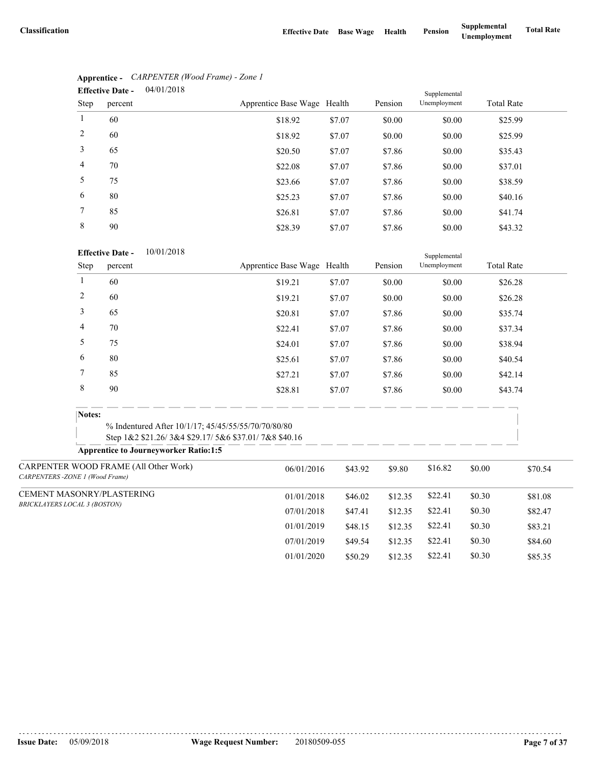|                | 04/01/2018<br><b>Effective Date -</b> |                             |        |         | Supplemental |                   |
|----------------|---------------------------------------|-----------------------------|--------|---------|--------------|-------------------|
| Step           | percent                               | Apprentice Base Wage Health |        | Pension | Unemployment | <b>Total Rate</b> |
|                | 60                                    | \$18.92                     | \$7.07 | \$0.00  | \$0.00       | \$25.99           |
| 2              | 60                                    | \$18.92                     | \$7.07 | \$0.00  | \$0.00       | \$25.99           |
| 3              | 65                                    | \$20.50                     | \$7.07 | \$7.86  | \$0.00       | \$35.43           |
| $\overline{4}$ | 70                                    | \$22.08                     | \$7.07 | \$7.86  | \$0.00       | \$37.01           |
| 5              | 75                                    | \$23.66                     | \$7.07 | \$7.86  | \$0.00       | \$38.59           |
| 6              | 80                                    | \$25.23                     | \$7.07 | \$7.86  | \$0.00       | \$40.16           |
| $\tau$         | 85                                    | \$26.81                     | \$7.07 | \$7.86  | \$0.00       | \$41.74           |
| 8              | 90                                    | \$28.39                     | \$7.07 | \$7.86  | \$0.00       | \$43.32           |

# **Apprentice -** *CARPENTER (Wood Frame) - Zone 1*

### **Effective Date -** 10/01/2018

|                                |                                     | <b>Effective Date -</b><br>10/01/2018                                                                |                             |         |         | Supplemental |                   |         |
|--------------------------------|-------------------------------------|------------------------------------------------------------------------------------------------------|-----------------------------|---------|---------|--------------|-------------------|---------|
|                                | <b>Step</b>                         | percent                                                                                              | Apprentice Base Wage Health |         | Pension | Unemployment | <b>Total Rate</b> |         |
|                                | 1                                   | 60                                                                                                   | \$19.21                     | \$7.07  | \$0.00  | \$0.00       | \$26.28           |         |
|                                | $\overline{c}$                      | 60                                                                                                   | \$19.21                     | \$7.07  | \$0.00  | \$0.00       | \$26.28           |         |
|                                | 3                                   | 65                                                                                                   | \$20.81                     | \$7.07  | \$7.86  | \$0.00       | \$35.74           |         |
|                                | 4                                   | 70                                                                                                   | \$22.41                     | \$7.07  | \$7.86  | \$0.00       | \$37.34           |         |
|                                | 5                                   | 75                                                                                                   | \$24.01                     | \$7.07  | \$7.86  | \$0.00       | \$38.94           |         |
|                                | 6                                   | 80                                                                                                   | \$25.61                     | \$7.07  | \$7.86  | \$0.00       | \$40.54           |         |
|                                | $\tau$                              | 85                                                                                                   | \$27.21                     | \$7.07  | \$7.86  | \$0.00       | \$42.14           |         |
|                                | $\,8\,$                             | 90                                                                                                   | \$28.81                     | \$7.07  | \$7.86  | \$0.00       | \$43.74           |         |
|                                | Notes:                              | % Indentured After 10/1/17; 45/45/55/55/70/70/80/80                                                  |                             |         |         |              |                   |         |
|                                |                                     | Step 1&2 \$21.26/3&4 \$29.17/5&6 \$37.01/7&8 \$40.16<br><b>Apprentice to Journeyworker Ratio:1:5</b> |                             |         |         |              |                   |         |
| CARPENTERS-ZONE 1 (Wood Frame) |                                     | CARPENTER WOOD FRAME (All Other Work)                                                                | 06/01/2016                  | \$43.92 | \$9.80  | \$16.82      | \$0.00            | \$70.54 |
|                                |                                     | CEMENT MASONRY/PLASTERING                                                                            | 01/01/2018                  | \$46.02 | \$12.35 | \$22.41      | \$0.30            | \$81.08 |
|                                | <b>BRICKLAYERS LOCAL 3 (BOSTON)</b> |                                                                                                      | 07/01/2018                  | \$47.41 | \$12.35 | \$22.41      | \$0.30            | \$82.47 |
|                                |                                     |                                                                                                      | 01/01/2019                  | \$48.15 | \$12.35 | \$22.41      | \$0.30            | \$83.21 |
|                                |                                     |                                                                                                      | 07/01/2019                  | \$49.54 | \$12.35 | \$22.41      | \$0.30            | \$84.60 |
|                                |                                     |                                                                                                      | 01/01/2020                  | \$50.29 | \$12.35 | \$22.41      | \$0.30            | \$85.35 |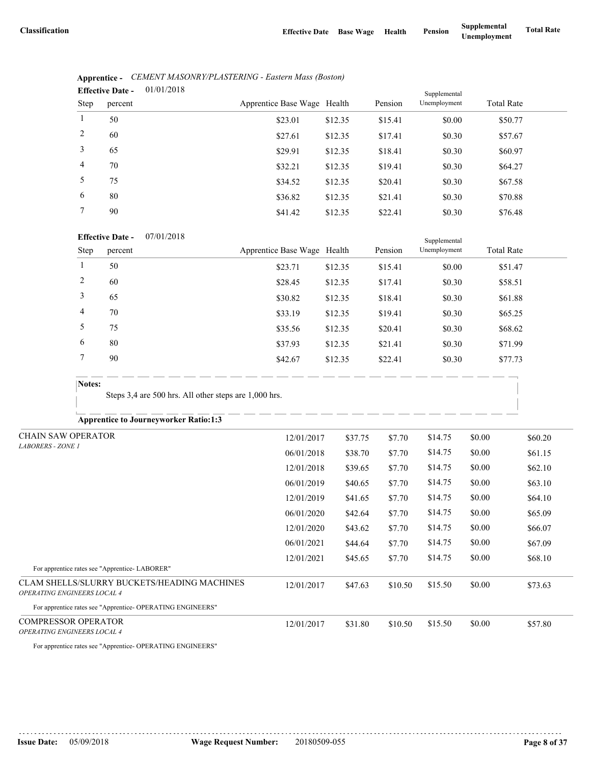|                | 01/01/2018<br><b>Effective Date -</b> |                             | Supplemental |         |              |                   |
|----------------|---------------------------------------|-----------------------------|--------------|---------|--------------|-------------------|
| Step           | percent                               | Apprentice Base Wage Health |              | Pension | Unemployment | <b>Total Rate</b> |
| $\mathbf{1}$   | 50                                    | \$23.01                     | \$12.35      | \$15.41 | \$0.00       | \$50.77           |
| 2              | 60                                    | \$27.61                     | \$12.35      | \$17.41 | \$0.30       | \$57.67           |
| 3              | 65                                    | \$29.91                     | \$12.35      | \$18.41 | \$0.30       | \$60.97           |
| $\overline{4}$ | 70                                    | \$32.21                     | \$12.35      | \$19.41 | \$0.30       | \$64.27           |
| 5              | 75                                    | \$34.52                     | \$12.35      | \$20.41 | \$0.30       | \$67.58           |
| 6              | 80                                    | \$36.82                     | \$12.35      | \$21.41 | \$0.30       | \$70.88           |
| $7^{\circ}$    | 90                                    | \$41.42                     | \$12.35      | \$22.41 | \$0.30       | \$76.48           |
|                |                                       |                             |              |         |              |                   |

| Apprentice - CEMENT MASONRY/PLASTERING - Eastern Mass (Boston) |
|----------------------------------------------------------------|
| $\mathbf{Fff}_0$ ctive Date $= 01/01/2018$                     |

#### **Effective Date -** 07/01/2018

|             | <b>Effective Date -</b> | 07/01/2018 |                             |         |         | Supplemental |                   |         |
|-------------|-------------------------|------------|-----------------------------|---------|---------|--------------|-------------------|---------|
| <b>Step</b> | percent                 |            | Apprentice Base Wage Health |         | Pension | Unemployment | <b>Total Rate</b> |         |
|             | 50                      |            | \$23.71                     | \$12.35 | \$15.41 | \$0.00       |                   | \$51.47 |
| 2           | 60                      |            | \$28.45                     | \$12.35 | \$17.41 | \$0.30       |                   | \$58.51 |
| 3           | 65                      |            | \$30.82                     | \$12.35 | \$18.41 | \$0.30       |                   | \$61.88 |
| 4           | 70                      |            | \$33.19                     | \$12.35 | \$19.41 | \$0.30       |                   | \$65.25 |
|             | 75                      |            | \$35.56                     | \$12.35 | \$20.41 | \$0.30       |                   | \$68.62 |
| 6           | 80                      |            | \$37.93                     | \$12.35 | \$21.41 | \$0.30       |                   | \$71.99 |
|             | 90                      |            | \$42.67                     | \$12.35 | \$22.41 | \$0.30       |                   | \$77.73 |
|             |                         |            |                             |         |         |              |                   |         |

## **Notes:**

Steps 3,4 are 500 hrs. All other steps are 1,000 hrs.

**Apprentice to Journeyworker Ratio:1:3**

| <b>CHAIN SAW OPERATOR</b>                                                         | 12/01/2017 | \$37.75 | \$7.70  | \$14.75 | \$0.00 | \$60.20 |
|-----------------------------------------------------------------------------------|------------|---------|---------|---------|--------|---------|
| <b>LABORERS - ZONE 1</b>                                                          | 06/01/2018 | \$38.70 | \$7.70  | \$14.75 | \$0.00 | \$61.15 |
|                                                                                   | 12/01/2018 | \$39.65 | \$7.70  | \$14.75 | \$0.00 | \$62.10 |
|                                                                                   | 06/01/2019 | \$40.65 | \$7.70  | \$14.75 | \$0.00 | \$63.10 |
|                                                                                   | 12/01/2019 | \$41.65 | \$7.70  | \$14.75 | \$0.00 | \$64.10 |
|                                                                                   | 06/01/2020 | \$42.64 | \$7.70  | \$14.75 | \$0.00 | \$65.09 |
|                                                                                   | 12/01/2020 | \$43.62 | \$7.70  | \$14.75 | \$0.00 | \$66.07 |
|                                                                                   | 06/01/2021 | \$44.64 | \$7.70  | \$14.75 | \$0.00 | \$67.09 |
|                                                                                   | 12/01/2021 | \$45.65 | \$7.70  | \$14.75 | \$0.00 | \$68.10 |
| For apprentice rates see "Apprentice-LABORER"                                     |            |         |         |         |        |         |
| CLAM SHELLS/SLURRY BUCKETS/HEADING MACHINES<br><b>OPERATING ENGINEERS LOCAL 4</b> | 12/01/2017 | \$47.63 | \$10.50 | \$15.50 | \$0.00 | \$73.63 |
| For apprentice rates see "Apprentice-OPERATING ENGINEERS"                         |            |         |         |         |        |         |
| <b>COMPRESSOR OPERATOR</b><br><b>OPERATING ENGINEERS LOCAL 4</b>                  | 12/01/2017 | \$31.80 | \$10.50 | \$15.50 | \$0.00 | \$57.80 |

For apprentice rates see "Apprentice- OPERATING ENGINEERS"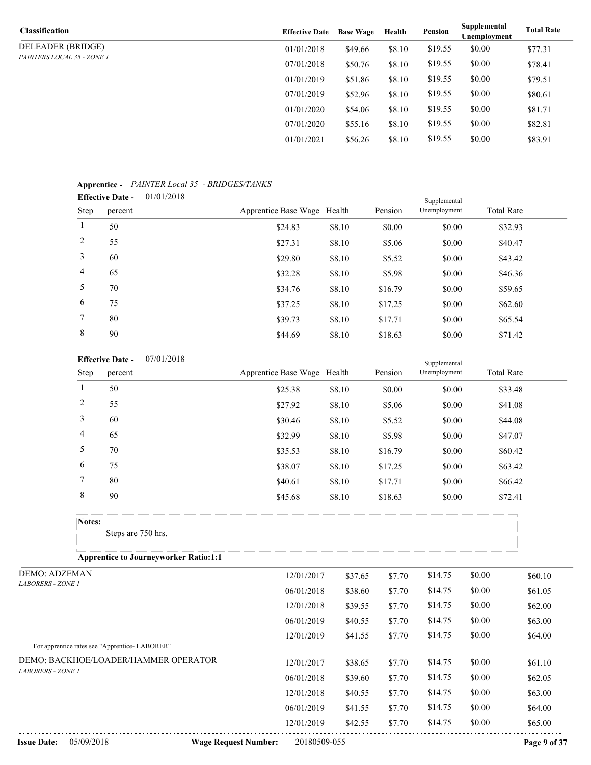| Classification             | <b>Effective Date</b> | <b>Base Wage</b> | Health | Pension | Supplemental<br>Unemployment | <b>Total Rate</b> |
|----------------------------|-----------------------|------------------|--------|---------|------------------------------|-------------------|
| DELEADER (BRIDGE)          | 01/01/2018            | \$49.66          | \$8.10 | \$19.55 | \$0.00                       | \$77.31           |
| PAINTERS LOCAL 35 - ZONE 1 | 07/01/2018            | \$50.76          | \$8.10 | \$19.55 | \$0.00                       | \$78.41           |
|                            | 01/01/2019            | \$51.86          | \$8.10 | \$19.55 | \$0.00                       | \$79.51           |
|                            | 07/01/2019            | \$52.96          | \$8.10 | \$19.55 | \$0.00                       | \$80.61           |
|                            | 01/01/2020            | \$54.06          | \$8.10 | \$19.55 | \$0.00                       | \$81.71           |
|                            | 07/01/2020            | \$55.16          | \$8.10 | \$19.55 | \$0.00                       | \$82.81           |
|                            | 01/01/2021            | \$56.26          | \$8.10 | \$19.55 | \$0.00                       | \$83.91           |

### **Apprentice -** *PAINTER Local 35 - BRIDGES/TANKS*

|                | 01/01/2018<br><b>Effective Date -</b> |                             |        |         | Supplemental |                   |
|----------------|---------------------------------------|-----------------------------|--------|---------|--------------|-------------------|
| Step           | percent                               | Apprentice Base Wage Health |        | Pension | Unemployment | <b>Total Rate</b> |
| 1              | 50                                    | \$24.83                     | \$8.10 | \$0.00  | \$0.00       | \$32.93           |
| 2              | 55                                    | \$27.31                     | \$8.10 | \$5.06  | \$0.00       | \$40.47           |
| 3              | 60                                    | \$29.80                     | \$8.10 | \$5.52  | \$0.00       | \$43.42           |
| $\overline{4}$ | 65                                    | \$32.28                     | \$8.10 | \$5.98  | \$0.00       | \$46.36           |
| 5              | 70                                    | \$34.76                     | \$8.10 | \$16.79 | \$0.00       | \$59.65           |
| 6              | 75                                    | \$37.25                     | \$8.10 | \$17.25 | \$0.00       | \$62.60           |
| $7^{\circ}$    | 80                                    | \$39.73                     | \$8.10 | \$17.71 | \$0.00       | \$65.54           |
| 8              | 90                                    | \$44.69                     | \$8.10 | \$18.63 | \$0.00       | \$71.42           |
|                |                                       |                             |        |         |              |                   |

#### **Effective Date -** 07/01/2018

|        | 07/01/2018<br><b>Effective Date -</b> |                             |        |         | Supplemental |                   |
|--------|---------------------------------------|-----------------------------|--------|---------|--------------|-------------------|
| Step   | percent                               | Apprentice Base Wage Health |        | Pension | Unemployment | <b>Total Rate</b> |
|        | 50                                    | \$25.38                     | \$8.10 | \$0.00  | \$0.00       | \$33.48           |
| 2      | 55                                    | \$27.92                     | \$8.10 | \$5.06  | \$0.00       | \$41.08           |
| 3      | 60                                    | \$30.46                     | \$8.10 | \$5.52  | \$0.00       | \$44.08           |
| 4      | 65                                    | \$32.99                     | \$8.10 | \$5.98  | \$0.00       | \$47.07           |
| 5      | 70                                    | \$35.53                     | \$8.10 | \$16.79 | \$0.00       | \$60.42           |
| 6      | 75                                    | \$38.07                     | \$8.10 | \$17.25 | \$0.00       | \$63.42           |
| 7      | 80                                    | \$40.61                     | \$8.10 | \$17.71 | \$0.00       | \$66.42           |
| 8      | 90                                    | \$45.68                     | \$8.10 | \$18.63 | \$0.00       | \$72.41           |
| Notes: |                                       |                             |        |         |              |                   |
|        | Steps are 750 hrs.                    |                             |        |         |              |                   |
|        |                                       |                             |        |         |              |                   |

**Apprentice to Journeyworker Ratio:1:1**

| <b>DEMO: ADZEMAN</b>                          | 12/01/2017 | \$37.65 | \$7.70 | \$14.75 | \$0.00 | \$60.10 |
|-----------------------------------------------|------------|---------|--------|---------|--------|---------|
| <b>LABORERS - ZONE 1</b>                      | 06/01/2018 | \$38.60 | \$7.70 | \$14.75 | \$0.00 | \$61.05 |
|                                               | 12/01/2018 | \$39.55 | \$7.70 | \$14.75 | \$0.00 | \$62.00 |
|                                               | 06/01/2019 | \$40.55 | \$7.70 | \$14.75 | \$0.00 | \$63.00 |
|                                               | 12/01/2019 | \$41.55 | \$7.70 | \$14.75 | \$0.00 | \$64.00 |
| For apprentice rates see "Apprentice-LABORER" |            |         |        |         |        |         |
| DEMO: BACKHOE/LOADER/HAMMER OPERATOR          | 12/01/2017 | \$38.65 | \$7.70 | \$14.75 | \$0.00 | \$61.10 |
| <b>LABORERS - ZONE 1</b>                      | 06/01/2018 | \$39.60 | \$7.70 | \$14.75 | \$0.00 | \$62.05 |
|                                               | 12/01/2018 | \$40.55 | \$7.70 | \$14.75 | \$0.00 | \$63.00 |
|                                               | 06/01/2019 | \$41.55 | \$7.70 | \$14.75 | \$0.00 | \$64.00 |
|                                               | 12/01/2019 | \$42.55 | \$7.70 | \$14.75 | \$0.00 | \$65.00 |
|                                               |            |         |        |         |        |         |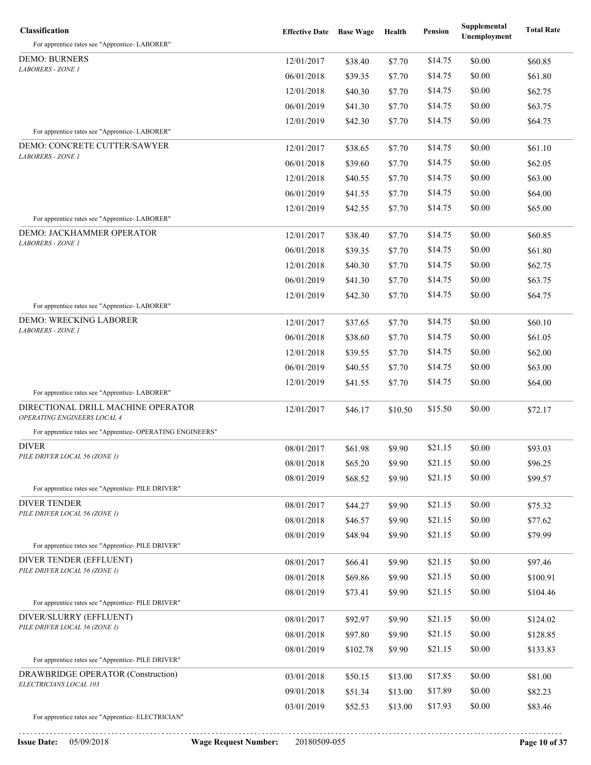| <b>Classification</b>                                             | <b>Effective Date</b> Base Wage |          | Health  | Pension | Supplemental<br><b>Unemployment</b> | <b>Total Rate</b> |
|-------------------------------------------------------------------|---------------------------------|----------|---------|---------|-------------------------------------|-------------------|
| For apprentice rates see "Apprentice-LABORER"                     |                                 |          |         |         |                                     |                   |
| <b>DEMO: BURNERS</b>                                              | 12/01/2017                      | \$38.40  | \$7.70  | \$14.75 | \$0.00                              | \$60.85           |
| <b>LABORERS - ZONE 1</b>                                          | 06/01/2018                      | \$39.35  | \$7.70  | \$14.75 | \$0.00                              | \$61.80           |
|                                                                   | 12/01/2018                      | \$40.30  | \$7.70  | \$14.75 | \$0.00                              | \$62.75           |
|                                                                   | 06/01/2019                      | \$41.30  | \$7.70  | \$14.75 | \$0.00                              | \$63.75           |
|                                                                   | 12/01/2019                      | \$42.30  | \$7.70  | \$14.75 | \$0.00                              | \$64.75           |
| For apprentice rates see "Apprentice-LABORER"                     |                                 |          |         |         |                                     |                   |
| DEMO: CONCRETE CUTTER/SAWYER                                      | 12/01/2017                      | \$38.65  | \$7.70  | \$14.75 | \$0.00                              | \$61.10           |
| LABORERS - ZONE 1                                                 | 06/01/2018                      | \$39.60  | \$7.70  | \$14.75 | \$0.00                              | \$62.05           |
|                                                                   | 12/01/2018                      | \$40.55  | \$7.70  | \$14.75 | \$0.00                              | \$63.00           |
|                                                                   | 06/01/2019                      | \$41.55  | \$7.70  | \$14.75 | \$0.00                              | \$64.00           |
|                                                                   | 12/01/2019                      | \$42.55  | \$7.70  | \$14.75 | \$0.00                              | \$65.00           |
| For apprentice rates see "Apprentice-LABORER"                     |                                 |          |         |         |                                     |                   |
| DEMO: JACKHAMMER OPERATOR                                         | 12/01/2017                      | \$38.40  | \$7.70  | \$14.75 | \$0.00                              | \$60.85           |
| <b>LABORERS - ZONE 1</b>                                          | 06/01/2018                      | \$39.35  | \$7.70  | \$14.75 | \$0.00                              | \$61.80           |
|                                                                   | 12/01/2018                      | \$40.30  | \$7.70  | \$14.75 | \$0.00                              | \$62.75           |
|                                                                   | 06/01/2019                      | \$41.30  | \$7.70  | \$14.75 | \$0.00                              | \$63.75           |
|                                                                   | 12/01/2019                      | \$42.30  | \$7.70  | \$14.75 | \$0.00                              | \$64.75           |
| For apprentice rates see "Apprentice-LABORER"                     |                                 |          |         |         |                                     |                   |
| DEMO: WRECKING LABORER                                            | 12/01/2017                      | \$37.65  | \$7.70  | \$14.75 | \$0.00                              | \$60.10           |
| <b>LABORERS - ZONE 1</b>                                          | 06/01/2018                      | \$38.60  | \$7.70  | \$14.75 | \$0.00                              | \$61.05           |
|                                                                   | 12/01/2018                      | \$39.55  | \$7.70  | \$14.75 | \$0.00                              | \$62.00           |
|                                                                   | 06/01/2019                      | \$40.55  | \$7.70  | \$14.75 | \$0.00                              | \$63.00           |
|                                                                   | 12/01/2019                      | \$41.55  | \$7.70  | \$14.75 | \$0.00                              | \$64.00           |
| For apprentice rates see "Apprentice-LABORER"                     |                                 |          |         |         |                                     |                   |
| DIRECTIONAL DRILL MACHINE OPERATOR<br>OPERATING ENGINEERS LOCAL 4 | 12/01/2017                      | \$46.17  | \$10.50 | \$15.50 | \$0.00                              | \$72.17           |
| For apprentice rates see "Apprentice- OPERATING ENGINEERS"        |                                 |          |         |         |                                     |                   |
| <b>DIVER</b>                                                      | 08/01/2017                      | \$61.98  | \$9.90  | \$21.15 | \$0.00                              | \$93.03           |
| PILE DRIVER LOCAL 56 (ZONE 1)                                     | 08/01/2018                      | \$65.20  | \$9.90  | \$21.15 | \$0.00                              | \$96.25           |
|                                                                   | 08/01/2019                      | \$68.52  | \$9.90  | \$21.15 | \$0.00                              | \$99.57           |
| For apprentice rates see "Apprentice-PILE DRIVER"                 |                                 |          |         |         |                                     |                   |
| <b>DIVER TENDER</b><br>PILE DRIVER LOCAL 56 (ZONE 1)              | 08/01/2017                      | \$44.27  | \$9.90  | \$21.15 | \$0.00                              | \$75.32           |
|                                                                   | 08/01/2018                      | \$46.57  | \$9.90  | \$21.15 | \$0.00                              | \$77.62           |
|                                                                   | 08/01/2019                      | \$48.94  | \$9.90  | \$21.15 | \$0.00                              | \$79.99           |
| For apprentice rates see "Apprentice-PILE DRIVER"                 |                                 |          |         |         |                                     |                   |
| DIVER TENDER (EFFLUENT)<br>PILE DRIVER LOCAL 56 (ZONE 1)          | 08/01/2017                      | \$66.41  | \$9.90  | \$21.15 | \$0.00                              | \$97.46           |
|                                                                   | 08/01/2018                      | \$69.86  | \$9.90  | \$21.15 | \$0.00                              | \$100.91          |
|                                                                   | 08/01/2019                      | \$73.41  | \$9.90  | \$21.15 | \$0.00                              | \$104.46          |
| For apprentice rates see "Apprentice-PILE DRIVER"                 |                                 |          |         |         |                                     |                   |
| DIVER/SLURRY (EFFLUENT)<br>PILE DRIVER LOCAL 56 (ZONE 1)          | 08/01/2017                      | \$92.97  | \$9.90  | \$21.15 | \$0.00                              | \$124.02          |
|                                                                   | 08/01/2018                      | \$97.80  | \$9.90  | \$21.15 | \$0.00                              | \$128.85          |
| For apprentice rates see "Apprentice-PILE DRIVER"                 | 08/01/2019                      | \$102.78 | \$9.90  | \$21.15 | \$0.00                              | \$133.83          |
| DRAWBRIDGE OPERATOR (Construction)                                |                                 |          |         |         |                                     |                   |
| ELECTRICIANS LOCAL 103                                            | 03/01/2018                      | \$50.15  | \$13.00 | \$17.85 | \$0.00                              | \$81.00           |
|                                                                   | 09/01/2018                      | \$51.34  | \$13.00 | \$17.89 | \$0.00                              | \$82.23           |
|                                                                   | 03/01/2019                      | \$52.53  | \$13.00 | \$17.93 | \$0.00                              | \$83.46           |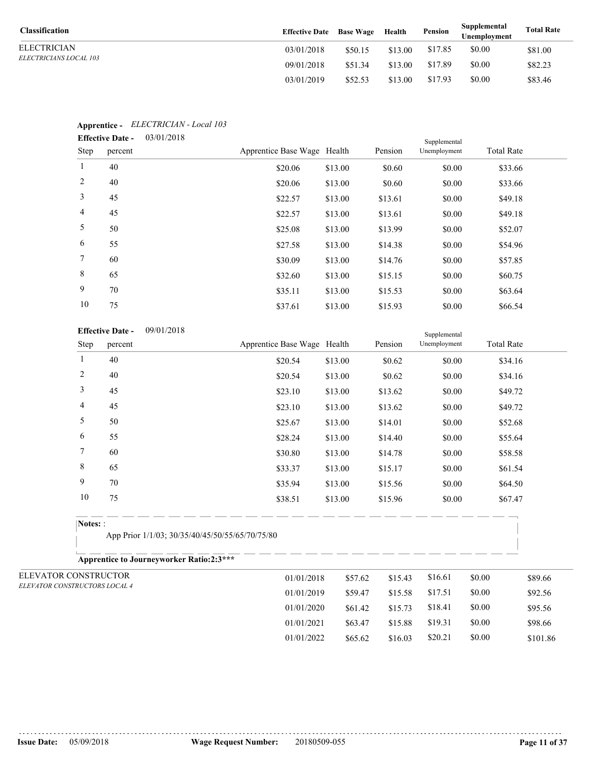| <b>Classification</b>         | <b>Effective Date</b> Base Wage |         | Health  | Pension | Supplemental<br>Unemplovment | <b>Total Rate</b> |
|-------------------------------|---------------------------------|---------|---------|---------|------------------------------|-------------------|
| ELECTRICIAN                   | 03/01/2018                      | \$50.15 | \$13.00 | \$17.85 | \$0.00                       | \$81.00           |
| <i>ELECTRICIANS LOCAL 103</i> | 09/01/2018                      | \$51.34 | \$13.00 | \$17.89 | \$0.00                       | \$82.23           |
|                               | 03/01/2019                      | \$52.53 | \$13.00 | \$17.93 | \$0.00                       | \$83.46           |

|                | <b>Lifective Date -</b><br>03/01/2016 |                             |         |         |              |                   |  |
|----------------|---------------------------------------|-----------------------------|---------|---------|--------------|-------------------|--|
| Step           | percent                               | Apprentice Base Wage Health |         | Pension | Unemployment | <b>Total Rate</b> |  |
| $\mathbf{1}$   | 40                                    | \$20.06                     | \$13.00 | \$0.60  | \$0.00       | \$33.66           |  |
| 2              | 40                                    | \$20.06                     | \$13.00 | \$0.60  | \$0.00       | \$33.66           |  |
| $\mathfrak{Z}$ | 45                                    | \$22.57                     | \$13.00 | \$13.61 | \$0.00       | \$49.18           |  |
| $\overline{4}$ | 45                                    | \$22.57                     | \$13.00 | \$13.61 | \$0.00       | \$49.18           |  |
| 5              | 50                                    | \$25.08                     | \$13.00 | \$13.99 | \$0.00       | \$52.07           |  |
| 6              | 55                                    | \$27.58                     | \$13.00 | \$14.38 | \$0.00       | \$54.96           |  |
| $7^{\circ}$    | 60                                    | \$30.09                     | \$13.00 | \$14.76 | \$0.00       | \$57.85           |  |
| 8              | 65                                    | \$32.60                     | \$13.00 | \$15.15 | \$0.00       | \$60.75           |  |
| 9              | 70                                    | \$35.11                     | \$13.00 | \$15.53 | \$0.00       | \$63.64           |  |
| 10             | 75                                    | \$37.61                     | \$13.00 | \$15.93 | \$0.00       | \$66.54           |  |
|                |                                       |                             |         |         |              |                   |  |

#### **Apprentice -** *ELECTRICIAN - Local 103* 03/01/2018 **Effective Date -**

|                | 09/01/2018<br><b>Effective Date -</b> |                             |         |         | Supplemental |                   |  |
|----------------|---------------------------------------|-----------------------------|---------|---------|--------------|-------------------|--|
| Step           | percent                               | Apprentice Base Wage Health |         | Pension | Unemployment | <b>Total Rate</b> |  |
| T.             | 40                                    | \$20.54                     | \$13.00 | \$0.62  | \$0.00       | \$34.16           |  |
| $\overline{c}$ | 40                                    | \$20.54                     | \$13.00 | \$0.62  | \$0.00       | \$34.16           |  |
| 3              | 45                                    | \$23.10                     | \$13.00 | \$13.62 | \$0.00       | \$49.72           |  |
| 4              | 45                                    | \$23.10                     | \$13.00 | \$13.62 | \$0.00       | \$49.72           |  |
| 5              | 50                                    | \$25.67                     | \$13.00 | \$14.01 | \$0.00       | \$52.68           |  |
| 6              | 55                                    | \$28.24                     | \$13.00 | \$14.40 | \$0.00       | \$55.64           |  |
| 7              | 60                                    | \$30.80                     | \$13.00 | \$14.78 | \$0.00       | \$58.58           |  |
| 8              | 65                                    | \$33.37                     | \$13.00 | \$15.17 | \$0.00       | \$61.54           |  |
| 9              | 70                                    | \$35.94                     | \$13.00 | \$15.56 | \$0.00       | \$64.50           |  |
|                |                                       |                             |         |         |              |                   |  |

## **Notes:** :

App Prior 1/1/03; 30/35/40/45/50/55/65/70/75/80

**Apprentice to Journeyworker Ratio:2:3\*\*\***

| ELEVATOR CONSTRUCTOR          | 01/01/2018 | \$57.62 | \$15.43 | \$16.61 | \$0.00 | \$89.66  |
|-------------------------------|------------|---------|---------|---------|--------|----------|
| ELEVATOR CONSTRUCTORS LOCAL 4 | 01/01/2019 | \$59.47 | \$15.58 | \$17.51 | \$0.00 | \$92.56  |
|                               | 01/01/2020 | \$61.42 | \$15.73 | \$18.41 | \$0.00 | \$95.56  |
|                               | 01/01/2021 | \$63.47 | \$15.88 | \$19.31 | \$0.00 | \$98.66  |
|                               | 01/01/2022 | \$65.62 | \$16.03 | \$20.21 | \$0.00 | \$101.86 |
|                               |            |         |         |         |        |          |

. . . . . . . . . . . . . . . . .

10 75 \$38.51 \$13.00 \$15.96 \$0.00 \$67.47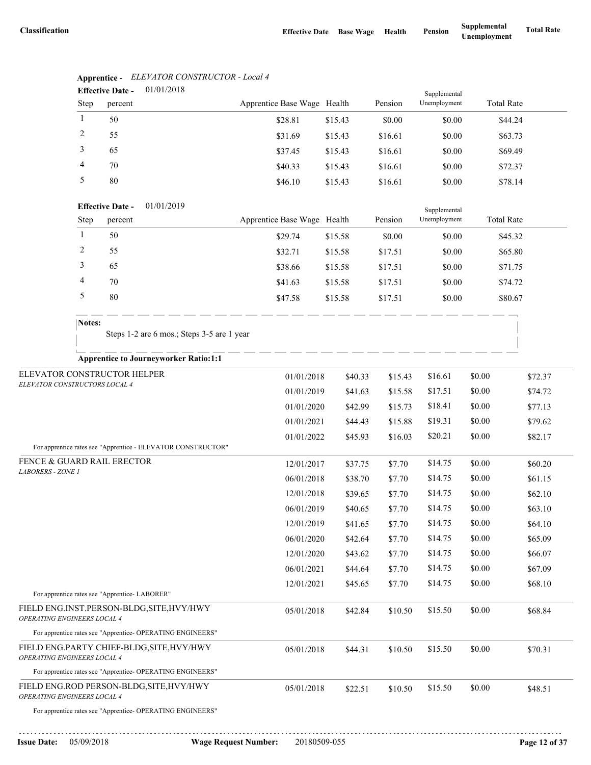|                                                              |                | <b>Effective Date -</b> | 01/01/2018                                                   |                             |         |         | Supplemental |                   |         |
|--------------------------------------------------------------|----------------|-------------------------|--------------------------------------------------------------|-----------------------------|---------|---------|--------------|-------------------|---------|
|                                                              | Step           | percent                 |                                                              | Apprentice Base Wage Health |         | Pension | Unemployment | <b>Total Rate</b> |         |
|                                                              | $\mathbf{1}$   | 50                      |                                                              | \$28.81                     | \$15.43 | \$0.00  | \$0.00       | \$44.24           |         |
|                                                              | $\overline{2}$ | 55                      |                                                              | \$31.69                     | \$15.43 | \$16.61 | \$0.00       | \$63.73           |         |
|                                                              | 3              | 65                      |                                                              | \$37.45                     | \$15.43 | \$16.61 | \$0.00       | \$69.49           |         |
|                                                              | $\overline{4}$ | 70                      |                                                              | \$40.33                     | \$15.43 | \$16.61 | \$0.00       | \$72.37           |         |
|                                                              | 5              | 80                      |                                                              | \$46.10                     | \$15.43 | \$16.61 | \$0.00       | \$78.14           |         |
|                                                              |                | <b>Effective Date -</b> | 01/01/2019                                                   |                             |         |         | Supplemental |                   |         |
|                                                              | Step           | percent                 |                                                              | Apprentice Base Wage Health |         | Pension | Unemployment | <b>Total Rate</b> |         |
|                                                              | 1              | 50                      |                                                              | \$29.74                     | \$15.58 | \$0.00  | \$0.00       | \$45.32           |         |
|                                                              | $\overline{2}$ | 55                      |                                                              | \$32.71                     | \$15.58 | \$17.51 | \$0.00       | \$65.80           |         |
|                                                              | 3              | 65                      |                                                              | \$38.66                     | \$15.58 | \$17.51 | \$0.00       | \$71.75           |         |
|                                                              | $\overline{4}$ | 70                      |                                                              | \$41.63                     | \$15.58 | \$17.51 | \$0.00       | \$74.72           |         |
|                                                              | $\sqrt{5}$     | 80                      |                                                              | \$47.58                     | \$15.58 | \$17.51 | \$0.00       | \$80.67           |         |
|                                                              | Notes:         |                         | Steps 1-2 are 6 mos.; Steps 3-5 are 1 year                   |                             |         |         |              |                   |         |
|                                                              |                |                         | <b>Apprentice to Journeyworker Ratio:1:1</b>                 |                             |         |         |              |                   |         |
| ELEVATOR CONSTRUCTOR HELPER<br>ELEVATOR CONSTRUCTORS LOCAL 4 |                |                         |                                                              | 01/01/2018                  | \$40.33 | \$15.43 | \$16.61      | \$0.00            | \$72.37 |
|                                                              |                |                         |                                                              | 01/01/2019                  | \$41.63 | \$15.58 | \$17.51      | \$0.00            | \$74.72 |
|                                                              |                |                         |                                                              | 01/01/2020                  | \$42.99 | \$15.73 | \$18.41      | \$0.00            | \$77.13 |
|                                                              |                |                         |                                                              | 01/01/2021                  | \$44.43 | \$15.88 | \$19.31      | \$0.00            | \$79.62 |
|                                                              |                |                         |                                                              | 01/01/2022                  | \$45.93 | \$16.03 | \$20.21      | \$0.00            | \$82.17 |
|                                                              |                |                         | For apprentice rates see "Apprentice - ELEVATOR CONSTRUCTOR" |                             |         |         |              |                   |         |
| FENCE & GUARD RAIL ERECTOR<br>LABORERS - ZONE 1              |                |                         |                                                              | 12/01/2017                  | \$37.75 | \$7.70  | \$14.75      | \$0.00            | \$60.20 |
|                                                              |                |                         |                                                              | 06/01/2018                  | \$38.70 | \$7.70  | \$14.75      | \$0.00            | \$61.15 |
|                                                              |                |                         |                                                              | 12/01/2018                  | \$39.65 | \$7.70  | \$14.75      | \$0.00            | \$62.10 |
|                                                              |                |                         |                                                              | 06/01/2019                  | \$40.65 | \$7.70  | \$14.75      | \$0.00            | \$63.10 |
|                                                              |                |                         |                                                              | 12/01/2019                  | \$41.65 | \$7.70  | \$14.75      | \$0.00            | \$64.10 |
|                                                              |                |                         |                                                              | 06/01/2020                  | \$42.64 | \$7.70  | \$14.75      | \$0.00            | \$65.09 |
|                                                              |                |                         |                                                              | 12/01/2020                  | \$43.62 | \$7.70  | \$14.75      | \$0.00            | \$66.07 |
|                                                              |                |                         |                                                              | 06/01/2021                  | \$44.64 | \$7.70  | \$14.75      | \$0.00            | \$67.09 |
| For apprentice rates see "Apprentice-LABORER"                |                |                         |                                                              | 12/01/2021                  | \$45.65 | \$7.70  | \$14.75      | \$0.00            | \$68.10 |
| OPERATING ENGINEERS LOCAL 4                                  |                |                         | FIELD ENG.INST.PERSON-BLDG,SITE,HVY/HWY                      | 05/01/2018                  | \$42.84 | \$10.50 | \$15.50      | \$0.00            | \$68.84 |
|                                                              |                |                         | For apprentice rates see "Apprentice- OPERATING ENGINEERS"   |                             |         |         |              |                   |         |
| OPERATING ENGINEERS LOCAL 4                                  |                |                         | FIELD ENG.PARTY CHIEF-BLDG, SITE, HVY/HWY                    | 05/01/2018                  | \$44.31 | \$10.50 | \$15.50      | \$0.00            | \$70.31 |
|                                                              |                |                         | For apprentice rates see "Apprentice- OPERATING ENGINEERS"   |                             |         |         |              |                   |         |
|                                                              |                |                         | FIELD ENG.ROD PERSON-BLDG, SITE, HVY/HWY                     | 05/01/2018                  | \$22.51 | \$10.50 | \$15.50      | \$0.00            | \$48.51 |

# **Apprentice -** *ELEVATOR CONSTRUCTOR - Local 4*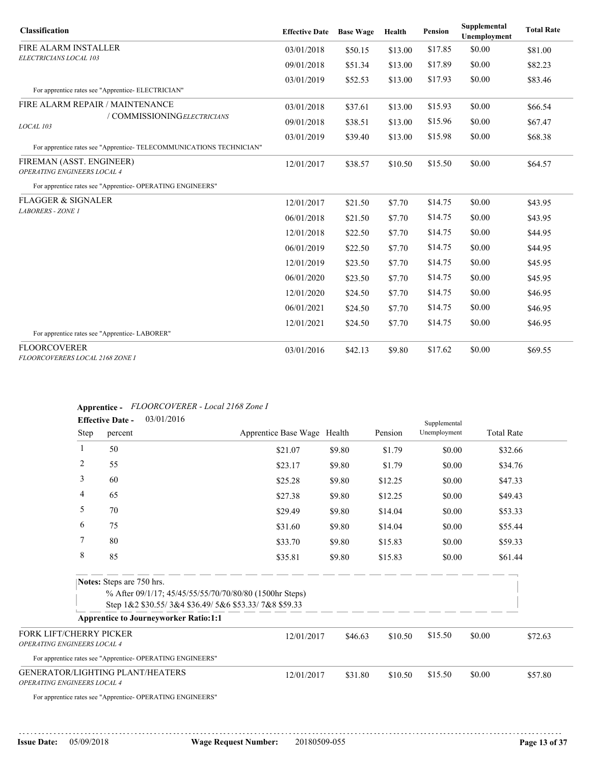| <b>Classification</b>                                               | <b>Effective Date</b> | <b>Base Wage</b> | Health  | <b>Pension</b> | Supplemental<br>Unemployment | <b>Total Rate</b> |
|---------------------------------------------------------------------|-----------------------|------------------|---------|----------------|------------------------------|-------------------|
| <b>FIRE ALARM INSTALLER</b>                                         | 03/01/2018            | \$50.15          | \$13.00 | \$17.85        | \$0.00                       | \$81.00           |
| ELECTRICIANS LOCAL 103                                              | 09/01/2018            | \$51.34          | \$13.00 | \$17.89        | \$0.00                       | \$82.23           |
| For apprentice rates see "Apprentice- ELECTRICIAN"                  | 03/01/2019            | \$52.53          | \$13.00 | \$17.93        | \$0.00                       | \$83.46           |
| FIRE ALARM REPAIR / MAINTENANCE                                     | 03/01/2018            | \$37.61          | \$13.00 | \$15.93        | \$0.00                       | \$66.54           |
| / COMMISSIONINGELECTRICIANS<br>LOCAL 103                            | 09/01/2018            | \$38.51          | \$13.00 | \$15.96        | \$0.00                       | \$67.47           |
| For apprentice rates see "Apprentice-TELECOMMUNICATIONS TECHNICIAN" | 03/01/2019            | \$39.40          | \$13.00 | \$15.98        | \$0.00                       | \$68.38           |
| FIREMAN (ASST. ENGINEER)<br>OPERATING ENGINEERS LOCAL 4             | 12/01/2017            | \$38.57          | \$10.50 | \$15.50        | \$0.00                       | \$64.57           |
| For apprentice rates see "Apprentice- OPERATING ENGINEERS"          |                       |                  |         |                |                              |                   |
| <b>FLAGGER &amp; SIGNALER</b>                                       | 12/01/2017            | \$21.50          | \$7.70  | \$14.75        | \$0.00                       | \$43.95           |
| <b>LABORERS - ZONE 1</b>                                            | 06/01/2018            | \$21.50          | \$7.70  | \$14.75        | \$0.00                       | \$43.95           |
|                                                                     | 12/01/2018            | \$22.50          | \$7.70  | \$14.75        | \$0.00                       | \$44.95           |
|                                                                     | 06/01/2019            | \$22.50          | \$7.70  | \$14.75        | \$0.00                       | \$44.95           |
|                                                                     | 12/01/2019            | \$23.50          | \$7.70  | \$14.75        | \$0.00                       | \$45.95           |
|                                                                     | 06/01/2020            | \$23.50          | \$7.70  | \$14.75        | \$0.00                       | \$45.95           |
|                                                                     | 12/01/2020            | \$24.50          | \$7.70  | \$14.75        | \$0.00                       | \$46.95           |
|                                                                     | 06/01/2021            | \$24.50          | \$7.70  | \$14.75        | \$0.00                       | \$46.95           |
| For apprentice rates see "Apprentice-LABORER"                       | 12/01/2021            | \$24.50          | \$7.70  | \$14.75        | \$0.00                       | \$46.95           |
| <b>FLOORCOVERER</b><br>FLOORCOVERERS LOCAL 2168 ZONE I              | 03/01/2016            | \$42.13          | \$9.80  | \$17.62        | \$0.00                       | \$69.55           |

## **Apprentice -** *FLOORCOVERER - Local 2168 Zone I*

| Step<br>percent                    | Apprentice Base Wage Health                                                                                                                                                                                                                                                 |                                                                                                                 |                          |                    |                    |                                                                           |
|------------------------------------|-----------------------------------------------------------------------------------------------------------------------------------------------------------------------------------------------------------------------------------------------------------------------------|-----------------------------------------------------------------------------------------------------------------|--------------------------|--------------------|--------------------|---------------------------------------------------------------------------|
|                                    |                                                                                                                                                                                                                                                                             |                                                                                                                 | Pension                  | Unemployment       | <b>Total Rate</b>  |                                                                           |
| 50                                 | \$21.07                                                                                                                                                                                                                                                                     | \$9.80                                                                                                          | \$1.79                   | \$0.00             | \$32.66            |                                                                           |
| $\overline{c}$<br>55               | \$23.17                                                                                                                                                                                                                                                                     | \$9.80                                                                                                          | \$1.79                   | \$0.00             |                    |                                                                           |
| 3<br>60                            | \$25.28                                                                                                                                                                                                                                                                     | \$9.80                                                                                                          | \$12.25                  | \$0.00             |                    |                                                                           |
| 4<br>65                            | \$27.38                                                                                                                                                                                                                                                                     | \$9.80                                                                                                          | \$12.25                  | \$0.00             |                    |                                                                           |
| 5<br>70                            | \$29.49                                                                                                                                                                                                                                                                     | \$9.80                                                                                                          | \$14.04                  | \$0.00             |                    |                                                                           |
| 6<br>75                            | \$31.60                                                                                                                                                                                                                                                                     | \$9.80                                                                                                          | \$14.04                  | \$0.00             |                    |                                                                           |
| 7<br>80                            | \$33.70                                                                                                                                                                                                                                                                     | \$9.80                                                                                                          | \$15.83                  | \$0.00             |                    |                                                                           |
| $\,8\,$<br>85                      | \$35.81                                                                                                                                                                                                                                                                     | \$9.80                                                                                                          | \$15.83                  | \$0.00             |                    |                                                                           |
|                                    |                                                                                                                                                                                                                                                                             |                                                                                                                 |                          |                    |                    |                                                                           |
|                                    |                                                                                                                                                                                                                                                                             |                                                                                                                 |                          |                    |                    |                                                                           |
|                                    |                                                                                                                                                                                                                                                                             |                                                                                                                 |                          |                    |                    |                                                                           |
|                                    |                                                                                                                                                                                                                                                                             |                                                                                                                 |                          |                    |                    |                                                                           |
| <b>OPERATING ENGINEERS LOCAL 4</b> |                                                                                                                                                                                                                                                                             |                                                                                                                 |                          | \$15.50            | \$0.00             | \$72.63                                                                   |
|                                    |                                                                                                                                                                                                                                                                             |                                                                                                                 |                          |                    |                    |                                                                           |
| OPERATING ENGINEERS LOCAL 4        |                                                                                                                                                                                                                                                                             |                                                                                                                 |                          | \$15.50            | \$0.00             | \$57.80                                                                   |
|                                    |                                                                                                                                                                                                                                                                             |                                                                                                                 |                          |                    |                    |                                                                           |
|                                    | Notes: Steps are 750 hrs.<br><b>Apprentice to Journeyworker Ratio:1:1</b><br>FORK LIFT/CHERRY PICKER<br>For apprentice rates see "Apprentice- OPERATING ENGINEERS"<br><b>GENERATOR/LIGHTING PLANT/HEATERS</b><br>For apprentice rates see "Apprentice- OPERATING ENGINEERS" | % After 09/1/17; 45/45/55/55/70/70/80/80 (1500hr Steps)<br>Step 1&2 \$30.55/3&4 \$36.49/5&6 \$53.33/7&8 \$59.33 | 12/01/2017<br>12/01/2017 | \$46.63<br>\$31.80 | \$10.50<br>\$10.50 | \$34.76<br>\$47.33<br>\$49.43<br>\$53.33<br>\$55.44<br>\$59.33<br>\$61.44 |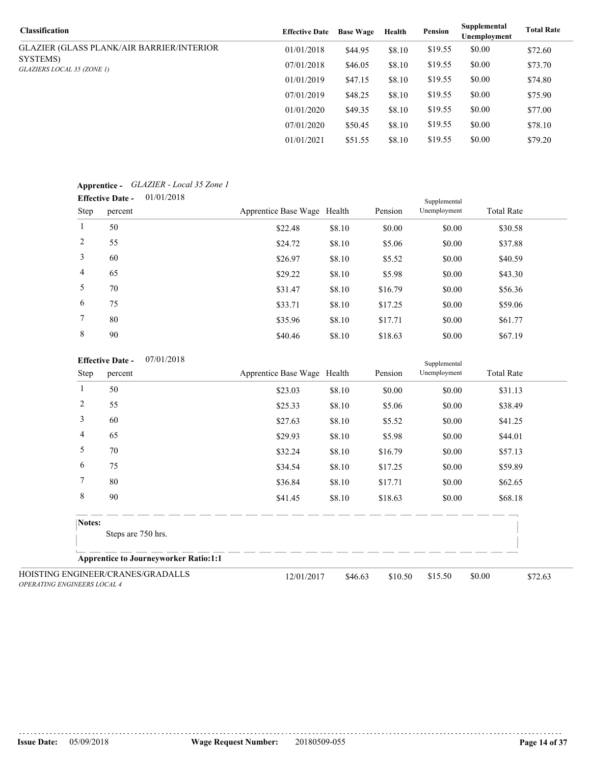| <b>Classification</b>                            | <b>Effective Date</b> | <b>Base Wage</b> | Health | Pension | Supplemental<br>Unemployment | <b>Total Rate</b> |
|--------------------------------------------------|-----------------------|------------------|--------|---------|------------------------------|-------------------|
| <b>GLAZIER (GLASS PLANK/AIR BARRIER/INTERIOR</b> | 01/01/2018            | \$44.95          | \$8.10 | \$19.55 | \$0.00                       | \$72.60           |
| SYSTEMS)<br>GLAZIERS LOCAL 35 (ZONE 1)           | 07/01/2018            | \$46.05          | \$8.10 | \$19.55 | \$0.00                       | \$73.70           |
|                                                  | 01/01/2019            | \$47.15          | \$8.10 | \$19.55 | \$0.00                       | \$74.80           |
|                                                  | 07/01/2019            | \$48.25          | \$8.10 | \$19.55 | \$0.00                       | \$75.90           |
|                                                  | 01/01/2020            | \$49.35          | \$8.10 | \$19.55 | \$0.00                       | \$77.00           |
|                                                  | 07/01/2020            | \$50.45          | \$8.10 | \$19.55 | \$0.00                       | \$78.10           |
|                                                  | 01/01/2021            | \$51.55          | \$8.10 | \$19.55 | \$0.00                       | \$79.20           |

## **Apprentice -** *GLAZIER - Local 35 Zone 1*

| <b>Effective Date -</b> | 01/01/2018 |
|-------------------------|------------|
|-------------------------|------------|

|                | 01/01/2018<br><b>Effective Date -</b> |                             |        |         | Supplemental |                   |  |  |
|----------------|---------------------------------------|-----------------------------|--------|---------|--------------|-------------------|--|--|
| Step           | percent                               | Apprentice Base Wage Health |        | Pension | Unemployment | <b>Total Rate</b> |  |  |
| $\mathbf{1}$   | 50                                    | \$22.48                     | \$8.10 | \$0.00  | \$0.00       | \$30.58           |  |  |
| 2              | 55                                    | \$24.72                     | \$8.10 | \$5.06  | \$0.00       | \$37.88           |  |  |
| 3              | 60                                    | \$26.97                     | \$8.10 | \$5.52  | \$0.00       | \$40.59           |  |  |
| $\overline{4}$ | 65                                    | \$29.22                     | \$8.10 | \$5.98  | \$0.00       | \$43.30           |  |  |
| 5              | 70                                    | \$31.47                     | \$8.10 | \$16.79 | \$0.00       | \$56.36           |  |  |
| 6              | 75                                    | \$33.71                     | \$8.10 | \$17.25 | \$0.00       | \$59.06           |  |  |
| $\tau$         | 80                                    | \$35.96                     | \$8.10 | \$17.71 | \$0.00       | \$61.77           |  |  |
| 8              | 90                                    | \$40.46                     | \$8.10 | \$18.63 | \$0.00       | \$67.19           |  |  |
|                |                                       |                             |        |         |              |                   |  |  |

### **Effective Date -** 07/01/2018

|                                    | 07/01/2018<br><b>Effective Date -</b>        |                             |         |         | Supplemental |                   |         |
|------------------------------------|----------------------------------------------|-----------------------------|---------|---------|--------------|-------------------|---------|
| Step                               | percent                                      | Apprentice Base Wage Health |         | Pension | Unemployment | <b>Total Rate</b> |         |
|                                    | 50                                           | \$23.03                     | \$8.10  | \$0.00  | \$0.00       | \$31.13           |         |
| $\overline{2}$                     | 55                                           | \$25.33                     | \$8.10  | \$5.06  | \$0.00       | \$38.49           |         |
| 3                                  | 60                                           | \$27.63                     | \$8.10  | \$5.52  | \$0.00       | \$41.25           |         |
| 4                                  | 65                                           | \$29.93                     | \$8.10  | \$5.98  | \$0.00       | \$44.01           |         |
| 5                                  | 70                                           | \$32.24                     | \$8.10  | \$16.79 | \$0.00       | \$57.13           |         |
| 6                                  | 75                                           | \$34.54                     | \$8.10  | \$17.25 | \$0.00       | \$59.89           |         |
| 7                                  | 80                                           | \$36.84                     | \$8.10  | \$17.71 | \$0.00       | \$62.65           |         |
| $\,8\,$                            | 90                                           | \$41.45                     | \$8.10  | \$18.63 | \$0.00       | \$68.18           |         |
| Notes:                             | Steps are 750 hrs.                           |                             |         |         |              |                   |         |
|                                    | <b>Apprentice to Journeyworker Ratio:1:1</b> |                             |         |         |              |                   |         |
| <b>OPERATING ENGINEERS LOCAL 4</b> | HOISTING ENGINEER/CRANES/GRADALLS            | 12/01/2017                  | \$46.63 | \$10.50 | \$15.50      | \$0.00            | \$72.63 |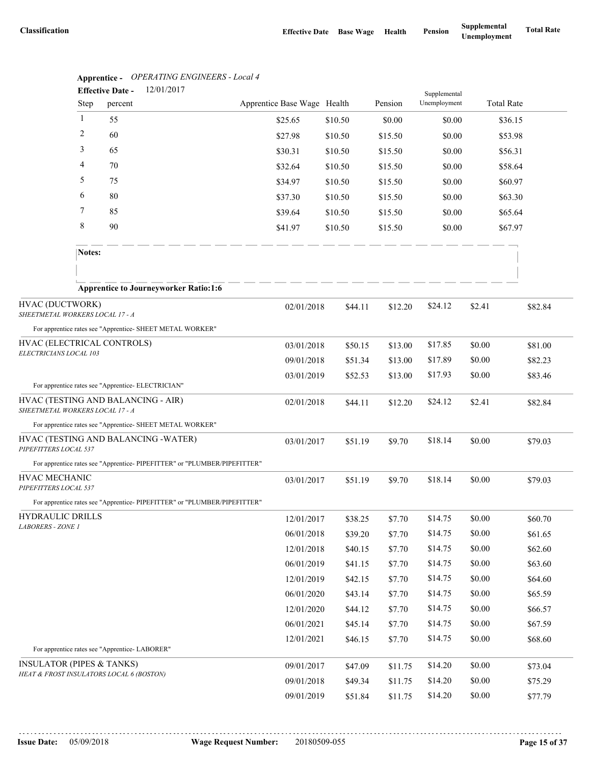|                                                    | $\Delta$ Apprenuce - Of ENATING ENGINEERS - Equal 4<br>12/01/2017<br><b>Effective Date -</b> |                             |         |         | Supplemental |                   |         |
|----------------------------------------------------|----------------------------------------------------------------------------------------------|-----------------------------|---------|---------|--------------|-------------------|---------|
| <b>Step</b>                                        | percent                                                                                      | Apprentice Base Wage Health |         | Pension | Unemployment | <b>Total Rate</b> |         |
| 1                                                  | 55                                                                                           | \$25.65                     | \$10.50 | \$0.00  | \$0.00       | \$36.15           |         |
| 2                                                  | 60                                                                                           | \$27.98                     | \$10.50 | \$15.50 | \$0.00       | \$53.98           |         |
| 3                                                  | 65                                                                                           | \$30.31                     | \$10.50 | \$15.50 | \$0.00       | \$56.31           |         |
| 4                                                  | 70                                                                                           | \$32.64                     | \$10.50 | \$15.50 | \$0.00       | \$58.64           |         |
| 5                                                  | 75                                                                                           | \$34.97                     | \$10.50 | \$15.50 | \$0.00       | \$60.97           |         |
| 6                                                  | 80                                                                                           | \$37.30                     | \$10.50 | \$15.50 | \$0.00       | \$63.30           |         |
| 7                                                  | 85                                                                                           | \$39.64                     | \$10.50 | \$15.50 | \$0.00       | \$65.64           |         |
| 8                                                  | 90                                                                                           | \$41.97                     | \$10.50 | \$15.50 | \$0.00       | \$67.97           |         |
| Notes:                                             |                                                                                              |                             |         |         |              |                   |         |
|                                                    |                                                                                              |                             |         |         |              |                   |         |
|                                                    | <b>Apprentice to Journeyworker Ratio:1:6</b>                                                 |                             |         |         |              |                   |         |
| HVAC (DUCTWORK)<br>SHEETMETAL WORKERS LOCAL 17 - A |                                                                                              | 02/01/2018                  | \$44.11 | \$12.20 | \$24.12      | \$2.41            | \$82.84 |
|                                                    | For apprentice rates see "Apprentice- SHEET METAL WORKER"                                    |                             |         |         |              |                   |         |
| HVAC (ELECTRICAL CONTROLS)                         |                                                                                              | 03/01/2018                  | \$50.15 | \$13.00 | \$17.85      | \$0.00            | \$81.00 |
| ELECTRICIANS LOCAL 103                             | 09/01/2018                                                                                   | \$51.34                     | \$13.00 | \$17.89 | \$0.00       | \$82.23           |         |
|                                                    |                                                                                              | 03/01/2019                  | \$52.53 | \$13.00 | \$17.93      | \$0.00            | \$83.46 |
|                                                    | For apprentice rates see "Apprentice- ELECTRICIAN"                                           |                             |         |         |              |                   |         |
| SHEETMETAL WORKERS LOCAL 17 - A                    | HVAC (TESTING AND BALANCING - AIR)                                                           | 02/01/2018                  | \$44.11 | \$12.20 | \$24.12      | \$2.41            | \$82.84 |
|                                                    | For apprentice rates see "Apprentice- SHEET METAL WORKER"                                    |                             |         |         |              |                   |         |
| PIPEFITTERS LOCAL 537                              | HVAC (TESTING AND BALANCING -WATER)                                                          | 03/01/2017                  | \$51.19 | \$9.70  | \$18.14      | \$0.00            | \$79.03 |
|                                                    | For apprentice rates see "Apprentice- PIPEFITTER" or "PLUMBER/PIPEFITTER"                    |                             |         |         |              |                   |         |
| HVAC MECHANIC<br>PIPEFITTERS LOCAL 537             |                                                                                              | 03/01/2017                  | \$51.19 | \$9.70  | \$18.14      | \$0.00            | \$79.03 |
|                                                    | For apprentice rates see "Apprentice-PIPEFITTER" or "PLUMBER/PIPEFITTER"                     |                             |         |         |              |                   |         |
| HYDRAULIC DRILLS                                   |                                                                                              | 12/01/2017                  | \$38.25 | \$7.70  | \$14.75      | \$0.00            | \$60.70 |
| LABORERS - ZONE 1                                  |                                                                                              | 06/01/2018                  | \$39.20 | \$7.70  | \$14.75      | \$0.00            | \$61.65 |
|                                                    |                                                                                              | 12/01/2018                  | \$40.15 | \$7.70  | \$14.75      | \$0.00            | \$62.60 |
|                                                    |                                                                                              | 06/01/2019                  | \$41.15 | \$7.70  | \$14.75      | \$0.00            | \$63.60 |
|                                                    |                                                                                              | 12/01/2019                  | \$42.15 | \$7.70  | \$14.75      | \$0.00            | \$64.60 |
|                                                    |                                                                                              | 06/01/2020                  | \$43.14 | \$7.70  | \$14.75      | \$0.00            | \$65.59 |
|                                                    |                                                                                              | 12/01/2020                  | \$44.12 | \$7.70  | \$14.75      | \$0.00            | \$66.57 |
|                                                    |                                                                                              | 06/01/2021                  | \$45.14 | \$7.70  | \$14.75      | \$0.00            | \$67.59 |
|                                                    |                                                                                              | 12/01/2021                  | \$46.15 | \$7.70  | \$14.75      | \$0.00            | \$68.60 |
|                                                    | For apprentice rates see "Apprentice-LABORER"                                                |                             |         |         |              |                   |         |
| <b>INSULATOR (PIPES &amp; TANKS)</b>               | HEAT & FROST INSULATORS LOCAL 6 (BOSTON)                                                     | 09/01/2017                  | \$47.09 | \$11.75 | \$14.20      | \$0.00            | \$73.04 |
|                                                    |                                                                                              | 09/01/2018                  | \$49.34 | \$11.75 | \$14.20      | \$0.00            | \$75.29 |
|                                                    |                                                                                              | 09/01/2019                  | \$51.84 | \$11.75 | \$14.20      | \$0.00            | \$77.79 |

# **Apprentice -** *OPERATING ENGINEERS - Local 4*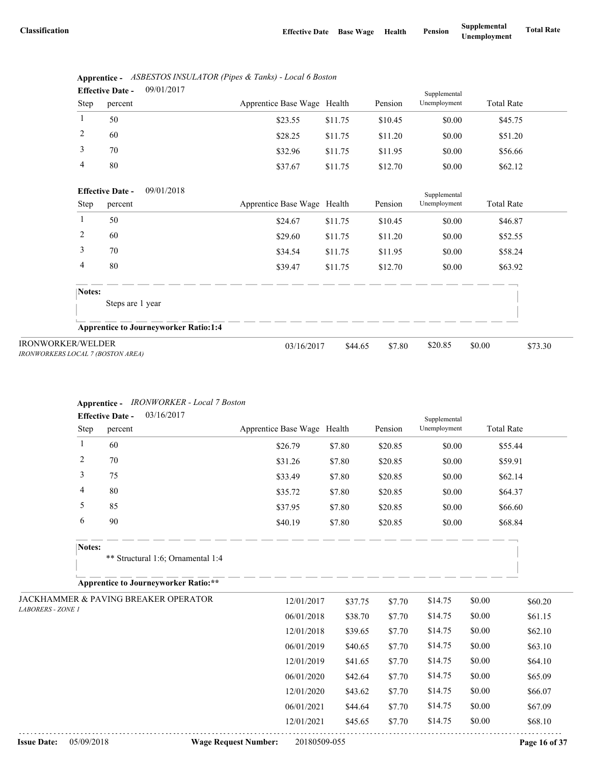|      | <b>Effective Date -</b> | 09/01/2017 |                             |         |         | Supplemental |                   |
|------|-------------------------|------------|-----------------------------|---------|---------|--------------|-------------------|
| Step | percent                 |            | Apprentice Base Wage Health |         | Pension | Unemployment | <b>Total Rate</b> |
|      | 50                      |            | \$23.55                     | \$11.75 | \$10.45 | \$0.00       | \$45.75           |
| 2    | 60                      |            | \$28.25                     | \$11.75 | \$11.20 | \$0.00       | \$51.20           |
| 3    | 70                      |            | \$32.96                     | \$11.75 | \$11.95 | \$0.00       | \$56.66           |
| 4    | 80                      |            | \$37.67                     | \$11.75 | \$12.70 | \$0.00       | \$62.12           |

|                                          | Apprentice - ASBESTOS INSULATOR (Pipes & Tanks) - Local 6 Boston |
|------------------------------------------|------------------------------------------------------------------|
| $\Gamma_{\rm eff}$ at $\Gamma_{\rm eff}$ | 0.01/2017                                                        |

|                                                               | 09/01/2018<br><b>Effective Date -</b>        |                             |         |         | Supplemental |                   |  |
|---------------------------------------------------------------|----------------------------------------------|-----------------------------|---------|---------|--------------|-------------------|--|
| <b>Step</b>                                                   | percent                                      | Apprentice Base Wage Health |         | Pension | Unemployment | <b>Total Rate</b> |  |
|                                                               | 50                                           | \$24.67                     | \$11.75 | \$10.45 | \$0.00       | \$46.87           |  |
| 2                                                             | 60                                           | \$29.60                     | \$11.75 | \$11.20 | \$0.00       | \$52.55           |  |
| 3                                                             | 70                                           | \$34.54                     | \$11.75 | \$11.95 | \$0.00       | \$58.24           |  |
| 4                                                             | 80                                           | \$39.47                     | \$11.75 | \$12.70 | \$0.00       | \$63.92           |  |
| Notes:                                                        |                                              |                             |         |         |              |                   |  |
|                                                               | Steps are 1 year                             |                             |         |         |              |                   |  |
|                                                               | <b>Apprentice to Journeyworker Ratio:1:4</b> |                             |         |         |              |                   |  |
| <b>IRONWORKER/WELDER</b><br>IRONWORKERS LOCAL 7 (BOSTON AREA) |                                              | 03/16/2017                  | \$44.65 | \$7.80  | \$20.85      | \$0.00<br>\$73.30 |  |

# **Apprentice -** *IRONWORKER - Local 7 Boston*

|                                  | 03/16/2017<br><b>Effective Date -</b>           |                             |              |         | Supplemental |                   |               |
|----------------------------------|-------------------------------------------------|-----------------------------|--------------|---------|--------------|-------------------|---------------|
| Step                             | percent                                         | Apprentice Base Wage Health |              | Pension | Unemployment | <b>Total Rate</b> |               |
| $\mathbf{1}$                     | 60                                              | \$26.79                     | \$7.80       | \$20.85 | \$0.00       | \$55.44           |               |
| $\overline{c}$                   | 70                                              | \$31.26                     | \$7.80       | \$20.85 | \$0.00       | \$59.91           |               |
| 3                                | 75                                              | \$33.49                     | \$7.80       | \$20.85 | \$0.00       | \$62.14           |               |
| 4                                | 80                                              | \$35.72                     | \$7.80       | \$20.85 | \$0.00       | \$64.37           |               |
| 5                                | 85                                              | \$37.95                     | \$7.80       | \$20.85 | \$0.00       | \$66.60           |               |
| 6                                | 90                                              | \$40.19                     | \$7.80       | \$20.85 | \$0.00       | \$68.84           |               |
| Notes:                           |                                                 |                             |              |         |              |                   |               |
|                                  | ** Structural 1:6; Ornamental 1:4               |                             |              |         |              |                   |               |
|                                  | <b>Apprentice to Journeyworker Ratio:**</b>     |                             |              |         |              |                   |               |
|                                  | <b>JACKHAMMER &amp; PAVING BREAKER OPERATOR</b> | 12/01/2017                  | \$37.75      | \$7.70  | \$14.75      | \$0.00            | \$60.20       |
| <b>LABORERS - ZONE 1</b>         |                                                 | 06/01/2018                  | \$38.70      | \$7.70  | \$14.75      | \$0.00            | \$61.15       |
|                                  |                                                 | 12/01/2018                  | \$39.65      | \$7.70  | \$14.75      | \$0.00            | \$62.10       |
|                                  |                                                 | 06/01/2019                  | \$40.65      | \$7.70  | \$14.75      | \$0.00            | \$63.10       |
|                                  |                                                 | 12/01/2019                  | \$41.65      | \$7.70  | \$14.75      | \$0.00            | \$64.10       |
|                                  |                                                 | 06/01/2020                  | \$42.64      | \$7.70  | \$14.75      | \$0.00            | \$65.09       |
|                                  |                                                 | 12/01/2020                  | \$43.62      | \$7.70  | \$14.75      | \$0.00            | \$66.07       |
|                                  |                                                 | 06/01/2021                  | \$44.64      | \$7.70  | \$14.75      | \$0.00            | \$67.09       |
|                                  |                                                 | 12/01/2021                  | \$45.65      | \$7.70  | \$14.75      | \$0.00            | \$68.10       |
| <b>Issue Date:</b><br>05/09/2018 |                                                 | <b>Wage Request Number:</b> | 20180509-055 |         |              |                   | Page 16 of 37 |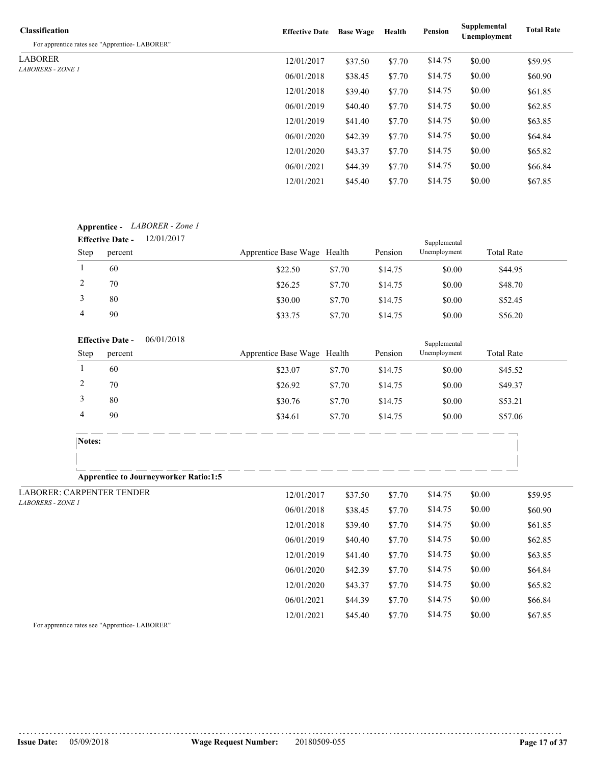| <b>Classification</b><br>For apprentice rates see "Apprentice-LABORER" | <b>Effective Date</b> | <b>Base Wage</b> | Health | Pension | Supplemental<br>Unemployment | <b>Total Rate</b> |
|------------------------------------------------------------------------|-----------------------|------------------|--------|---------|------------------------------|-------------------|
| <b>LABORER</b>                                                         | 12/01/2017            | \$37.50          | \$7.70 | \$14.75 | \$0.00                       | \$59.95           |
| <i>LABORERS - ZONE 1</i>                                               | 06/01/2018            | \$38.45          | \$7.70 | \$14.75 | \$0.00                       | \$60.90           |
|                                                                        | 12/01/2018            | \$39.40          | \$7.70 | \$14.75 | \$0.00                       | \$61.85           |
|                                                                        | 06/01/2019            | \$40.40          | \$7.70 | \$14.75 | \$0.00                       | \$62.85           |
|                                                                        | 12/01/2019            | \$41.40          | \$7.70 | \$14.75 | \$0.00                       | \$63.85           |
|                                                                        | 06/01/2020            | \$42.39          | \$7.70 | \$14.75 | \$0.00                       | \$64.84           |
|                                                                        | 12/01/2020            | \$43.37          | \$7.70 | \$14.75 | \$0.00                       | \$65.82           |
|                                                                        | 06/01/2021            | \$44.39          | \$7.70 | \$14.75 | \$0.00                       | \$66.84           |
|                                                                        | 12/01/2021            | \$45.40          | \$7.70 | \$14.75 | \$0.00                       | \$67.85           |

## **Apprentice -** *LABORER - Zone 1*

|      | <b>Effective Date -</b> | 12/01/2017 |                             |        |         | Supplemental |                   |
|------|-------------------------|------------|-----------------------------|--------|---------|--------------|-------------------|
| Step | percent                 |            | Apprentice Base Wage Health |        | Pension | Unemployment | <b>Total Rate</b> |
|      | 60                      |            | \$22.50                     | \$7.70 | \$14.75 | \$0.00       | \$44.95           |
| ∠    | 70                      |            | \$26.25                     | \$7.70 | \$14.75 | \$0.00       | \$48.70           |
|      | 80                      |            | \$30.00                     | \$7.70 | \$14.75 | \$0.00       | \$52.45           |
| 4    | 90                      |            | \$33.75                     | \$7.70 | \$14.75 | \$0.00       | \$56.20           |

#### **Effective Date -** 06/01/2018

|             | <b>Effective Date -</b> | 06/01/2018                                   |                             |        |         | Supplemental |                   |  |
|-------------|-------------------------|----------------------------------------------|-----------------------------|--------|---------|--------------|-------------------|--|
| <b>Step</b> | percent                 |                                              | Apprentice Base Wage Health |        | Pension | Unemployment | <b>Total Rate</b> |  |
|             | 60                      |                                              | \$23.07                     | \$7.70 | \$14.75 | \$0.00       | \$45.52           |  |
|             | 70                      |                                              | \$26.92                     | \$7.70 | \$14.75 | \$0.00       | \$49.37           |  |
| 3           | 80                      |                                              | \$30.76                     | \$7.70 | \$14.75 | \$0.00       | \$53.21           |  |
| 4           | 90                      |                                              | \$34.61                     | \$7.70 | \$14.75 | \$0.00       | \$57.06           |  |
|             |                         |                                              |                             |        |         |              |                   |  |
| Notes:      |                         |                                              |                             |        |         |              |                   |  |
|             |                         |                                              |                             |        |         |              |                   |  |
|             |                         | <b>Apprentice to Journeyworker Ratio:1:5</b> |                             |        |         |              |                   |  |

| LABORER: CARPENTER TENDER | 12/01/2017 | \$37.50 | \$7.70 | \$14.75 | \$0.00 | \$59.95 |  |
|---------------------------|------------|---------|--------|---------|--------|---------|--|
| <i>LABORERS - ZONE 1</i>  | 06/01/2018 | \$38.45 | \$7.70 | \$14.75 | \$0.00 | \$60.90 |  |
|                           | 12/01/2018 | \$39.40 | \$7.70 | \$14.75 | \$0.00 | \$61.85 |  |
|                           | 06/01/2019 | \$40.40 | \$7.70 | \$14.75 | \$0.00 | \$62.85 |  |
|                           | 12/01/2019 | \$41.40 | \$7.70 | \$14.75 | \$0.00 | \$63.85 |  |
|                           | 06/01/2020 | \$42.39 | \$7.70 | \$14.75 | \$0.00 | \$64.84 |  |
|                           | 12/01/2020 | \$43.37 | \$7.70 | \$14.75 | \$0.00 | \$65.82 |  |
|                           | 06/01/2021 | \$44.39 | \$7.70 | \$14.75 | \$0.00 | \$66.84 |  |
|                           | 12/01/2021 | \$45.40 | \$7.70 | \$14.75 | \$0.00 | \$67.85 |  |

For apprentice rates see "Apprentice- LABORER"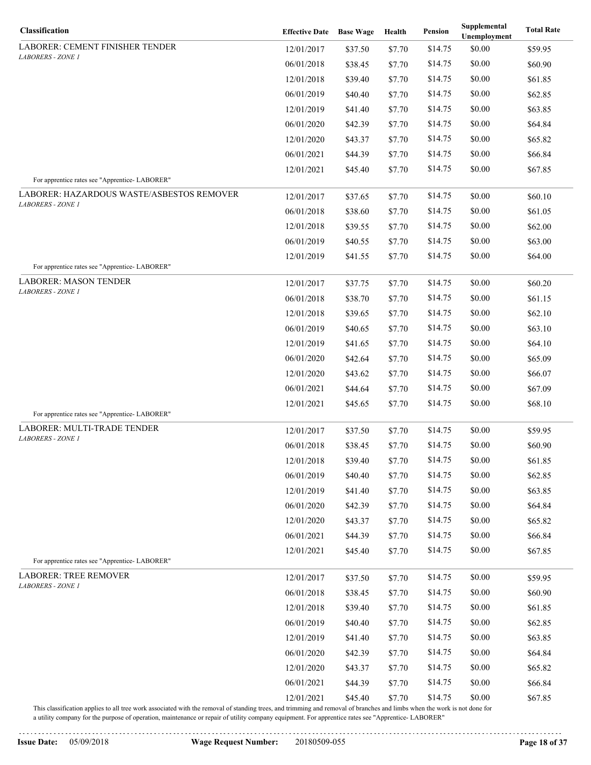| Classification                                                        | <b>Effective Date</b> Base Wage |         | Health | Pension | Supplemental<br>Unemployment | <b>Total Rate</b> |
|-----------------------------------------------------------------------|---------------------------------|---------|--------|---------|------------------------------|-------------------|
| LABORER: CEMENT FINISHER TENDER                                       | 12/01/2017                      | \$37.50 | \$7.70 | \$14.75 | \$0.00                       | \$59.95           |
| <b>LABORERS - ZONE 1</b>                                              | 06/01/2018                      | \$38.45 | \$7.70 | \$14.75 | \$0.00                       | \$60.90           |
|                                                                       | 12/01/2018                      | \$39.40 | \$7.70 | \$14.75 | \$0.00                       | \$61.85           |
|                                                                       | 06/01/2019                      | \$40.40 | \$7.70 | \$14.75 | \$0.00                       | \$62.85           |
|                                                                       | 12/01/2019                      | \$41.40 | \$7.70 | \$14.75 | \$0.00                       | \$63.85           |
|                                                                       | 06/01/2020                      | \$42.39 | \$7.70 | \$14.75 | \$0.00                       | \$64.84           |
|                                                                       | 12/01/2020                      | \$43.37 | \$7.70 | \$14.75 | \$0.00                       | \$65.82           |
|                                                                       | 06/01/2021                      | \$44.39 | \$7.70 | \$14.75 | \$0.00                       | \$66.84           |
|                                                                       | 12/01/2021                      | \$45.40 | \$7.70 | \$14.75 | \$0.00                       | \$67.85           |
| For apprentice rates see "Apprentice-LABORER"                         |                                 |         |        |         |                              |                   |
| LABORER: HAZARDOUS WASTE/ASBESTOS REMOVER<br><b>LABORERS - ZONE 1</b> | 12/01/2017                      | \$37.65 | \$7.70 | \$14.75 | \$0.00                       | \$60.10           |
|                                                                       | 06/01/2018                      | \$38.60 | \$7.70 | \$14.75 | \$0.00                       | \$61.05           |
|                                                                       | 12/01/2018                      | \$39.55 | \$7.70 | \$14.75 | \$0.00                       | \$62.00           |
|                                                                       | 06/01/2019                      | \$40.55 | \$7.70 | \$14.75 | \$0.00                       | \$63.00           |
|                                                                       | 12/01/2019                      | \$41.55 | \$7.70 | \$14.75 | \$0.00                       | \$64.00           |
| For apprentice rates see "Apprentice-LABORER"                         |                                 |         |        |         |                              |                   |
| LABORER: MASON TENDER<br>LABORERS - ZONE 1                            | 12/01/2017                      | \$37.75 | \$7.70 | \$14.75 | \$0.00                       | \$60.20           |
|                                                                       | 06/01/2018                      | \$38.70 | \$7.70 | \$14.75 | \$0.00                       | \$61.15           |
|                                                                       | 12/01/2018                      | \$39.65 | \$7.70 | \$14.75 | \$0.00                       | \$62.10           |
|                                                                       | 06/01/2019                      | \$40.65 | \$7.70 | \$14.75 | \$0.00                       | \$63.10           |
|                                                                       | 12/01/2019                      | \$41.65 | \$7.70 | \$14.75 | \$0.00                       | \$64.10           |
|                                                                       | 06/01/2020                      | \$42.64 | \$7.70 | \$14.75 | \$0.00                       | \$65.09           |
|                                                                       | 12/01/2020                      | \$43.62 | \$7.70 | \$14.75 | \$0.00                       | \$66.07           |
|                                                                       | 06/01/2021                      | \$44.64 | \$7.70 | \$14.75 | \$0.00                       | \$67.09           |
| For apprentice rates see "Apprentice-LABORER"                         | 12/01/2021                      | \$45.65 | \$7.70 | \$14.75 | \$0.00                       | \$68.10           |
| LABORER: MULTI-TRADE TENDER                                           | 12/01/2017                      | \$37.50 | \$7.70 | \$14.75 | \$0.00                       | \$59.95           |
| LABORERS - ZONE 1                                                     | 06/01/2018                      | \$38.45 | \$7.70 | \$14.75 | \$0.00                       | \$60.90           |
|                                                                       | 12/01/2018                      | \$39.40 | \$7.70 | \$14.75 | \$0.00                       | \$61.85           |
|                                                                       | 06/01/2019                      | \$40.40 | \$7.70 | \$14.75 | \$0.00                       | \$62.85           |
|                                                                       | 12/01/2019                      | \$41.40 | \$7.70 | \$14.75 | \$0.00                       | \$63.85           |
|                                                                       | 06/01/2020                      | \$42.39 | \$7.70 | \$14.75 | \$0.00                       | \$64.84           |
|                                                                       | 12/01/2020                      | \$43.37 | \$7.70 | \$14.75 | \$0.00                       | \$65.82           |
|                                                                       | 06/01/2021                      | \$44.39 | \$7.70 | \$14.75 | \$0.00                       | \$66.84           |
|                                                                       | 12/01/2021                      | \$45.40 | \$7.70 | \$14.75 | \$0.00                       | \$67.85           |
| For apprentice rates see "Apprentice-LABORER"                         |                                 |         |        |         |                              |                   |
| <b>LABORER: TREE REMOVER</b>                                          | 12/01/2017                      | \$37.50 | \$7.70 | \$14.75 | \$0.00                       | \$59.95           |
| <b>LABORERS - ZONE 1</b>                                              | 06/01/2018                      | \$38.45 | \$7.70 | \$14.75 | \$0.00                       | \$60.90           |
|                                                                       | 12/01/2018                      | \$39.40 | \$7.70 | \$14.75 | \$0.00                       | \$61.85           |
|                                                                       | 06/01/2019                      | \$40.40 | \$7.70 | \$14.75 | \$0.00                       | \$62.85           |
|                                                                       | 12/01/2019                      | \$41.40 | \$7.70 | \$14.75 | \$0.00                       | \$63.85           |
|                                                                       | 06/01/2020                      | \$42.39 | \$7.70 | \$14.75 | \$0.00                       | \$64.84           |
|                                                                       | 12/01/2020                      | \$43.37 | \$7.70 | \$14.75 | \$0.00                       | \$65.82           |
|                                                                       | 06/01/2021                      | \$44.39 | \$7.70 | \$14.75 | \$0.00                       | \$66.84           |
|                                                                       | 12/01/2021                      | \$45.40 | \$7.70 | \$14.75 | \$0.00                       | \$67.85           |

a utility company for the purpose of operation, maintenance or repair of utility company equipment. For apprentice rates see "Apprentice- LABORER"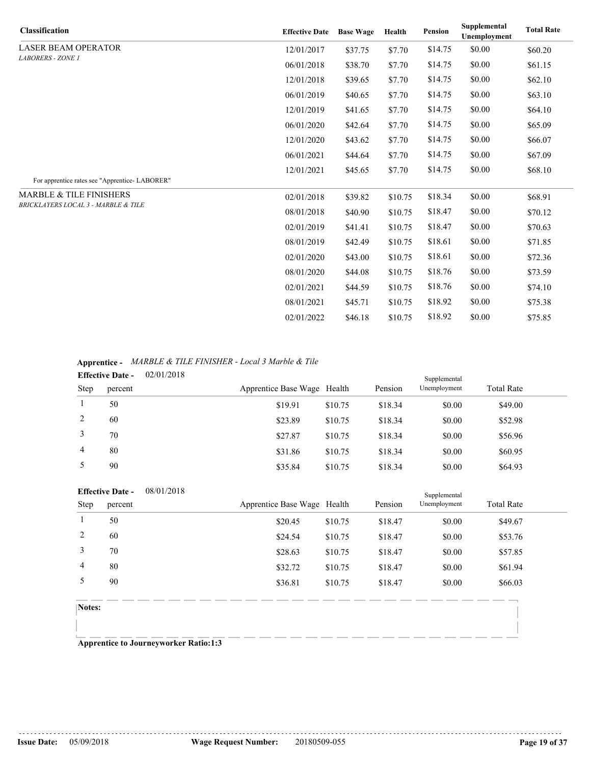| <b>Classification</b>                         | <b>Effective Date</b> | <b>Base Wage</b> | Health  | Pension | Supplemental<br>Unemployment | <b>Total Rate</b> |
|-----------------------------------------------|-----------------------|------------------|---------|---------|------------------------------|-------------------|
| <b>LASER BEAM OPERATOR</b>                    | 12/01/2017            | \$37.75          | \$7.70  | \$14.75 | \$0.00                       | \$60.20           |
| <b>LABORERS - ZONE 1</b>                      | 06/01/2018            | \$38.70          | \$7.70  | \$14.75 | \$0.00                       | \$61.15           |
|                                               | 12/01/2018            | \$39.65          | \$7.70  | \$14.75 | \$0.00                       | \$62.10           |
|                                               | 06/01/2019            | \$40.65          | \$7.70  | \$14.75 | \$0.00                       | \$63.10           |
|                                               | 12/01/2019            | \$41.65          | \$7.70  | \$14.75 | \$0.00                       | \$64.10           |
|                                               | 06/01/2020            | \$42.64          | \$7.70  | \$14.75 | \$0.00                       | \$65.09           |
|                                               | 12/01/2020            | \$43.62          | \$7.70  | \$14.75 | \$0.00                       | \$66.07           |
|                                               | 06/01/2021            | \$44.64          | \$7.70  | \$14.75 | \$0.00                       | \$67.09           |
|                                               | 12/01/2021            | \$45.65          | \$7.70  | \$14.75 | \$0.00                       | \$68.10           |
| For apprentice rates see "Apprentice-LABORER" |                       |                  |         |         |                              |                   |
| <b>MARBLE &amp; TILE FINISHERS</b>            | 02/01/2018            | \$39.82          | \$10.75 | \$18.34 | \$0.00                       | \$68.91           |
| BRICKLAYERS LOCAL 3 - MARBLE & TILE           | 08/01/2018            | \$40.90          | \$10.75 | \$18.47 | \$0.00                       | \$70.12           |
|                                               | 02/01/2019            | \$41.41          | \$10.75 | \$18.47 | \$0.00                       | \$70.63           |
|                                               | 08/01/2019            | \$42.49          | \$10.75 | \$18.61 | \$0.00                       | \$71.85           |
|                                               | 02/01/2020            | \$43.00          | \$10.75 | \$18.61 | \$0.00                       | \$72.36           |
|                                               | 08/01/2020            | \$44.08          | \$10.75 | \$18.76 | \$0.00                       | \$73.59           |
|                                               | 02/01/2021            | \$44.59          | \$10.75 | \$18.76 | \$0.00                       | \$74.10           |
|                                               | 08/01/2021            | \$45.71          | \$10.75 | \$18.92 | \$0.00                       | \$75.38           |
|                                               | 02/01/2022            | \$46.18          | \$10.75 | \$18.92 | \$0.00                       | \$75.85           |

**Apprentice -** *MARBLE & TILE FINISHER - Local 3 Marble & Tile*

|             | <b>Effective Date -</b> | 02/01/2018 |                             |         |         | Supplemental |                   |  |
|-------------|-------------------------|------------|-----------------------------|---------|---------|--------------|-------------------|--|
| <b>Step</b> | percent                 |            | Apprentice Base Wage Health |         | Pension | Unemployment | <b>Total Rate</b> |  |
|             | 50                      |            | \$19.91                     | \$10.75 | \$18.34 | \$0.00       | \$49.00           |  |
|             | 60                      |            | \$23.89                     | \$10.75 | \$18.34 | \$0.00       | \$52.98           |  |
|             | 70                      |            | \$27.87                     | \$10.75 | \$18.34 | \$0.00       | \$56.96           |  |
| 4           | 80                      |            | \$31.86                     | \$10.75 | \$18.34 | \$0.00       | \$60.95           |  |
|             | 90                      |            | \$35.84                     | \$10.75 | \$18.34 | \$0.00       | \$64.93           |  |

|                | <b>Effective Date -</b> | 08/01/2018 |                             |         |         | Supplemental |                   |  |
|----------------|-------------------------|------------|-----------------------------|---------|---------|--------------|-------------------|--|
| Step           | percent                 |            | Apprentice Base Wage Health |         | Pension | Unemployment | <b>Total Rate</b> |  |
|                | 50                      |            | \$20.45                     | \$10.75 | \$18.47 | \$0.00       | \$49.67           |  |
| 2              | 60                      |            | \$24.54                     | \$10.75 | \$18.47 | \$0.00       | \$53.76           |  |
| 3              | 70                      |            | \$28.63                     | \$10.75 | \$18.47 | \$0.00       | \$57.85           |  |
| $\overline{4}$ | 80                      |            | \$32.72                     | \$10.75 | \$18.47 | \$0.00       | \$61.94           |  |
| 5              | 90                      |            | \$36.81                     | \$10.75 | \$18.47 | \$0.00       | \$66.03           |  |
|                |                         |            |                             |         |         |              |                   |  |
| Notes:         |                         |            |                             |         |         |              |                   |  |
|                |                         |            |                             |         |         |              |                   |  |

**Apprentice to Journeyworker Ratio:1:3**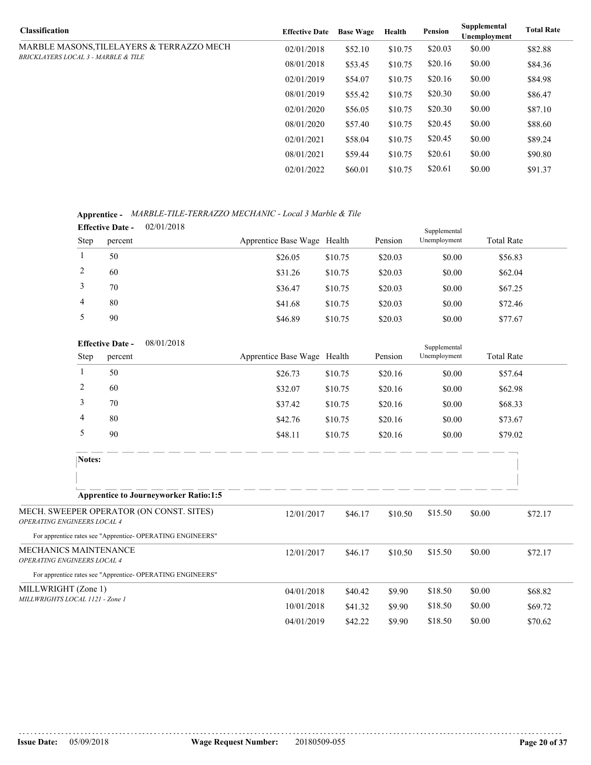| <b>Effective Date</b> | <b>Base Wage</b> | Health  | Pension | Supplemental<br>Unemployment | <b>Total Rate</b> |
|-----------------------|------------------|---------|---------|------------------------------|-------------------|
| 02/01/2018            | \$52.10          | \$10.75 | \$20.03 | \$0.00                       | \$82.88           |
| 08/01/2018            | \$53.45          | \$10.75 | \$20.16 | \$0.00                       | \$84.36           |
| 02/01/2019            | \$54.07          | \$10.75 | \$20.16 | \$0.00                       | \$84.98           |
| 08/01/2019            | \$55.42          | \$10.75 | \$20.30 | \$0.00                       | \$86.47           |
| 02/01/2020            | \$56.05          | \$10.75 | \$20.30 | \$0.00                       | \$87.10           |
| 08/01/2020            | \$57.40          | \$10.75 | \$20.45 | \$0.00                       | \$88.60           |
| 02/01/2021            | \$58.04          | \$10.75 | \$20.45 | \$0.00                       | \$89.24           |
| 08/01/2021            | \$59.44          | \$10.75 | \$20.61 | \$0.00                       | \$90.80           |
| 02/01/2022            | \$60.01          | \$10.75 | \$20.61 | \$0.00                       | \$91.37           |
|                       |                  |         |         |                              |                   |

**Apprentice -** *MARBLE-TILE-TERRAZZO MECHANIC - Local 3 Marble & Tile*

|      | <b>Effective Date -</b> | 02/01/2018 |                             |         |         | Supplemental |                   |
|------|-------------------------|------------|-----------------------------|---------|---------|--------------|-------------------|
| Step | percent                 |            | Apprentice Base Wage Health |         | Pension | Unemployment | <b>Total Rate</b> |
|      | 50                      |            | \$26.05                     | \$10.75 | \$20.03 | \$0.00       | \$56.83           |
| ∠    | 60                      |            | \$31.26                     | \$10.75 | \$20.03 | \$0.00       | \$62.04           |
|      | 70                      |            | \$36.47                     | \$10.75 | \$20.03 | \$0.00       | \$67.25           |
| 4    | 80                      |            | \$41.68                     | \$10.75 | \$20.03 | \$0.00       | \$72.46           |
|      | 90                      |            | \$46.89                     | \$10.75 | \$20.03 | \$0.00       | \$77.67           |

|                                                             | 08/01/2018<br><b>Effective Date -</b>                      |                             |                       |         | Supplemental |                   |         |
|-------------------------------------------------------------|------------------------------------------------------------|-----------------------------|-----------------------|---------|--------------|-------------------|---------|
| Step                                                        | percent                                                    | Apprentice Base Wage Health |                       | Pension | Unemployment | <b>Total Rate</b> |         |
| 1                                                           | 50                                                         | \$26.73                     | \$10.75               | \$20.16 | \$0.00       | \$57.64           |         |
| $\overline{2}$                                              | 60                                                         | \$32.07                     | \$10.75               | \$20.16 | \$0.00       | \$62.98           |         |
| 3                                                           | 70                                                         | \$37.42                     | \$10.75               | \$20.16 | \$0.00       | \$68.33           |         |
| 4                                                           | 80                                                         | \$42.76                     | \$10.75               | \$20.16 | \$0.00       | \$73.67           |         |
| 5                                                           | 90                                                         | \$48.11                     | \$10.75               | \$20.16 | \$0.00       | \$79.02           |         |
| Notes:                                                      |                                                            |                             |                       |         |              |                   |         |
|                                                             | <b>Apprentice to Journeyworker Ratio:1:5</b>               |                             |                       |         |              |                   |         |
| <b>OPERATING ENGINEERS LOCAL 4</b>                          | MECH. SWEEPER OPERATOR (ON CONST. SITES)                   | 12/01/2017                  | \$46.17               | \$10.50 | \$15.50      | \$0.00            | \$72.17 |
|                                                             | For apprentice rates see "Apprentice- OPERATING ENGINEERS" |                             |                       |         |              |                   |         |
| MECHANICS MAINTENANCE<br><b>OPERATING ENGINEERS LOCAL 4</b> |                                                            | 12/01/2017                  | \$46.17               | \$10.50 | \$15.50      | \$0.00            | \$72.17 |
|                                                             | For apprentice rates see "Apprentice- OPERATING ENGINEERS" |                             |                       |         |              |                   |         |
|                                                             | MILLWRIGHT (Zone 1)                                        |                             | 04/01/2018<br>\$40.42 | \$9.90  | \$18.50      | \$0.00            | \$68.82 |
| MILLWRIGHTS LOCAL 1121 - Zone 1                             |                                                            | 10/01/2018                  | \$41.32               | \$9.90  | \$18.50      | \$0.00            | \$69.72 |

04/01/2019 \$42.22 \$9.90 \$18.50 \$0.00 \$70.62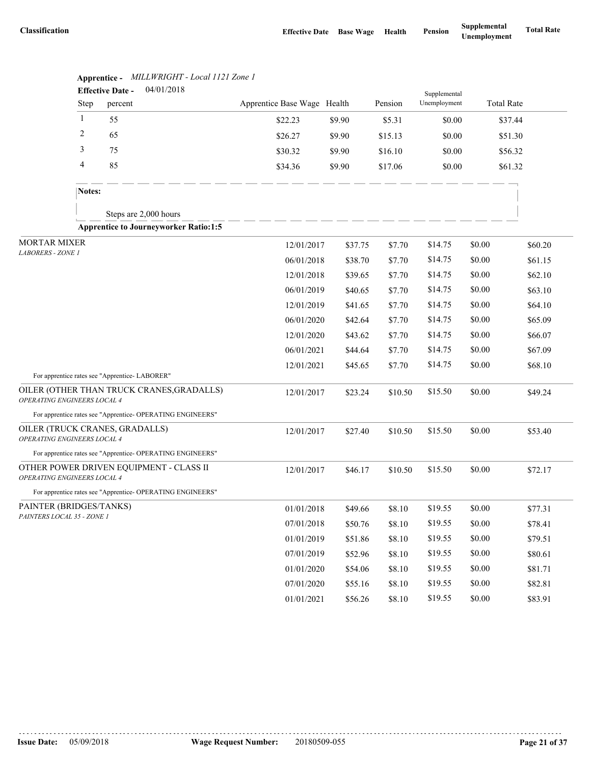|                             | 04/01/2018<br><b>Effective Date -</b> |                                                            |                             |         |         | Supplemental |                   |         |
|-----------------------------|---------------------------------------|------------------------------------------------------------|-----------------------------|---------|---------|--------------|-------------------|---------|
|                             | <b>Step</b>                           | percent                                                    | Apprentice Base Wage Health |         | Pension | Unemployment | <b>Total Rate</b> |         |
|                             | $\mathbf{1}$                          | 55                                                         | \$22.23                     | \$9.90  | \$5.31  | \$0.00       | \$37.44           |         |
|                             | $\overline{c}$                        | 65                                                         | \$26.27                     | \$9.90  | \$15.13 | \$0.00       | \$51.30           |         |
|                             | 3                                     | 75                                                         | \$30.32                     | \$9.90  | \$16.10 | \$0.00       | \$56.32           |         |
|                             | 4                                     | 85                                                         | \$34.36                     | \$9.90  | \$17.06 | \$0.00       | \$61.32           |         |
|                             | Notes:                                |                                                            |                             |         |         |              |                   |         |
|                             |                                       | Steps are 2,000 hours                                      |                             |         |         |              |                   |         |
|                             |                                       | <b>Apprentice to Journeyworker Ratio:1:5</b>               |                             |         |         |              |                   |         |
| <b>MORTAR MIXER</b>         |                                       | 12/01/2017                                                 | \$37.75                     | \$7.70  | \$14.75 | \$0.00       | \$60.20           |         |
| LABORERS - ZONE 1           |                                       |                                                            | 06/01/2018                  | \$38.70 | \$7.70  | \$14.75      | \$0.00            | \$61.15 |
|                             |                                       |                                                            | 12/01/2018                  | \$39.65 | \$7.70  | \$14.75      | \$0.00            | \$62.10 |
|                             |                                       |                                                            | 06/01/2019                  | \$40.65 | \$7.70  | \$14.75      | \$0.00            | \$63.10 |
|                             |                                       |                                                            | 12/01/2019                  | \$41.65 | \$7.70  | \$14.75      | \$0.00            | \$64.10 |
|                             |                                       |                                                            | 06/01/2020                  | \$42.64 | \$7.70  | \$14.75      | \$0.00            | \$65.09 |
|                             |                                       |                                                            | 12/01/2020                  | \$43.62 | \$7.70  | \$14.75      | \$0.00            | \$66.07 |
|                             |                                       |                                                            | 06/01/2021                  | \$44.64 | \$7.70  | \$14.75      | \$0.00            | \$67.09 |
|                             |                                       |                                                            | 12/01/2021                  | \$45.65 | \$7.70  | \$14.75      | \$0.00            | \$68.10 |
|                             |                                       | For apprentice rates see "Apprentice-LABORER"              |                             |         |         |              |                   |         |
| OPERATING ENGINEERS LOCAL 4 |                                       | OILER (OTHER THAN TRUCK CRANES, GRADALLS)                  | 12/01/2017                  | \$23.24 | \$10.50 | \$15.50      | \$0.00            | \$49.24 |
|                             |                                       | For apprentice rates see "Apprentice- OPERATING ENGINEERS" |                             |         |         |              |                   |         |
| OPERATING ENGINEERS LOCAL 4 |                                       | OILER (TRUCK CRANES, GRADALLS)                             | 12/01/2017                  | \$27.40 | \$10.50 | \$15.50      | \$0.00            | \$53.40 |
|                             |                                       | For apprentice rates see "Apprentice- OPERATING ENGINEERS" |                             |         |         |              |                   |         |
| OPERATING ENGINEERS LOCAL 4 |                                       | OTHER POWER DRIVEN EQUIPMENT - CLASS II                    | 12/01/2017                  | \$46.17 | \$10.50 | \$15.50      | \$0.00            | \$72.17 |
|                             |                                       | For apprentice rates see "Apprentice- OPERATING ENGINEERS" |                             |         |         |              |                   |         |
| PAINTER (BRIDGES/TANKS)     |                                       |                                                            | 01/01/2018                  | \$49.66 | \$8.10  | \$19.55      | \$0.00            | \$77.31 |
| PAINTERS LOCAL 35 - ZONE 1  |                                       |                                                            | 07/01/2018                  | \$50.76 | \$8.10  | \$19.55      | \$0.00            | \$78.41 |
|                             |                                       |                                                            | 01/01/2019                  | \$51.86 | \$8.10  | \$19.55      | \$0.00            | \$79.51 |
|                             |                                       |                                                            | 07/01/2019                  | \$52.96 | \$8.10  | \$19.55      | \$0.00            | \$80.61 |
|                             |                                       |                                                            | 01/01/2020                  | \$54.06 | \$8.10  | \$19.55      | \$0.00            | \$81.71 |
|                             |                                       |                                                            | 07/01/2020                  | \$55.16 | \$8.10  | \$19.55      | \$0.00            | \$82.81 |
|                             |                                       |                                                            | 01/01/2021                  | \$56.26 | \$8.10  | \$19.55      | \$0.00            | \$83.91 |

**Apprentice -** *MILLWRIGHT - Local 1121 Zone 1*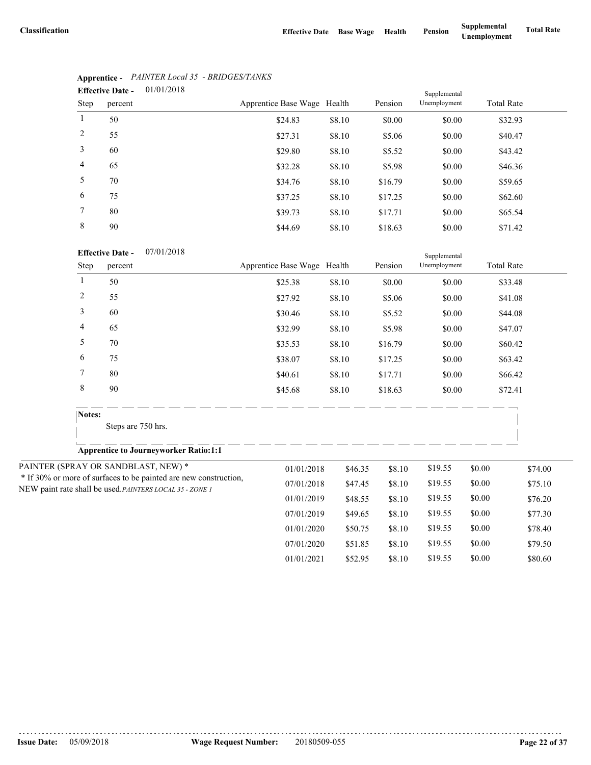|                | <b>Effective Date -</b> | 01/01/2018 |                             |        |         | Supplemental |                   |
|----------------|-------------------------|------------|-----------------------------|--------|---------|--------------|-------------------|
| Step           | percent                 |            | Apprentice Base Wage Health |        | Pension | Unemployment | <b>Total Rate</b> |
| $\mathbf{1}$   | 50                      |            | \$24.83                     | \$8.10 | \$0.00  | \$0.00       | \$32.93           |
| 2              | 55                      |            | \$27.31                     | \$8.10 | \$5.06  | \$0.00       | \$40.47           |
| 3              | 60                      |            | \$29.80                     | \$8.10 | \$5.52  | \$0.00       | \$43.42           |
| $\overline{4}$ | 65                      |            | \$32.28                     | \$8.10 | \$5.98  | \$0.00       | \$46.36           |
| 5              | 70                      |            | \$34.76                     | \$8.10 | \$16.79 | \$0.00       | \$59.65           |
| 6              | 75                      |            | \$37.25                     | \$8.10 | \$17.25 | \$0.00       | \$62.60           |
| $\tau$         | 80                      |            | \$39.73                     | \$8.10 | \$17.71 | \$0.00       | \$65.54           |
| 8              | 90                      |            | \$44.69                     | \$8.10 | \$18.63 | \$0.00       | \$71.42           |

# **Apprentice -** *PAINTER Local 35 - BRIDGES/TANKS*

## **Effective Date -** 07/01/2018

|                | <b>Effective Date -</b><br>07/01/2018                                                                                        |                             |         |         | Supplemental |                   |         |
|----------------|------------------------------------------------------------------------------------------------------------------------------|-----------------------------|---------|---------|--------------|-------------------|---------|
| Step           | percent                                                                                                                      | Apprentice Base Wage Health |         | Pension | Unemployment | <b>Total Rate</b> |         |
| 1              | 50                                                                                                                           | \$25.38                     | \$8.10  | \$0.00  | \$0.00       | \$33.48           |         |
| $\sqrt{2}$     | 55                                                                                                                           | \$27.92                     | \$8.10  | \$5.06  | \$0.00       | \$41.08           |         |
| $\mathfrak{Z}$ | 60                                                                                                                           | \$30.46                     | \$8.10  | \$5.52  | \$0.00       | \$44.08           |         |
| 4              | 65                                                                                                                           | \$32.99                     | \$8.10  | \$5.98  | \$0.00       | \$47.07           |         |
| 5              | 70                                                                                                                           | \$35.53                     | \$8.10  | \$16.79 | \$0.00       | \$60.42           |         |
| 6              | 75                                                                                                                           | \$38.07                     | \$8.10  | \$17.25 | \$0.00       | \$63.42           |         |
| 7              | 80                                                                                                                           | \$40.61                     | \$8.10  | \$17.71 | \$0.00       | \$66.42           |         |
| $\,8\,$        | 90                                                                                                                           | \$45.68                     | \$8.10  | \$18.63 | \$0.00       | \$72.41           |         |
| Notes:         |                                                                                                                              |                             |         |         |              |                   |         |
|                | Steps are 750 hrs.                                                                                                           |                             |         |         |              |                   |         |
|                | <b>Apprentice to Journeyworker Ratio:1:1</b>                                                                                 |                             |         |         |              |                   |         |
|                | PAINTER (SPRAY OR SANDBLAST, NEW) *                                                                                          | 01/01/2018                  | \$46.35 | \$8.10  | \$19.55      | \$0.00            | \$74.00 |
|                | * If 30% or more of surfaces to be painted are new construction,<br>NEW paint rate shall be used. PAINTERS LOCAL 35 - ZONE 1 | 07/01/2018                  | \$47.45 | \$8.10  | \$19.55      | \$0.00            | \$75.10 |
|                |                                                                                                                              | 01/01/2019                  | \$48.55 | \$8.10  | \$19.55      | \$0.00            | \$76.20 |
|                |                                                                                                                              | 07/01/2019                  | \$49.65 | \$8.10  | \$19.55      | \$0.00            | \$77.30 |
|                |                                                                                                                              | 01/01/2020                  | \$50.75 | \$8.10  | \$19.55      | \$0.00            | \$78.40 |
|                |                                                                                                                              | 07/01/2020                  | \$51.85 | \$8.10  | \$19.55      | \$0.00            | \$79.50 |
|                |                                                                                                                              | 01/01/2021                  | \$52.95 | \$8.10  | \$19.55      | \$0.00            | \$80.60 |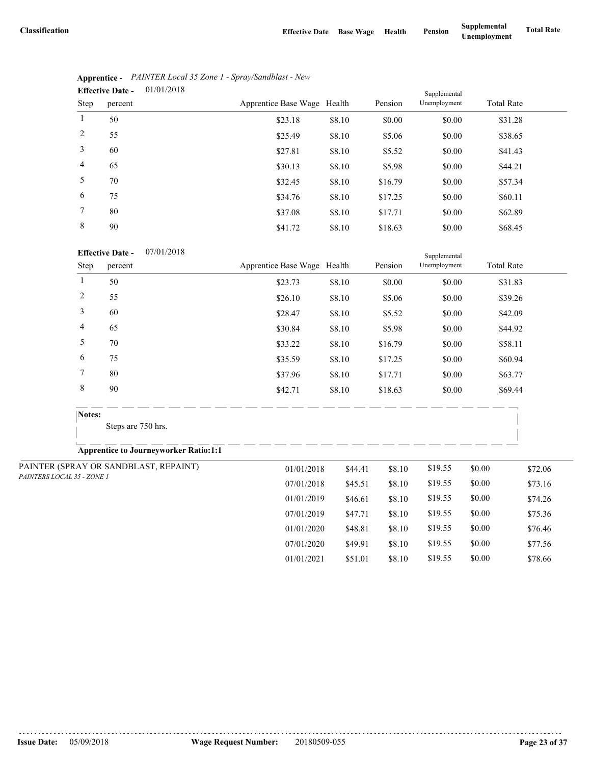07/01/2020 \$49.91 \$8.10 \$19.55 \$0.00 \$77.56 01/01/2021 \$51.01 \$8.10 \$19.55 \$0.00 \$78.66

|                | 01/01/2018<br><b>Effective Date -</b> |                             |        |         | Supplemental |                   |
|----------------|---------------------------------------|-----------------------------|--------|---------|--------------|-------------------|
| Step           | percent                               | Apprentice Base Wage Health |        | Pension | Unemployment | <b>Total Rate</b> |
|                | 50                                    | \$23.18                     | \$8.10 | \$0.00  | \$0.00       | \$31.28           |
| 2              | 55                                    | \$25.49                     | \$8.10 | \$5.06  | \$0.00       | \$38.65           |
| 3              | 60                                    | \$27.81                     | \$8.10 | \$5.52  | \$0.00       | \$41.43           |
| $\overline{4}$ | 65                                    | \$30.13                     | \$8.10 | \$5.98  | \$0.00       | \$44.21           |
| 5              | 70                                    | \$32.45                     | \$8.10 | \$16.79 | \$0.00       | \$57.34           |
| 6              | 75                                    | \$34.76                     | \$8.10 | \$17.25 | \$0.00       | \$60.11           |
| $\tau$         | 80                                    | \$37.08                     | \$8.10 | \$17.71 | \$0.00       | \$62.89           |
| 8              | 90                                    | \$41.72                     | \$8.10 | \$18.63 | \$0.00       | \$68.45           |

|                              | <b>Apprentice -</b> PAINTER Local 35 Zone 1 - Spray/Sandblast - New |
|------------------------------|---------------------------------------------------------------------|
| $\mathbf{r}$ as $\mathbf{r}$ | 01/01/0010                                                          |

### **Effective Date -** 07/01/2018

|                            | <b>Effective Date -</b><br>07/01/2018        |                             |         |         | Supplemental |                   |         |
|----------------------------|----------------------------------------------|-----------------------------|---------|---------|--------------|-------------------|---------|
| Step                       | percent                                      | Apprentice Base Wage Health |         | Pension | Unemployment | <b>Total Rate</b> |         |
| $\mathbf{1}$               | 50                                           | \$23.73                     | \$8.10  | \$0.00  | \$0.00       | \$31.83           |         |
| $\sqrt{2}$                 | 55                                           | \$26.10                     | \$8.10  | \$5.06  | \$0.00       | \$39.26           |         |
| $\mathfrak{Z}$             | 60                                           | \$28.47                     | \$8.10  | \$5.52  | \$0.00       | \$42.09           |         |
| $\overline{4}$             | 65                                           | \$30.84                     | \$8.10  | \$5.98  | \$0.00       | \$44.92           |         |
| 5                          | 70                                           | \$33.22                     | \$8.10  | \$16.79 | \$0.00       | \$58.11           |         |
| 6                          | 75                                           | \$35.59                     | \$8.10  | \$17.25 | \$0.00       | \$60.94           |         |
| 7                          | 80                                           | \$37.96                     | \$8.10  | \$17.71 | \$0.00       | \$63.77           |         |
| $\,8\,$                    | 90                                           | \$42.71                     | \$8.10  | \$18.63 | \$0.00       | \$69.44           |         |
| Notes:                     | Steps are 750 hrs.                           |                             |         |         |              |                   |         |
|                            | <b>Apprentice to Journeyworker Ratio:1:1</b> |                             |         |         |              |                   |         |
|                            | PAINTER (SPRAY OR SANDBLAST, REPAINT)        | 01/01/2018                  | \$44.41 | \$8.10  | \$19.55      | \$0.00            | \$72.06 |
| PAINTERS LOCAL 35 - ZONE 1 |                                              | 07/01/2018                  | \$45.51 | \$8.10  | \$19.55      | \$0.00            | \$73.16 |
|                            |                                              | 01/01/2019                  | \$46.61 | \$8.10  | \$19.55      | \$0.00            | \$74.26 |
|                            |                                              | 07/01/2019                  | \$47.71 | \$8.10  | \$19.55      | \$0.00            | \$75.36 |
|                            |                                              | 01/01/2020                  | \$48.81 | \$8.10  | \$19.55      | \$0.00            | \$76.46 |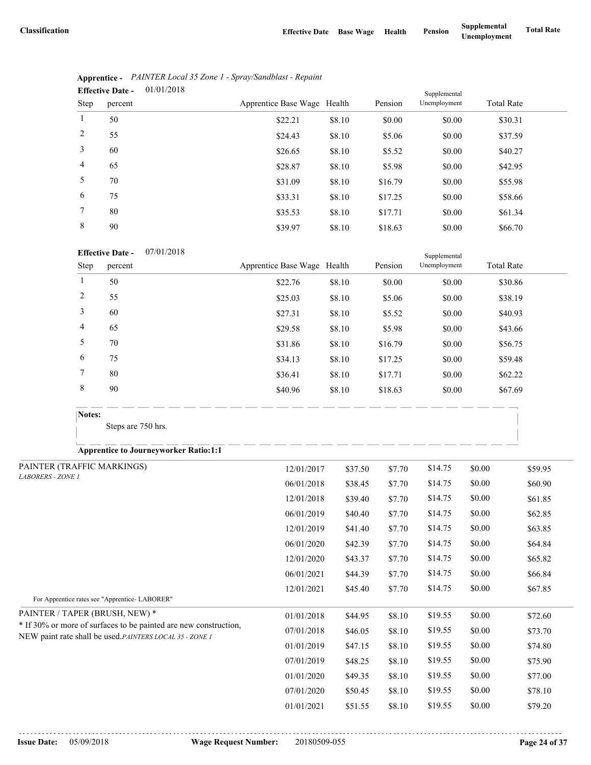|                 | 01/01/2018<br><b>Effective Date -</b> |                             |        |         | Supplemental |                   |  |
|-----------------|---------------------------------------|-----------------------------|--------|---------|--------------|-------------------|--|
| Step            | percent                               | Apprentice Base Wage Health |        | Pension | Unemployment | <b>Total Rate</b> |  |
| $\mathbf{1}$    | 50                                    | \$22.21                     | \$8.10 | \$0.00  | \$0.00       | \$30.31           |  |
| 2               | 55                                    | \$24.43                     | \$8.10 | \$5.06  | \$0.00       | \$37.59           |  |
| 3               | 60                                    | \$26.65                     | \$8.10 | \$5.52  | \$0.00       | \$40.27           |  |
| $\overline{4}$  | 65                                    | \$28.87                     | \$8.10 | \$5.98  | \$0.00       | \$42.95           |  |
| 5               | 70                                    | \$31.09                     | \$8.10 | \$16.79 | \$0.00       | \$55.98           |  |
| 6               | 75                                    | \$33.31                     | \$8.10 | \$17.25 | \$0.00       | \$58.66           |  |
| $7\phantom{.0}$ | 80                                    | \$35.53                     | \$8.10 | \$17.71 | \$0.00       | \$61.34           |  |
| 8               | 90                                    | \$39.97                     | \$8.10 | \$18.63 | \$0.00       | \$66.70           |  |

|                | Apprentice - PAINTER Local 35 Zone 1 - Spray/Sandblast - Repaint |  |
|----------------|------------------------------------------------------------------|--|
| Effective Date | 01/01/2018                                                       |  |

### **Effective Date -** 07/01/2018

| Step   | <b>Effective Date -</b><br>07/01/2018<br>percent | Apprentice Base Wage Health |        | Pension | Supplemental<br>Unemployment | <b>Total Rate</b> |
|--------|--------------------------------------------------|-----------------------------|--------|---------|------------------------------|-------------------|
|        | 50                                               | \$22.76                     | \$8.10 | \$0.00  | \$0.00                       | \$30.86           |
| 2      | 55                                               | \$25.03                     | \$8.10 | \$5.06  | \$0.00                       | \$38.19           |
| 3      | 60                                               | \$27.31                     | \$8.10 | \$5.52  | \$0.00                       | \$40.93           |
| 4      | 65                                               | \$29.58                     | \$8.10 | \$5.98  | \$0.00                       | \$43.66           |
| 5      | 70                                               | \$31.86                     | \$8.10 | \$16.79 | \$0.00                       | \$56.75           |
| 6      | 75                                               | \$34.13                     | \$8.10 | \$17.25 | \$0.00                       | \$59.48           |
| 7      | 80                                               | \$36.41                     | \$8.10 | \$17.71 | \$0.00                       | \$62.22           |
| 8      | 90                                               | \$40.96                     | \$8.10 | \$18.63 | \$0.00                       | \$67.69           |
| Notes: |                                                  |                             |        |         |                              |                   |
|        | Steps are 750 hrs.                               |                             |        |         |                              |                   |

| PAINTER (TRAFFIC MARKINGS)                                                                                                   | 12/01/2017 | \$37.50 | \$7.70 | \$14.75 | \$0.00 | \$59.95 |  |
|------------------------------------------------------------------------------------------------------------------------------|------------|---------|--------|---------|--------|---------|--|
| <b>LABORERS - ZONE 1</b>                                                                                                     | 06/01/2018 | \$38.45 | \$7.70 | \$14.75 | \$0.00 | \$60.90 |  |
|                                                                                                                              | 12/01/2018 | \$39.40 | \$7.70 | \$14.75 | \$0.00 | \$61.85 |  |
|                                                                                                                              | 06/01/2019 | \$40.40 | \$7.70 | \$14.75 | \$0.00 | \$62.85 |  |
|                                                                                                                              | 12/01/2019 | \$41.40 | \$7.70 | \$14.75 | \$0.00 | \$63.85 |  |
|                                                                                                                              | 06/01/2020 | \$42.39 | \$7.70 | \$14.75 | \$0.00 | \$64.84 |  |
|                                                                                                                              | 12/01/2020 | \$43.37 | \$7.70 | \$14.75 | \$0.00 | \$65.82 |  |
|                                                                                                                              | 06/01/2021 | \$44.39 | \$7.70 | \$14.75 | \$0.00 | \$66.84 |  |
|                                                                                                                              | 12/01/2021 | \$45.40 | \$7.70 | \$14.75 | \$0.00 | \$67.85 |  |
| For Apprentice rates see "Apprentice-LABORER"                                                                                |            |         |        |         |        |         |  |
| PAINTER / TAPER (BRUSH, NEW) *                                                                                               | 01/01/2018 | \$44.95 | \$8.10 | \$19.55 | \$0.00 | \$72.60 |  |
| * If 30% or more of surfaces to be painted are new construction,<br>NEW paint rate shall be used. PAINTERS LOCAL 35 - ZONE 1 | 07/01/2018 | \$46.05 | \$8.10 | \$19.55 | \$0.00 | \$73.70 |  |
|                                                                                                                              | 01/01/2019 | \$47.15 | \$8.10 | \$19.55 | \$0.00 | \$74.80 |  |
|                                                                                                                              | 07/01/2019 | \$48.25 | \$8.10 | \$19.55 | \$0.00 | \$75.90 |  |
|                                                                                                                              | 01/01/2020 | \$49.35 | \$8.10 | \$19.55 | \$0.00 | \$77.00 |  |
|                                                                                                                              | 07/01/2020 | \$50.45 | \$8.10 | \$19.55 | \$0.00 | \$78.10 |  |
|                                                                                                                              | 01/01/2021 | \$51.55 | \$8.10 | \$19.55 | \$0.00 | \$79.20 |  |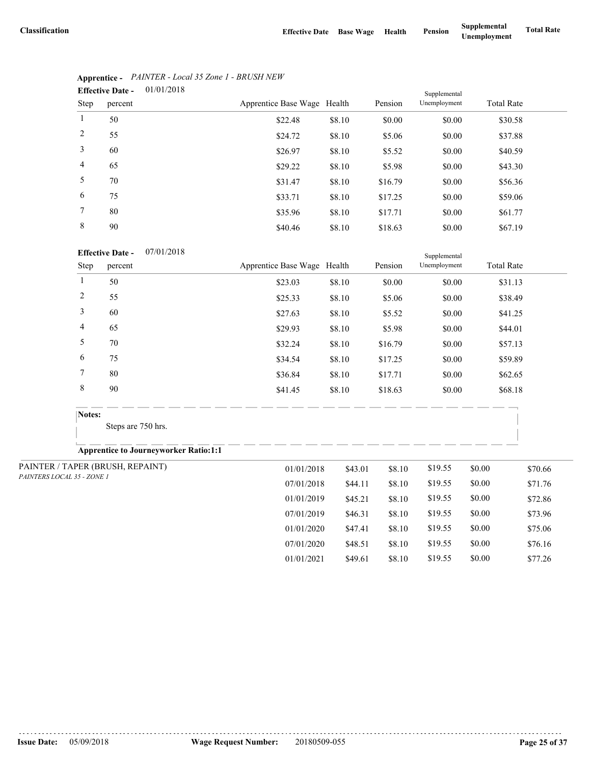07/01/2020 \$48.51 \$8.10 \$19.55 \$0.00 \$76.16 01/01/2021 \$49.61 \$8.10 \$19.55 \$0.00 \$77.26

|                | 01/01/2018<br><b>Effective Date -</b> |                             |        |         | Supplemental |                   |
|----------------|---------------------------------------|-----------------------------|--------|---------|--------------|-------------------|
| Step           | percent                               | Apprentice Base Wage Health |        | Pension | Unemployment | <b>Total Rate</b> |
| $\mathbf{1}$   | 50                                    | \$22.48                     | \$8.10 | \$0.00  | \$0.00       | \$30.58           |
| 2              | 55                                    | \$24.72                     | \$8.10 | \$5.06  | \$0.00       | \$37.88           |
| 3              | 60                                    | \$26.97                     | \$8.10 | \$5.52  | \$0.00       | \$40.59           |
| $\overline{4}$ | 65                                    | \$29.22                     | \$8.10 | \$5.98  | \$0.00       | \$43.30           |
| 5              | 70                                    | \$31.47                     | \$8.10 | \$16.79 | \$0.00       | \$56.36           |
| 6              | 75                                    | \$33.71                     | \$8.10 | \$17.25 | \$0.00       | \$59.06           |
| $\tau$         | 80                                    | \$35.96                     | \$8.10 | \$17.71 | \$0.00       | \$61.77           |
| 8              | 90                                    | \$40.46                     | \$8.10 | \$18.63 | \$0.00       | \$67.19           |

# **Apprentice -** *PAINTER - Local 35 Zone 1 - BRUSH NEW*

## **Effective Date -** 07/01/2018

|  |                            | <b>Effective Date -</b><br>07/01/2018        |                             |         | Supplemental |              |                   |         |
|--|----------------------------|----------------------------------------------|-----------------------------|---------|--------------|--------------|-------------------|---------|
|  | Step                       | percent                                      | Apprentice Base Wage Health |         | Pension      | Unemployment | <b>Total Rate</b> |         |
|  | $\mathbf{1}$               | 50                                           | \$23.03                     | \$8.10  | \$0.00       | \$0.00       | \$31.13           |         |
|  | $\sqrt{2}$                 | 55                                           | \$25.33                     | \$8.10  | \$5.06       | \$0.00       | \$38.49           |         |
|  | $\mathfrak{Z}$             | 60                                           | \$27.63                     | \$8.10  | \$5.52       | \$0.00       | \$41.25           |         |
|  | $\overline{4}$             | 65                                           | \$29.93                     | \$8.10  | \$5.98       | \$0.00       | \$44.01           |         |
|  | 5                          | 70                                           | \$32.24                     | \$8.10  | \$16.79      | \$0.00       | \$57.13           |         |
|  | 6                          | 75                                           | \$34.54                     | \$8.10  | \$17.25      | \$0.00       | \$59.89           |         |
|  | 7                          | 80                                           | \$36.84                     | \$8.10  | \$17.71      | \$0.00       | \$62.65           |         |
|  | $\,8\,$                    | 90                                           | \$41.45                     | \$8.10  | \$18.63      | \$0.00       | \$68.18           |         |
|  | Notes:                     | Steps are 750 hrs.                           |                             |         |              |              |                   |         |
|  |                            | <b>Apprentice to Journeyworker Ratio:1:1</b> |                             |         |              |              |                   |         |
|  |                            | PAINTER / TAPER (BRUSH, REPAINT)             | 01/01/2018                  | \$43.01 | \$8.10       | \$19.55      | \$0.00            | \$70.66 |
|  | PAINTERS LOCAL 35 - ZONE 1 |                                              | 07/01/2018                  | \$44.11 | \$8.10       | \$19.55      | \$0.00            | \$71.76 |
|  |                            |                                              | 01/01/2019                  | \$45.21 | \$8.10       | \$19.55      | \$0.00            | \$72.86 |
|  |                            |                                              | 07/01/2019                  | \$46.31 | \$8.10       | \$19.55      | \$0.00            | \$73.96 |
|  |                            |                                              | 01/01/2020                  | \$47.41 | \$8.10       | \$19.55      | \$0.00            | \$75.06 |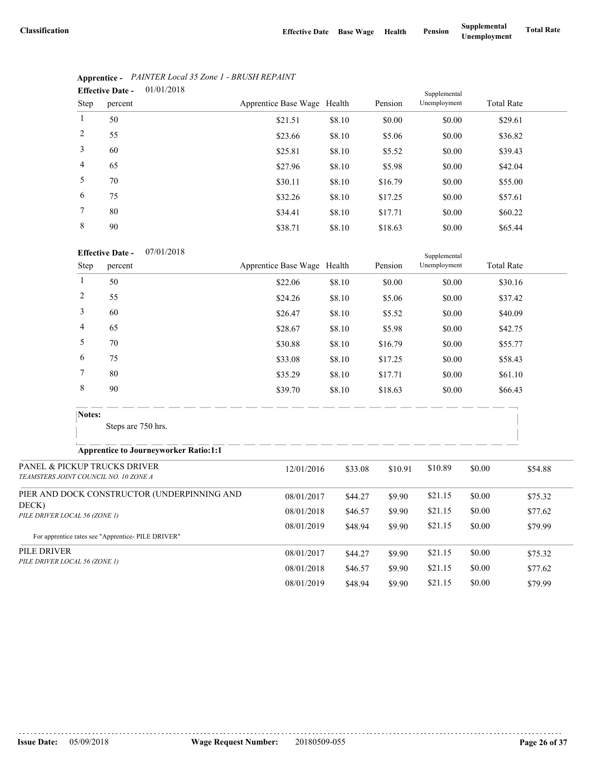|                 | 01/01/2018<br><b>Effective Date -</b> |                             |        |         | Supplemental |                   |
|-----------------|---------------------------------------|-----------------------------|--------|---------|--------------|-------------------|
| Step            | percent                               | Apprentice Base Wage Health |        | Pension | Unemployment | <b>Total Rate</b> |
| $\mathbf{1}$    | 50                                    | \$21.51                     | \$8.10 | \$0.00  | \$0.00       | \$29.61           |
| 2               | 55                                    | \$23.66                     | \$8.10 | \$5.06  | \$0.00       | \$36.82           |
| 3               | 60                                    | \$25.81                     | \$8.10 | \$5.52  | \$0.00       | \$39.43           |
| $\overline{4}$  | 65                                    | \$27.96                     | \$8.10 | \$5.98  | \$0.00       | \$42.04           |
| 5               | 70                                    | \$30.11                     | \$8.10 | \$16.79 | \$0.00       | \$55.00           |
| 6               | 75                                    | \$32.26                     | \$8.10 | \$17.25 | \$0.00       | \$57.61           |
| $7\phantom{.0}$ | 80                                    | \$34.41                     | \$8.10 | \$17.71 | \$0.00       | \$60.22           |
| 8               | 90                                    | \$38.71                     | \$8.10 | \$18.63 | \$0.00       | \$65.44           |

| <b>Apprentice -</b> PAINTER Local 35 Zone 1 - BRUSH REPAINT |  |
|-------------------------------------------------------------|--|
| .                                                           |  |

### **Effective Date -** 07/01/2018

|                                        |                               | <b>Effective Date -</b><br>07/01/2018                                 |                                 | Supplemental |         |              |                   |         |  |  |  |
|----------------------------------------|-------------------------------|-----------------------------------------------------------------------|---------------------------------|--------------|---------|--------------|-------------------|---------|--|--|--|
|                                        | <b>Step</b>                   | percent                                                               | Apprentice Base Wage Health     |              | Pension | Unemployment | <b>Total Rate</b> |         |  |  |  |
|                                        | $\mathbf{1}$                  | 50                                                                    | \$22.06                         | \$8.10       | \$0.00  | \$0.00       | \$30.16           |         |  |  |  |
|                                        | $\overline{2}$                | 55                                                                    | \$24.26                         | \$8.10       | \$5.06  | \$0.00       | \$37.42           |         |  |  |  |
|                                        | 3                             | 60                                                                    | \$26.47                         | \$8.10       | \$5.52  | \$0.00       | \$40.09           |         |  |  |  |
|                                        | 4                             | 65                                                                    | \$28.67                         | \$8.10       | \$5.98  | \$0.00       | \$42.75           |         |  |  |  |
|                                        | 5                             | 70                                                                    | \$30.88                         | \$8.10       | \$16.79 | \$0.00       | \$55.77           |         |  |  |  |
|                                        | 6                             | 75                                                                    | \$33.08                         | \$8.10       | \$17.25 | \$0.00       | \$58.43           |         |  |  |  |
|                                        | 7                             | 80                                                                    | \$35.29                         | \$8.10       | \$17.71 | \$0.00       | \$61.10           |         |  |  |  |
|                                        | $\,8\,$                       | 90                                                                    | \$39.70                         | \$8.10       | \$18.63 | \$0.00       | \$66.43           |         |  |  |  |
|                                        | Notes:                        |                                                                       |                                 |              |         |              |                   |         |  |  |  |
|                                        |                               | Steps are 750 hrs.                                                    |                                 |              |         |              |                   |         |  |  |  |
|                                        |                               | <b>Apprentice to Journeyworker Ratio:1:1</b>                          | . __ __ __ __ __ __ __ __ __ __ |              |         |              |                   |         |  |  |  |
|                                        |                               | PANEL & PICKUP TRUCKS DRIVER<br>TEAMSTERS JOINT COUNCIL NO. 10 ZONE A | 12/01/2016                      | \$33.08      | \$10.91 | \$10.89      | \$0.00            | \$54.88 |  |  |  |
|                                        |                               | PIER AND DOCK CONSTRUCTOR (UNDERPINNING AND                           | 08/01/2017                      | \$44.27      | \$9.90  | \$21.15      | \$0.00            | \$75.32 |  |  |  |
| DECK)<br>PILE DRIVER LOCAL 56 (ZONE 1) |                               |                                                                       | 08/01/2018                      | \$46.57      | \$9.90  | \$21.15      | \$0.00            | \$77.62 |  |  |  |
|                                        |                               | For apprentice rates see "Apprentice-PILE DRIVER"                     | 08/01/2019                      | \$48.94      | \$9.90  | \$21.15      | \$0.00            | \$79.99 |  |  |  |
| PILE DRIVER                            |                               |                                                                       | 08/01/2017                      | \$44.27      | \$9.90  | \$21.15      | \$0.00            | \$75.32 |  |  |  |
|                                        | PILE DRIVER LOCAL 56 (ZONE 1) |                                                                       | 08/01/2018                      | \$46.57      | \$9.90  | \$21.15      | \$0.00            | \$77.62 |  |  |  |
|                                        |                               |                                                                       | 08/01/2019                      | \$48.94      | \$9.90  | \$21.15      | \$0.00            | \$79.99 |  |  |  |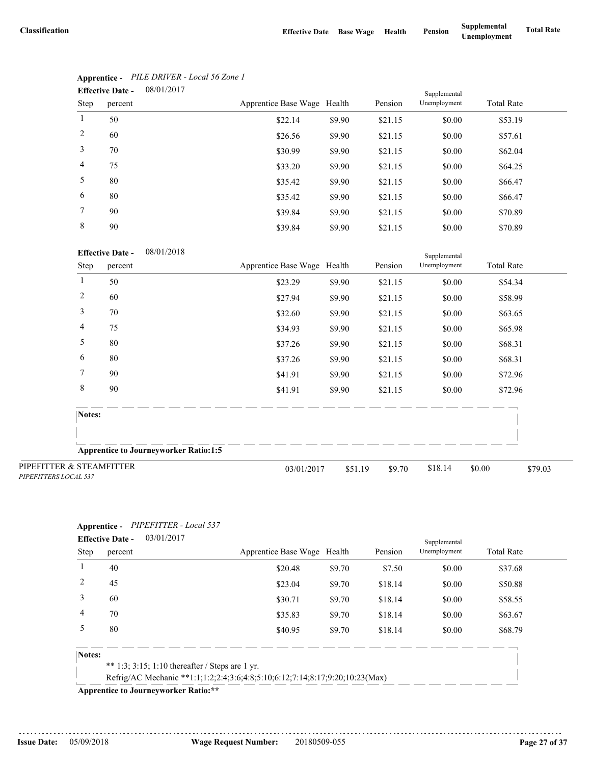| 08/01/2017<br><b>Effective Date -</b> |         |                             |        |         | Supplemental |                   |  |
|---------------------------------------|---------|-----------------------------|--------|---------|--------------|-------------------|--|
| Step                                  | percent | Apprentice Base Wage Health |        | Pension | Unemployment | <b>Total Rate</b> |  |
| $\mathbf{1}$                          | 50      | \$22.14                     | \$9.90 | \$21.15 | \$0.00       | \$53.19           |  |
| 2                                     | 60      | \$26.56                     | \$9.90 | \$21.15 | \$0.00       | \$57.61           |  |
| 3                                     | 70      | \$30.99                     | \$9.90 | \$21.15 | \$0.00       | \$62.04           |  |
| 4                                     | 75      | \$33.20                     | \$9.90 | \$21.15 | \$0.00       | \$64.25           |  |
| 5                                     | 80      | \$35.42                     | \$9.90 | \$21.15 | \$0.00       | \$66.47           |  |
| 6                                     | 80      | \$35.42                     | \$9.90 | \$21.15 | \$0.00       | \$66.47           |  |
| $7\phantom{.0}$                       | 90      | \$39.84                     | \$9.90 | \$21.15 | \$0.00       | \$70.89           |  |
| 8                                     | 90      | \$39.84                     | \$9.90 | \$21.15 | \$0.00       | \$70.89           |  |

# **Apprentice -** *PILE DRIVER - Local 56 Zone 1*

### **Effective Date -** 08/01/2018

|                                                   | <b>Effective Date -</b><br>08/01/2018        |                             |         |         | Supplemental |                   |  |  |
|---------------------------------------------------|----------------------------------------------|-----------------------------|---------|---------|--------------|-------------------|--|--|
| Step                                              | percent                                      | Apprentice Base Wage Health |         | Pension | Unemployment | <b>Total Rate</b> |  |  |
|                                                   | 50                                           | \$23.29                     | \$9.90  | \$21.15 | \$0.00       | \$54.34           |  |  |
| $\overline{2}$                                    | 60                                           | \$27.94                     | \$9.90  | \$21.15 | \$0.00       | \$58.99           |  |  |
| 3                                                 | 70                                           | \$32.60                     | \$9.90  | \$21.15 | \$0.00       | \$63.65           |  |  |
| $\overline{4}$                                    | 75                                           | \$34.93                     | \$9.90  | \$21.15 | \$0.00       | \$65.98           |  |  |
| 5                                                 | 80                                           | \$37.26                     | \$9.90  | \$21.15 | \$0.00       | \$68.31           |  |  |
| 6                                                 | 80                                           | \$37.26                     | \$9.90  | \$21.15 | \$0.00       | \$68.31           |  |  |
| 7                                                 | 90                                           | \$41.91                     | \$9.90  | \$21.15 | \$0.00       | \$72.96           |  |  |
| $\,8\,$                                           | 90                                           | \$41.91                     | \$9.90  | \$21.15 | \$0.00       | \$72.96           |  |  |
| Notes:                                            |                                              |                             |         |         |              |                   |  |  |
|                                                   | <b>Apprentice to Journeyworker Ratio:1:5</b> |                             |         |         |              |                   |  |  |
| PIPEFITTER & STEAMFITTER<br>PIPEFITTERS LOCAL 537 |                                              | 03/01/2017                  | \$51.19 | \$9.70  | \$18.14      | \$0.00<br>\$79.03 |  |  |

# **Apprentice -** *PIPEFITTER - Local 537*

|             | <b>Effective Date -</b> | 03/01/2017                                                                   |                             |        |         | Supplemental |                   |  |
|-------------|-------------------------|------------------------------------------------------------------------------|-----------------------------|--------|---------|--------------|-------------------|--|
| <b>Step</b> | percent                 |                                                                              | Apprentice Base Wage Health |        | Pension | Unemployment | <b>Total Rate</b> |  |
|             | 40                      |                                                                              | \$20.48                     | \$9.70 | \$7.50  | \$0.00       | \$37.68           |  |
|             | 45                      |                                                                              | \$23.04                     | \$9.70 | \$18.14 | \$0.00       | \$50.88           |  |
| 3           | 60                      |                                                                              | \$30.71                     | \$9.70 | \$18.14 | \$0.00       | \$58.55           |  |
| 4           | 70                      |                                                                              | \$35.83                     | \$9.70 | \$18.14 | \$0.00       | \$63.67           |  |
|             | 80                      |                                                                              | \$40.95                     | \$9.70 | \$18.14 | \$0.00       | \$68.79           |  |
| Notes:      |                         |                                                                              |                             |        |         |              |                   |  |
|             |                         | ** 1:3; 3:15; 1:10 thereafter / Steps are 1 yr.                              |                             |        |         |              |                   |  |
|             |                         | Refrig/AC Mechanic **1:1;1:2;2:4;3:6;4:8;5:10;6:12;7:14;8:17;9:20;10:23(Max) |                             |        |         |              |                   |  |

**Apprentice to Journeyworker Ratio:\*\***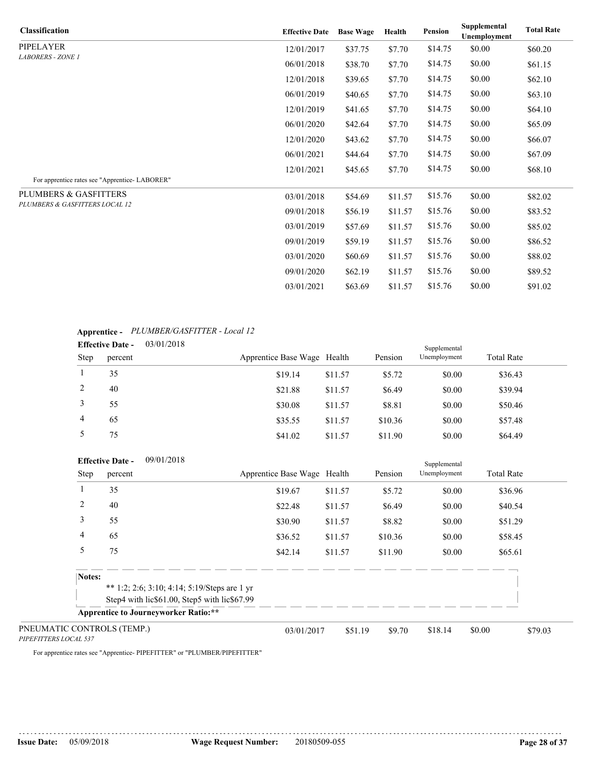| <b>Classification</b>                         | <b>Effective Date</b> | <b>Base Wage</b> | Health  | <b>Pension</b> | Supplemental<br><b>Unemployment</b> | <b>Total Rate</b> |
|-----------------------------------------------|-----------------------|------------------|---------|----------------|-------------------------------------|-------------------|
| <b>PIPELAYER</b>                              | 12/01/2017            | \$37.75          | \$7.70  | \$14.75        | \$0.00                              | \$60.20           |
| <b>LABORERS - ZONE 1</b>                      | 06/01/2018            | \$38.70          | \$7.70  | \$14.75        | \$0.00                              | \$61.15           |
|                                               | 12/01/2018            | \$39.65          | \$7.70  | \$14.75        | \$0.00                              | \$62.10           |
|                                               | 06/01/2019            | \$40.65          | \$7.70  | \$14.75        | \$0.00                              | \$63.10           |
|                                               | 12/01/2019            | \$41.65          | \$7.70  | \$14.75        | \$0.00                              | \$64.10           |
|                                               | 06/01/2020            | \$42.64          | \$7.70  | \$14.75        | \$0.00                              | \$65.09           |
|                                               | 12/01/2020            | \$43.62          | \$7.70  | \$14.75        | \$0.00                              | \$66.07           |
|                                               | 06/01/2021            | \$44.64          | \$7.70  | \$14.75        | \$0.00                              | \$67.09           |
|                                               | 12/01/2021            | \$45.65          | \$7.70  | \$14.75        | \$0.00                              | \$68.10           |
| For apprentice rates see "Apprentice-LABORER" |                       |                  |         |                |                                     |                   |
| PLUMBERS & GASFITTERS                         | 03/01/2018            | \$54.69          | \$11.57 | \$15.76        | \$0.00                              | \$82.02           |
| PLUMBERS & GASFITTERS LOCAL 12                | 09/01/2018            | \$56.19          | \$11.57 | \$15.76        | \$0.00                              | \$83.52           |
|                                               | 03/01/2019            | \$57.69          | \$11.57 | \$15.76        | \$0.00                              | \$85.02           |
|                                               | 09/01/2019            | \$59.19          | \$11.57 | \$15.76        | \$0.00                              | \$86.52           |
|                                               | 03/01/2020            | \$60.69          | \$11.57 | \$15.76        | \$0.00                              | \$88.02           |
|                                               | 09/01/2020            | \$62.19          | \$11.57 | \$15.76        | \$0.00                              | \$89.52           |
|                                               | 03/01/2021            | \$63.69          | \$11.57 | \$15.76        | \$0.00                              | \$91.02           |

# **Apprentice -** *PLUMBER/GASFITTER - Local 12*

| 03/01/2018<br><b>Effective Date -</b><br>Supplemental |         |  |                             |         |         |              |                   |  |
|-------------------------------------------------------|---------|--|-----------------------------|---------|---------|--------------|-------------------|--|
| Step                                                  | percent |  | Apprentice Base Wage Health |         | Pension | Unemployment | <b>Total Rate</b> |  |
|                                                       | 35      |  | \$19.14                     | \$11.57 | \$5.72  | \$0.00       | \$36.43           |  |
| 2                                                     | 40      |  | \$21.88                     | \$11.57 | \$6.49  | \$0.00       | \$39.94           |  |
| 3                                                     | 55      |  | \$30.08                     | \$11.57 | \$8.81  | \$0.00       | \$50.46           |  |
| $\overline{4}$                                        | 65      |  | \$35.55                     | \$11.57 | \$10.36 | \$0.00       | \$57.48           |  |
|                                                       | 75      |  | \$41.02                     | \$11.57 | \$11.90 | \$0.00       | \$64.49           |  |

|                       | 09/01/2018<br><b>Effective Date -</b>                                                        |                             |         |         | Supplemental |                   |
|-----------------------|----------------------------------------------------------------------------------------------|-----------------------------|---------|---------|--------------|-------------------|
| <b>Step</b>           | percent                                                                                      | Apprentice Base Wage Health |         | Pension | Unemployment | <b>Total Rate</b> |
|                       | 35                                                                                           | \$19.67                     | \$11.57 | \$5.72  | \$0.00       | \$36.96           |
| 2                     | 40                                                                                           | \$22.48                     | \$11.57 | \$6.49  | \$0.00       | \$40.54           |
| 3                     | 55                                                                                           | \$30.90                     | \$11.57 | \$8.82  | \$0.00       | \$51.29           |
| 4                     | 65                                                                                           | \$36.52                     | \$11.57 | \$10.36 | \$0.00       | \$58.45           |
| 5                     | 75                                                                                           | \$42.14                     | \$11.57 | \$11.90 | \$0.00       | \$65.61           |
| Notes:                |                                                                                              |                             |         |         |              |                   |
|                       | ** 1:2; 2:6; 3:10; 4:14; 5:19/Steps are 1 yr<br>Step4 with lic\$61.00, Step5 with lic\$67.99 |                             |         |         |              |                   |
|                       | <b>Apprentice to Journeyworker Ratio:**</b>                                                  |                             |         |         |              |                   |
| PIPEFITTERS LOCAL 537 | PNEUMATIC CONTROLS (TEMP.)                                                                   | 03/01/2017                  | \$51.19 | \$9.70  | \$18.14      | \$0.00<br>\$79.03 |

For apprentice rates see "Apprentice- PIPEFITTER" or "PLUMBER/PIPEFITTER"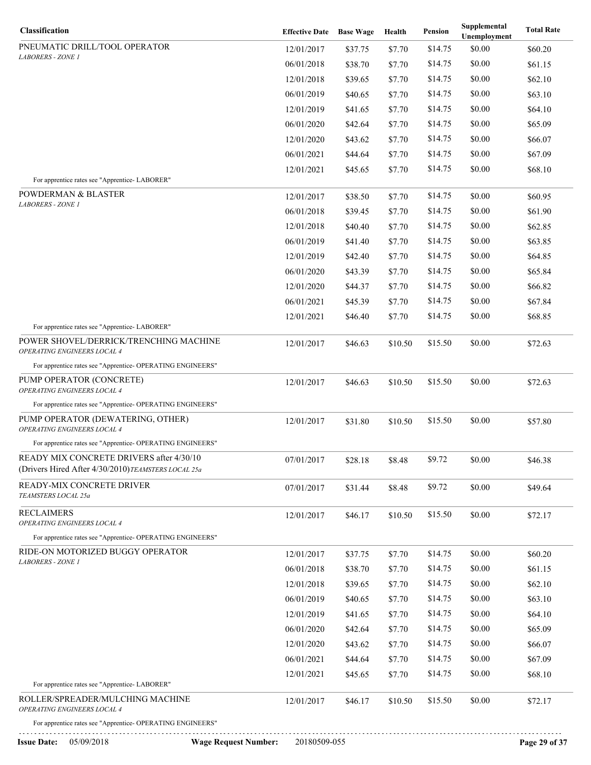| Classification                                                                                                         | <b>Effective Date</b> Base Wage |         | Health  | Pension | Supplemental<br>Unemployment | <b>Total Rate</b> |
|------------------------------------------------------------------------------------------------------------------------|---------------------------------|---------|---------|---------|------------------------------|-------------------|
| PNEUMATIC DRILL/TOOL OPERATOR                                                                                          | 12/01/2017                      | \$37.75 | \$7.70  | \$14.75 | \$0.00                       | \$60.20           |
| <b>LABORERS - ZONE 1</b>                                                                                               | 06/01/2018                      | \$38.70 | \$7.70  | \$14.75 | \$0.00                       | \$61.15           |
|                                                                                                                        | 12/01/2018                      | \$39.65 | \$7.70  | \$14.75 | \$0.00                       | \$62.10           |
|                                                                                                                        | 06/01/2019                      | \$40.65 | \$7.70  | \$14.75 | \$0.00                       | \$63.10           |
|                                                                                                                        | 12/01/2019                      | \$41.65 | \$7.70  | \$14.75 | \$0.00                       | \$64.10           |
|                                                                                                                        | 06/01/2020                      | \$42.64 | \$7.70  | \$14.75 | \$0.00                       | \$65.09           |
|                                                                                                                        | 12/01/2020                      | \$43.62 | \$7.70  | \$14.75 | \$0.00                       | \$66.07           |
|                                                                                                                        | 06/01/2021                      | \$44.64 | \$7.70  | \$14.75 | \$0.00                       | \$67.09           |
|                                                                                                                        | 12/01/2021                      | \$45.65 | \$7.70  | \$14.75 | \$0.00                       | \$68.10           |
| For apprentice rates see "Apprentice-LABORER"                                                                          |                                 |         |         |         |                              |                   |
| <b>POWDERMAN &amp; BLASTER</b><br><b>LABORERS - ZONE 1</b>                                                             | 12/01/2017                      | \$38.50 | \$7.70  | \$14.75 | \$0.00                       | \$60.95           |
|                                                                                                                        | 06/01/2018                      | \$39.45 | \$7.70  | \$14.75 | \$0.00                       | \$61.90           |
|                                                                                                                        | 12/01/2018                      | \$40.40 | \$7.70  | \$14.75 | \$0.00                       | \$62.85           |
|                                                                                                                        | 06/01/2019                      | \$41.40 | \$7.70  | \$14.75 | \$0.00                       | \$63.85           |
|                                                                                                                        | 12/01/2019                      | \$42.40 | \$7.70  | \$14.75 | \$0.00                       | \$64.85           |
|                                                                                                                        | 06/01/2020                      | \$43.39 | \$7.70  | \$14.75 | \$0.00                       | \$65.84           |
|                                                                                                                        | 12/01/2020                      | \$44.37 | \$7.70  | \$14.75 | \$0.00                       | \$66.82           |
|                                                                                                                        | 06/01/2021                      | \$45.39 | \$7.70  | \$14.75 | \$0.00                       | \$67.84           |
|                                                                                                                        | 12/01/2021                      | \$46.40 | \$7.70  | \$14.75 | \$0.00                       | \$68.85           |
| For apprentice rates see "Apprentice-LABORER"<br>POWER SHOVEL/DERRICK/TRENCHING MACHINE<br>OPERATING ENGINEERS LOCAL 4 | 12/01/2017                      | \$46.63 | \$10.50 | \$15.50 | \$0.00                       | \$72.63           |
| For apprentice rates see "Apprentice- OPERATING ENGINEERS"                                                             |                                 |         |         |         |                              |                   |
| PUMP OPERATOR (CONCRETE)<br>OPERATING ENGINEERS LOCAL 4                                                                | 12/01/2017                      | \$46.63 | \$10.50 | \$15.50 | \$0.00                       | \$72.63           |
| For apprentice rates see "Apprentice- OPERATING ENGINEERS"                                                             |                                 |         |         |         |                              |                   |
| PUMP OPERATOR (DEWATERING, OTHER)<br>OPERATING ENGINEERS LOCAL 4                                                       | 12/01/2017                      | \$31.80 | \$10.50 | \$15.50 | \$0.00                       | \$57.80           |
| For apprentice rates see "Apprentice- OPERATING ENGINEERS"                                                             |                                 |         |         |         |                              |                   |
| READY MIX CONCRETE DRIVERS after 4/30/10<br>(Drivers Hired After 4/30/2010) TEAMSTERS LOCAL 25a                        | 07/01/2017                      | \$28.18 | \$8.48  | \$9.72  | \$0.00                       | \$46.38           |
| READY-MIX CONCRETE DRIVER<br>TEAMSTERS LOCAL 25a                                                                       | 07/01/2017                      | \$31.44 | \$8.48  | \$9.72  | \$0.00                       | \$49.64           |
| <b>RECLAIMERS</b><br>OPERATING ENGINEERS LOCAL 4                                                                       | 12/01/2017                      | \$46.17 | \$10.50 | \$15.50 | \$0.00                       | \$72.17           |
| For apprentice rates see "Apprentice- OPERATING ENGINEERS"                                                             |                                 |         |         |         |                              |                   |
| RIDE-ON MOTORIZED BUGGY OPERATOR                                                                                       | 12/01/2017                      | \$37.75 | \$7.70  | \$14.75 | \$0.00                       | \$60.20           |
| LABORERS - ZONE 1                                                                                                      | 06/01/2018                      | \$38.70 | \$7.70  | \$14.75 | \$0.00                       | \$61.15           |
|                                                                                                                        | 12/01/2018                      | \$39.65 | \$7.70  | \$14.75 | \$0.00                       | \$62.10           |
|                                                                                                                        | 06/01/2019                      | \$40.65 | \$7.70  | \$14.75 | \$0.00                       | \$63.10           |
|                                                                                                                        | 12/01/2019                      | \$41.65 | \$7.70  | \$14.75 | \$0.00                       | \$64.10           |
|                                                                                                                        | 06/01/2020                      | \$42.64 | \$7.70  | \$14.75 | \$0.00                       | \$65.09           |
|                                                                                                                        | 12/01/2020                      | \$43.62 | \$7.70  | \$14.75 | \$0.00                       | \$66.07           |
|                                                                                                                        | 06/01/2021                      | \$44.64 | \$7.70  | \$14.75 | \$0.00                       | \$67.09           |
|                                                                                                                        | 12/01/2021                      | \$45.65 | \$7.70  | \$14.75 | \$0.00                       | \$68.10           |
| For apprentice rates see "Apprentice-LABORER"                                                                          |                                 |         |         |         |                              |                   |
| ROLLER/SPREADER/MULCHING MACHINE<br>OPERATING ENGINEERS LOCAL 4                                                        | 12/01/2017                      | \$46.17 | \$10.50 | \$15.50 | \$0.00                       | \$72.17           |
| For apprentice rates see "Apprentice- OPERATING ENGINEERS"                                                             |                                 |         |         |         |                              |                   |
| <b>Issue Date:</b><br>05/09/2018<br><b>Wage Request Number:</b>                                                        | 20180509-055                    |         |         |         |                              | Page 29 of 37     |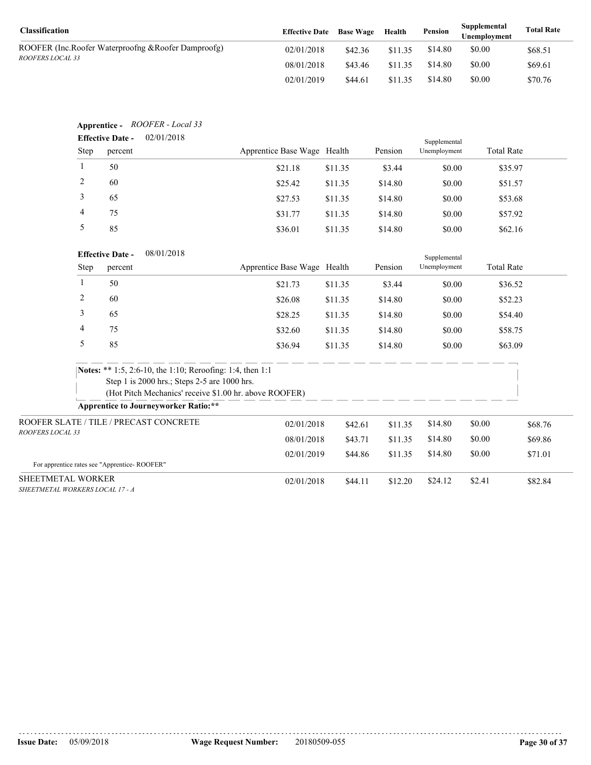| <b>Classification</b>                              | <b>Effective Date</b> Base Wage |         | Health  | Pension | Supplemental<br>Unemplovment | <b>Total Rate</b> |
|----------------------------------------------------|---------------------------------|---------|---------|---------|------------------------------|-------------------|
| ROOFER (Inc.Roofer Waterproofng &Roofer Damproofg) | 02/01/2018                      | \$42.36 | \$11.35 | \$14.80 | \$0.00                       | \$68.51           |
| <i>ROOFERS LOCAL 33</i>                            | 08/01/2018                      | \$43.46 | \$11.35 | \$14.80 | \$0.00                       | \$69.61           |
|                                                    | 02/01/2019                      | \$44.61 | \$11.35 | \$14.80 | \$0.00                       | \$70.76           |

|                                                      | <b>Effective Date -</b> | Apprentice - ROOFER - Local 33<br>02/01/2018                                                          |                             |         |         |                              |                   |         |
|------------------------------------------------------|-------------------------|-------------------------------------------------------------------------------------------------------|-----------------------------|---------|---------|------------------------------|-------------------|---------|
|                                                      | Step<br>percent         |                                                                                                       | Apprentice Base Wage Health |         | Pension | Supplemental<br>Unemployment | <b>Total Rate</b> |         |
| $\mathbf{1}$                                         | 50                      |                                                                                                       | \$21.18                     | \$11.35 | \$3.44  | \$0.00                       | \$35.97           |         |
| 2                                                    | 60                      |                                                                                                       | \$25.42                     | \$11.35 | \$14.80 | \$0.00                       | \$51.57           |         |
| $\mathfrak{Z}$                                       | 65                      |                                                                                                       | \$27.53                     | \$11.35 | \$14.80 | \$0.00                       | \$53.68           |         |
| 4                                                    | 75                      |                                                                                                       | \$31.77                     | \$11.35 | \$14.80 | \$0.00                       | \$57.92           |         |
| $\sqrt{5}$                                           | 85                      |                                                                                                       | \$36.01                     | \$11.35 | \$14.80 | \$0.00                       | \$62.16           |         |
|                                                      | <b>Effective Date -</b> | 08/01/2018                                                                                            |                             |         |         | Supplemental                 |                   |         |
|                                                      | <b>Step</b><br>percent  |                                                                                                       | Apprentice Base Wage Health |         | Pension | Unemployment                 | <b>Total Rate</b> |         |
| $\mathbf{1}$                                         | 50                      |                                                                                                       | \$21.73                     | \$11.35 | \$3.44  | \$0.00                       | \$36.52           |         |
| 2                                                    | 60                      |                                                                                                       | \$26.08                     | \$11.35 | \$14.80 | \$0.00                       | \$52.23           |         |
| 3                                                    | 65                      |                                                                                                       | \$28.25                     | \$11.35 | \$14.80 | \$0.00                       | \$54.40           |         |
| 4                                                    | 75                      |                                                                                                       | \$32.60                     | \$11.35 | \$14.80 | \$0.00                       | \$58.75           |         |
| $\sqrt{5}$                                           | 85                      |                                                                                                       | \$36.94                     | \$11.35 | \$14.80 | \$0.00                       | \$63.09           |         |
|                                                      |                         | <b>Notes:</b> ** 1:5, 2:6-10, the 1:10; Reroofing: 1:4, then 1:1                                      |                             |         |         |                              |                   |         |
|                                                      |                         | Step 1 is 2000 hrs.; Steps 2-5 are 1000 hrs.                                                          |                             |         |         |                              |                   |         |
|                                                      |                         | (Hot Pitch Mechanics' receive \$1.00 hr. above ROOFER)<br><b>Apprentice to Journeyworker Ratio:**</b> |                             |         |         |                              |                   |         |
|                                                      |                         | ROOFER SLATE / TILE / PRECAST CONCRETE                                                                |                             |         |         |                              |                   |         |
| ROOFERS LOCAL 33                                     |                         |                                                                                                       | 02/01/2018                  | \$42.61 | \$11.35 | \$14.80                      | \$0.00            | \$68.76 |
|                                                      |                         |                                                                                                       | 08/01/2018                  | \$43.71 | \$11.35 | \$14.80                      | \$0.00            | \$69.86 |
| For apprentice rates see "Apprentice-ROOFER"         |                         |                                                                                                       | 02/01/2019                  | \$44.86 | \$11.35 | \$14.80                      | \$0.00            | \$71.01 |
| SHEETMETAL WORKER<br>SHEETMETAL WORKERS LOCAL 17 - A |                         |                                                                                                       | 02/01/2018                  | \$44.11 | \$12.20 | \$24.12                      | \$2.41            | \$82.84 |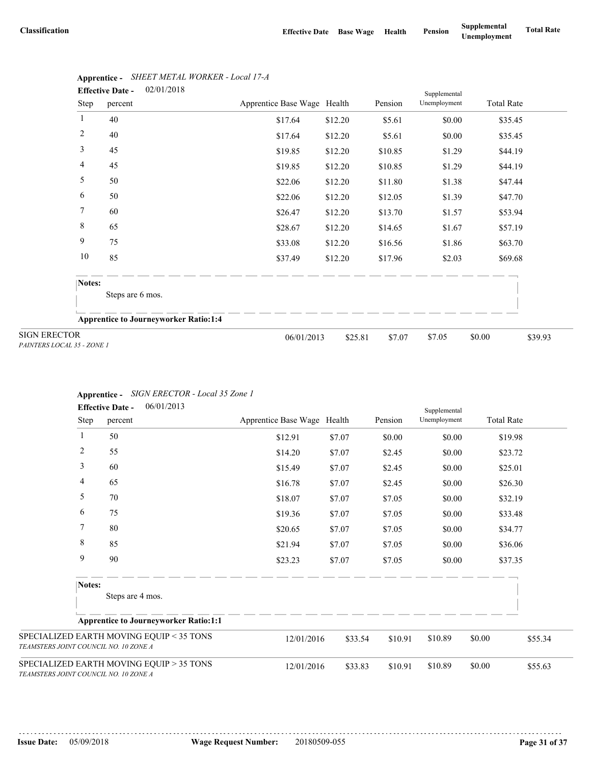|                                                   | 02/01/2018<br><b>Effective Date -</b>        |                             |         | Supplemental |              |                   |
|---------------------------------------------------|----------------------------------------------|-----------------------------|---------|--------------|--------------|-------------------|
| <b>Step</b>                                       | percent                                      | Apprentice Base Wage Health |         | Pension      | Unemployment | <b>Total Rate</b> |
| 1                                                 | 40                                           | \$17.64                     | \$12.20 | \$5.61       | \$0.00       | \$35.45           |
| $\overline{2}$                                    | 40                                           | \$17.64                     | \$12.20 | \$5.61       | \$0.00       | \$35.45           |
| 3                                                 | 45                                           | \$19.85                     | \$12.20 | \$10.85      | \$1.29       | \$44.19           |
| $\overline{4}$                                    | 45                                           | \$19.85                     | \$12.20 | \$10.85      | \$1.29       | \$44.19           |
| 5                                                 | 50                                           | \$22.06                     | \$12.20 | \$11.80      | \$1.38       | \$47.44           |
| 6                                                 | 50                                           | \$22.06                     | \$12.20 | \$12.05      | \$1.39       | \$47.70           |
| $\tau$                                            | 60                                           | \$26.47                     | \$12.20 | \$13.70      | \$1.57       | \$53.94           |
| $\,8\,$                                           | 65                                           | \$28.67                     | \$12.20 | \$14.65      | \$1.67       | \$57.19           |
| $\mathbf{9}$                                      | 75                                           | \$33.08                     | \$12.20 | \$16.56      | \$1.86       | \$63.70           |
| 10                                                | 85                                           | \$37.49                     | \$12.20 | \$17.96      | \$2.03       | \$69.68           |
| Notes:                                            |                                              |                             |         |              |              |                   |
|                                                   | Steps are 6 mos.                             |                             |         |              |              |                   |
|                                                   | <b>Apprentice to Journeyworker Ratio:1:4</b> |                             |         |              |              |                   |
| <b>SIGN ERECTOR</b><br>PAINTERS LOCAL 35 - ZONE 1 |                                              | 06/01/2013                  | \$25.81 | \$7.07       | \$7.05       | \$0.00<br>\$39.93 |

# **Apprentice -** *SHEET METAL WORKER - Local 17-A*

|  | <b>Apprentice -</b> SIGN ERECTOR - Local 35 Zone 1 |  |
|--|----------------------------------------------------|--|
|--|----------------------------------------------------|--|

|                                        | 06/01/2013<br><b>Effective Date -</b>        |                             |         |         | Supplemental |                   |         |
|----------------------------------------|----------------------------------------------|-----------------------------|---------|---------|--------------|-------------------|---------|
| <b>Step</b>                            | percent                                      | Apprentice Base Wage Health |         | Pension | Unemployment | <b>Total Rate</b> |         |
| 1                                      | 50                                           | \$12.91                     | \$7.07  | \$0.00  | \$0.00       | \$19.98           |         |
| $\overline{2}$                         | 55                                           | \$14.20                     | \$7.07  | \$2.45  | \$0.00       | \$23.72           |         |
| 3                                      | 60                                           | \$15.49                     | \$7.07  | \$2.45  | \$0.00       | \$25.01           |         |
| 4                                      | 65                                           | \$16.78                     | \$7.07  | \$2.45  | \$0.00       | \$26.30           |         |
| 5                                      | 70                                           | \$18.07                     | \$7.07  | \$7.05  | \$0.00       | \$32.19           |         |
| 6                                      | 75                                           | \$19.36                     | \$7.07  | \$7.05  | \$0.00       | \$33.48           |         |
| 7                                      | 80                                           | \$20.65                     | \$7.07  | \$7.05  | \$0.00       | \$34.77           |         |
| $\,8\,$                                | 85                                           | \$21.94                     | \$7.07  | \$7.05  | \$0.00       | \$36.06           |         |
| 9                                      | 90                                           | \$23.23                     | \$7.07  | \$7.05  | \$0.00       | \$37.35           |         |
| Notes:                                 | Steps are 4 mos.                             |                             |         |         |              |                   |         |
|                                        | <b>Apprentice to Journeyworker Ratio:1:1</b> |                             |         |         |              |                   |         |
| TEAMSTERS JOINT COUNCIL NO. 10 ZONE A  | SPECIALIZED EARTH MOVING EQUIP < 35 TONS     | 12/01/2016                  | \$33.54 | \$10.91 | \$10.89      | \$0.00            | \$55.34 |
| TE AMSTERS IOINT COUNCIL NO. IN ZONE A | SPECIALIZED EARTH MOVING EQUIP > 35 TONS     | 12/01/2016                  | \$33.83 | \$10.91 | \$10.89      | \$0.00            | \$55.63 |

SPECIALIZE *TEAMSTERS JOINT COUNCIL NO. 10 ZONE A*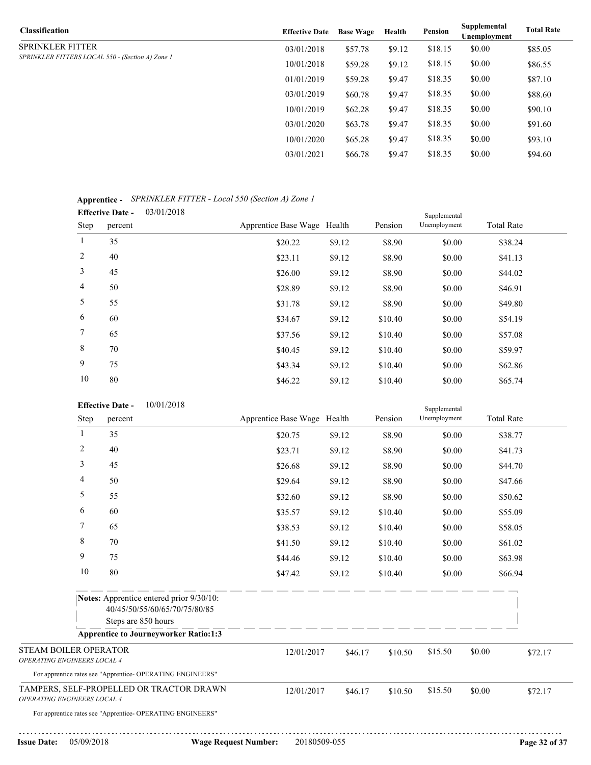| <b>Classification</b>                            | <b>Effective Date</b> | <b>Base Wage</b> | Health | Pension | Supplemental<br>Unemployment | <b>Total Rate</b> |
|--------------------------------------------------|-----------------------|------------------|--------|---------|------------------------------|-------------------|
| SPRINKLER FITTER                                 | 03/01/2018            | \$57.78          | \$9.12 | \$18.15 | \$0.00                       | \$85.05           |
| SPRINKLER FITTERS LOCAL 550 - (Section A) Zone 1 | 10/01/2018            | \$59.28          | \$9.12 | \$18.15 | \$0.00                       | \$86.55           |
|                                                  | 01/01/2019            | \$59.28          | \$9.47 | \$18.35 | \$0.00                       | \$87.10           |
|                                                  | 03/01/2019            | \$60.78          | \$9.47 | \$18.35 | \$0.00                       | \$88.60           |
|                                                  | 10/01/2019            | \$62.28          | \$9.47 | \$18.35 | \$0.00                       | \$90.10           |
|                                                  | 03/01/2020            | \$63.78          | \$9.47 | \$18.35 | \$0.00                       | \$91.60           |
|                                                  | 10/01/2020            | \$65.28          | \$9.47 | \$18.35 | \$0.00                       | \$93.10           |
|                                                  | 03/01/2021            | \$66.78          | \$9.47 | \$18.35 | \$0.00                       | \$94.60           |
|                                                  |                       |                  |        |         |                              |                   |

## **Apprentice -** *SPRINKLER FITTER - Local 550 (Section A) Zone 1* 03/01/2018

| . .            |                                       |                             |        |         |              |                   |  |
|----------------|---------------------------------------|-----------------------------|--------|---------|--------------|-------------------|--|
|                | 03/01/2018<br><b>Effective Date -</b> |                             |        |         | Supplemental |                   |  |
| Step           | percent                               | Apprentice Base Wage Health |        | Pension | Unemployment | <b>Total Rate</b> |  |
| 1              | 35                                    | \$20.22                     | \$9.12 | \$8.90  | \$0.00       | \$38.24           |  |
| 2              | 40                                    | \$23.11                     | \$9.12 | \$8.90  | \$0.00       | \$41.13           |  |
| 3              | 45                                    | \$26.00                     | \$9.12 | \$8.90  | \$0.00       | \$44.02           |  |
| $\overline{4}$ | 50                                    | \$28.89                     | \$9.12 | \$8.90  | \$0.00       | \$46.91           |  |
| 5              | 55                                    | \$31.78                     | \$9.12 | \$8.90  | \$0.00       | \$49.80           |  |
| 6              | 60                                    | \$34.67                     | \$9.12 | \$10.40 | \$0.00       | \$54.19           |  |
| $7^{\circ}$    | 65                                    | \$37.56                     | \$9.12 | \$10.40 | \$0.00       | \$57.08           |  |
| 8              | 70                                    | \$40.45                     | \$9.12 | \$10.40 | \$0.00       | \$59.97           |  |
| 9              | 75                                    | \$43.34                     | \$9.12 | \$10.40 | \$0.00       | \$62.86           |  |
| 10             | 80                                    | \$46.22                     | \$9.12 | \$10.40 | \$0.00       | \$65.74           |  |

|                                                      |                | 10/01/2018<br><b>Effective Date -</b>                                                            |                             |         |         | Supplemental |                   |         |
|------------------------------------------------------|----------------|--------------------------------------------------------------------------------------------------|-----------------------------|---------|---------|--------------|-------------------|---------|
|                                                      | <b>Step</b>    | percent                                                                                          | Apprentice Base Wage Health |         | Pension | Unemployment | <b>Total Rate</b> |         |
|                                                      | 1              | 35                                                                                               | \$20.75                     | \$9.12  | \$8.90  | \$0.00       | \$38.77           |         |
|                                                      | $\overline{2}$ | 40                                                                                               | \$23.71                     | \$9.12  | \$8.90  | \$0.00       | \$41.73           |         |
|                                                      | 3              | 45                                                                                               | \$26.68                     | \$9.12  | \$8.90  | \$0.00       | \$44.70           |         |
|                                                      | $\overline{4}$ | 50                                                                                               | \$29.64                     | \$9.12  | \$8.90  | \$0.00       | \$47.66           |         |
|                                                      | 5              | 55                                                                                               | \$32.60                     | \$9.12  | \$8.90  | \$0.00       | \$50.62           |         |
|                                                      | 6              | 60                                                                                               | \$35.57                     | \$9.12  | \$10.40 | \$0.00       | \$55.09           |         |
|                                                      | $\overline{7}$ | 65                                                                                               | \$38.53                     | \$9.12  | \$10.40 | \$0.00       | \$58.05           |         |
|                                                      | 8              | 70                                                                                               | \$41.50                     | \$9.12  | \$10.40 | \$0.00       | \$61.02           |         |
|                                                      | 9              | 75                                                                                               | \$44.46                     | \$9.12  | \$10.40 | \$0.00       | \$63.98           |         |
|                                                      | 10             | 80                                                                                               | \$47.42                     | \$9.12  | \$10.40 | \$0.00       | \$66.94           |         |
|                                                      |                | Notes: Apprentice entered prior 9/30/10:<br>40/45/50/55/60/65/70/75/80/85<br>Steps are 850 hours | ___________                 |         |         |              |                   |         |
|                                                      |                | <b>Apprentice to Journeyworker Ratio:1:3</b>                                                     |                             |         |         |              |                   |         |
| STEAM BOILER OPERATOR<br>OPERATING ENGINEERS LOCAL 4 |                |                                                                                                  | 12/01/2017                  | \$46.17 | \$10.50 | \$15.50      | \$0.00            | \$72.17 |
|                                                      |                | For apprentice rates see "Apprentice- OPERATING ENGINEERS"                                       |                             |         |         |              |                   |         |
| OPERATING ENGINEERS LOCAL 4                          |                | TAMPERS, SELF-PROPELLED OR TRACTOR DRAWN                                                         | 12/01/2017                  | \$46.17 | \$10.50 | \$15.50      | \$0.00            | \$72.17 |
|                                                      |                | For apprentice rates see "Apprentice- OPERATING ENGINEERS"                                       |                             |         |         |              |                   |         |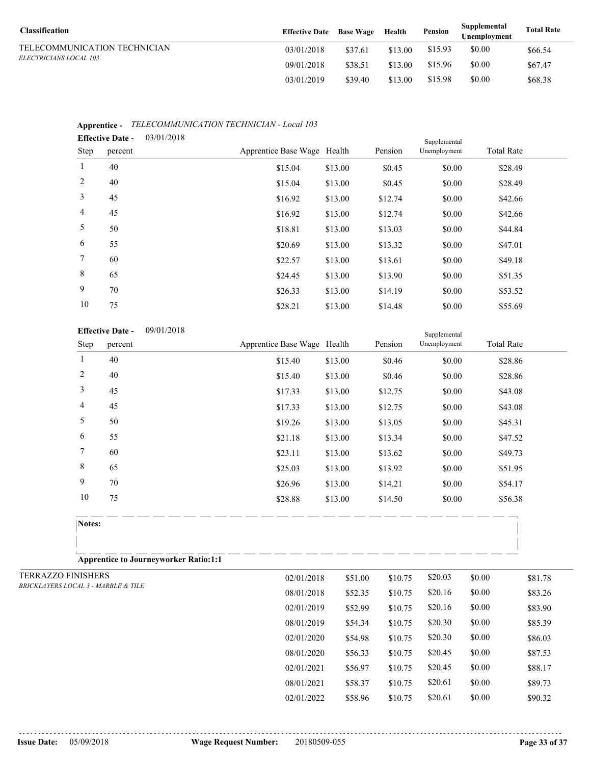| <b>Classification</b>         | <b>Effective Date</b> Base Wage |         | Health  | Pension | Supplemental<br>Unemployment | <b>Total Rate</b> |
|-------------------------------|---------------------------------|---------|---------|---------|------------------------------|-------------------|
| TELECOMMUNICATION TECHNICIAN  | 03/01/2018                      | \$37.61 | \$13.00 | \$15.93 | \$0.00                       | \$66.54           |
| <i>ELECTRICIANS LOCAL 103</i> | 09/01/2018                      | \$38.51 | \$13.00 | \$15.96 | \$0.00                       | \$67.47           |
|                               | 03/01/2019                      | \$39.40 | \$13.00 | \$15.98 | \$0.00                       | \$68.38           |

|                | <b>Effective Date -</b> | 03/01/2018 |                             |         | Supplemental |              |                   |  |
|----------------|-------------------------|------------|-----------------------------|---------|--------------|--------------|-------------------|--|
| Step           | percent                 |            | Apprentice Base Wage Health |         | Pension      | Unemployment | <b>Total Rate</b> |  |
| $\mathbf{1}$   | 40                      |            | \$15.04                     | \$13.00 | \$0.45       | \$0.00       | \$28.49           |  |
| 2              | 40                      |            | \$15.04                     | \$13.00 | \$0.45       | \$0.00       | \$28.49           |  |
| $\mathfrak{Z}$ | 45                      |            | \$16.92                     | \$13.00 | \$12.74      | \$0.00       | \$42.66           |  |
| $\overline{4}$ | 45                      |            | \$16.92                     | \$13.00 | \$12.74      | \$0.00       | \$42.66           |  |
| 5              | 50                      |            | \$18.81                     | \$13.00 | \$13.03      | \$0.00       | \$44.84           |  |
| 6              | 55                      |            | \$20.69                     | \$13.00 | \$13.32      | \$0.00       | \$47.01           |  |
| $7^{\circ}$    | 60                      |            | \$22.57                     | \$13.00 | \$13.61      | \$0.00       | \$49.18           |  |
| 8              | 65                      |            | \$24.45                     | \$13.00 | \$13.90      | \$0.00       | \$51.35           |  |
| 9              | 70                      |            | \$26.33                     | \$13.00 | \$14.19      | \$0.00       | \$53.52           |  |
| 10             | 75                      |            | \$28.21                     | \$13.00 | \$14.48      | \$0.00       | \$55.69           |  |

# **Apprentice -** *TELECOMMUNICATION TECHNICIAN - Local 103*

|                           |                                     | 09/01/2018<br><b>Effective Date -</b>        |                             |         |         | Supplemental |                   |         |
|---------------------------|-------------------------------------|----------------------------------------------|-----------------------------|---------|---------|--------------|-------------------|---------|
|                           | <b>Step</b>                         | percent                                      | Apprentice Base Wage Health |         | Pension | Unemployment | <b>Total Rate</b> |         |
|                           | 1                                   | 40                                           | \$15.40                     | \$13.00 | \$0.46  | \$0.00       | \$28.86           |         |
|                           | $\overline{2}$                      | 40                                           | \$15.40                     | \$13.00 | \$0.46  | \$0.00       | \$28.86           |         |
|                           | $\mathfrak{Z}$                      | 45                                           | \$17.33                     | \$13.00 | \$12.75 | \$0.00       | \$43.08           |         |
|                           | $\overline{4}$                      | 45                                           | \$17.33                     | \$13.00 | \$12.75 | \$0.00       | \$43.08           |         |
|                           | 5                                   | 50                                           | \$19.26                     | \$13.00 | \$13.05 | \$0.00       | \$45.31           |         |
|                           | 6                                   | 55                                           | \$21.18                     | \$13.00 | \$13.34 | \$0.00       | \$47.52           |         |
|                           | 7                                   | 60                                           | \$23.11                     | \$13.00 | \$13.62 | \$0.00       | \$49.73           |         |
|                           | $\,$ $\,$                           | 65                                           | \$25.03                     | \$13.00 | \$13.92 | \$0.00       | \$51.95           |         |
|                           | 9                                   | 70                                           | \$26.96                     | \$13.00 | \$14.21 | \$0.00       | \$54.17           |         |
|                           | 10                                  | 75                                           | \$28.88                     | \$13.00 | \$14.50 | \$0.00       | \$56.38           |         |
|                           | Notes:                              |                                              |                             |         |         |              |                   |         |
|                           |                                     | <b>Apprentice to Journeyworker Ratio:1:1</b> |                             |         |         |              |                   |         |
| <b>TERRAZZO FINISHERS</b> |                                     |                                              | 02/01/2018                  | \$51.00 | \$10.75 | \$20.03      | \$0.00            | \$81.78 |
|                           | BRICKLAYERS LOCAL 3 - MARBLE & TILE |                                              | 08/01/2018                  | \$52.35 | \$10.75 | \$20.16      | \$0.00            | \$83.26 |
|                           |                                     |                                              | 02/01/2019                  | \$52.99 | \$10.75 | \$20.16      | \$0.00            | \$83.90 |
|                           |                                     |                                              | 08/01/2019                  | \$54.34 | \$10.75 | \$20.30      | \$0.00            | \$85.39 |
|                           |                                     |                                              | 02/01/2020                  | \$54.98 | \$10.75 | \$20.30      | \$0.00            | \$86.03 |
|                           |                                     |                                              | 08/01/2020                  | \$56.33 | \$10.75 | \$20.45      | \$0.00            | \$87.53 |

02/01/2021 \$56.97 \$10.75 \$20.45 \$0.00 \$88.17 08/01/2021 \$58.37 \$10.75 \$20.61 \$0.00 \$89.73 02/01/2022 \$58.96 \$10.75 \$20.61 \$0.00 \$90.32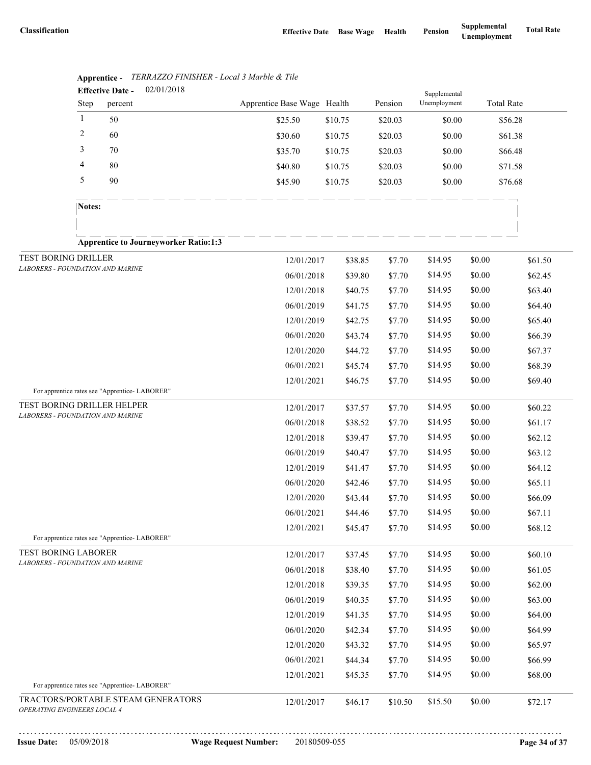|                                  |                | 02/01/2018<br><b>Effective Date -</b>         |                             |                    |                  | Supplemental       |                   |                    |
|----------------------------------|----------------|-----------------------------------------------|-----------------------------|--------------------|------------------|--------------------|-------------------|--------------------|
|                                  | Step           | percent                                       | Apprentice Base Wage Health |                    | Pension          | Unemployment       | <b>Total Rate</b> |                    |
|                                  | $\mathbf{1}$   | 50                                            | \$25.50                     | \$10.75            | \$20.03          | \$0.00             | \$56.28           |                    |
|                                  | $\overline{2}$ | 60                                            | \$30.60                     | \$10.75            | \$20.03          | \$0.00             | \$61.38           |                    |
|                                  | $\mathfrak{Z}$ | 70                                            | \$35.70                     | \$10.75            | \$20.03          | \$0.00             | \$66.48           |                    |
|                                  | $\overline{4}$ | 80                                            | \$40.80                     | \$10.75            | \$20.03          | \$0.00             | \$71.58           |                    |
|                                  | $\sqrt{5}$     | 90                                            | \$45.90                     | \$10.75            | \$20.03          | \$0.00             | \$76.68           |                    |
|                                  | Notes:         |                                               |                             |                    |                  |                    |                   |                    |
|                                  |                | <b>Apprentice to Journeyworker Ratio:1:3</b>  |                             |                    |                  |                    |                   |                    |
| TEST BORING DRILLER              |                |                                               | 12/01/2017                  | \$38.85            | \$7.70           | \$14.95            | \$0.00            | \$61.50            |
| LABORERS - FOUNDATION AND MARINE |                |                                               | 06/01/2018                  | \$39.80            | \$7.70           | \$14.95            | \$0.00            | \$62.45            |
|                                  |                |                                               | 12/01/2018                  | \$40.75            | \$7.70           | \$14.95            | \$0.00            | \$63.40            |
|                                  |                |                                               | 06/01/2019                  | \$41.75            | \$7.70           | \$14.95            | \$0.00            | \$64.40            |
|                                  |                |                                               | 12/01/2019                  | \$42.75            | \$7.70           | \$14.95            | \$0.00            | \$65.40            |
|                                  |                |                                               | 06/01/2020                  | \$43.74            | \$7.70           | \$14.95            | \$0.00            | \$66.39            |
|                                  |                |                                               | 12/01/2020                  | \$44.72            | \$7.70           | \$14.95            | \$0.00            | \$67.37            |
|                                  |                |                                               | 06/01/2021                  | \$45.74            | \$7.70           | \$14.95            | \$0.00            | \$68.39            |
|                                  |                |                                               | 12/01/2021                  | \$46.75            | \$7.70           | \$14.95            | \$0.00            | \$69.40            |
| TEST BORING DRILLER HELPER       |                | For apprentice rates see "Apprentice-LABORER" |                             |                    |                  |                    |                   |                    |
| LABORERS - FOUNDATION AND MARINE |                |                                               | 12/01/2017                  | \$37.57            | \$7.70           | \$14.95            | \$0.00            | \$60.22            |
|                                  |                |                                               | 06/01/2018                  | \$38.52            | \$7.70           | \$14.95            | \$0.00            | \$61.17            |
|                                  |                |                                               | 12/01/2018                  | \$39.47            | \$7.70           | \$14.95            | \$0.00            | \$62.12            |
|                                  |                |                                               | 06/01/2019                  | \$40.47            | \$7.70           | \$14.95            | \$0.00            | \$63.12            |
|                                  |                |                                               | 12/01/2019                  | \$41.47            | \$7.70           | \$14.95            | \$0.00            | \$64.12            |
|                                  |                |                                               | 06/01/2020                  | \$42.46            | \$7.70           | \$14.95<br>\$14.95 | \$0.00<br>\$0.00  | \$65.11            |
|                                  |                |                                               | 12/01/2020<br>06/01/2021    | \$43.44<br>\$44.46 | \$7.70<br>\$7.70 | \$14.95            | \$0.00            | \$66.09<br>\$67.11 |
|                                  |                |                                               | 12/01/2021                  | \$45.47            |                  | \$14.95            | \$0.00            | \$68.12            |
|                                  |                | For apprentice rates see "Apprentice-LABORER" |                             |                    | \$7.70           |                    |                   |                    |
| TEST BORING LABORER              |                |                                               | 12/01/2017                  | \$37.45            | \$7.70           | \$14.95            | \$0.00            | \$60.10            |
| LABORERS - FOUNDATION AND MARINE |                |                                               | 06/01/2018                  | \$38.40            | \$7.70           | \$14.95            | \$0.00            | \$61.05            |
|                                  |                |                                               | 12/01/2018                  | \$39.35            | \$7.70           | \$14.95            | \$0.00            | \$62.00            |
|                                  |                |                                               | 06/01/2019                  | \$40.35            | \$7.70           | \$14.95            | \$0.00            | \$63.00            |
|                                  |                |                                               | 12/01/2019                  | \$41.35            | \$7.70           | \$14.95            | \$0.00            | \$64.00            |
|                                  |                |                                               | 06/01/2020                  | \$42.34            | \$7.70           | \$14.95            | \$0.00            | \$64.99            |
|                                  |                |                                               | 12/01/2020                  | \$43.32            | \$7.70           | \$14.95            | \$0.00            | \$65.97            |
|                                  |                |                                               | 06/01/2021                  | \$44.34            | \$7.70           | \$14.95            | \$0.00            | \$66.99            |
|                                  |                | For apprentice rates see "Apprentice-LABORER" | 12/01/2021                  | \$45.35            | \$7.70           | \$14.95            | \$0.00            | \$68.00            |
|                                  |                | TRACTORS/PORTABLE STEAM GENERATORS            | 12/01/2017                  | \$46.17            | \$10.50          | \$15.50            | \$0.00            | \$72.17            |
| OPERATING ENGINEERS LOCAL 4      |                |                                               |                             |                    |                  |                    |                   |                    |

|  | <b>Apprentice -</b> TERRAZZO FINISHER - Local 3 Marble & Tile |  |
|--|---------------------------------------------------------------|--|
|--|---------------------------------------------------------------|--|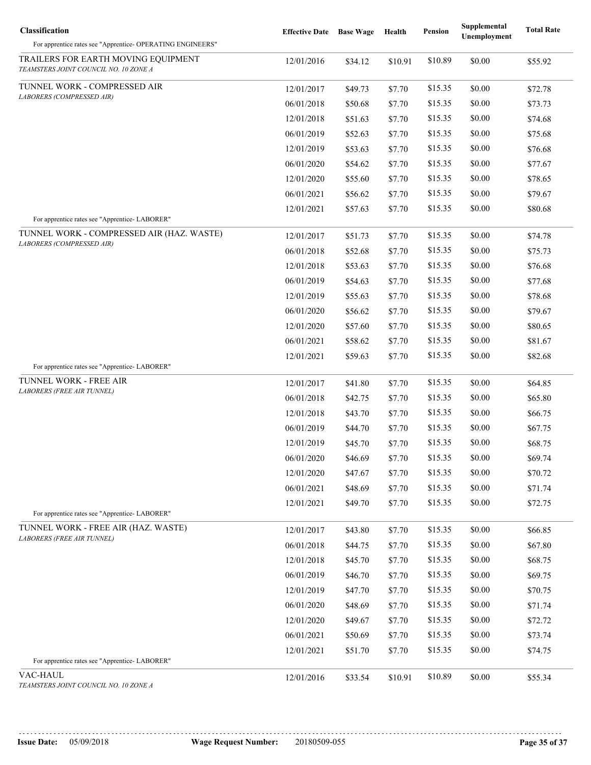| Classification                                                                             | <b>Effective Date</b> Base Wage |         | Health  | <b>Pension</b> | Supplemental<br>Unemployment | <b>Total Rate</b> |
|--------------------------------------------------------------------------------------------|---------------------------------|---------|---------|----------------|------------------------------|-------------------|
| For apprentice rates see "Apprentice- OPERATING ENGINEERS"                                 |                                 |         |         |                |                              |                   |
| TRAILERS FOR EARTH MOVING EQUIPMENT<br>TEAMSTERS JOINT COUNCIL NO. 10 ZONE A               | 12/01/2016                      | \$34.12 | \$10.91 | \$10.89        | \$0.00                       | \$55.92           |
| TUNNEL WORK - COMPRESSED AIR                                                               | 12/01/2017                      | \$49.73 | \$7.70  | \$15.35        | \$0.00                       | \$72.78           |
| LABORERS (COMPRESSED AIR)                                                                  | 06/01/2018                      | \$50.68 | \$7.70  | \$15.35        | \$0.00                       | \$73.73           |
|                                                                                            | 12/01/2018                      | \$51.63 | \$7.70  | \$15.35        | \$0.00                       | \$74.68           |
|                                                                                            | 06/01/2019                      | \$52.63 | \$7.70  | \$15.35        | \$0.00                       | \$75.68           |
|                                                                                            | 12/01/2019                      | \$53.63 | \$7.70  | \$15.35        | \$0.00                       | \$76.68           |
|                                                                                            | 06/01/2020                      | \$54.62 | \$7.70  | \$15.35        | \$0.00                       | \$77.67           |
|                                                                                            | 12/01/2020                      | \$55.60 | \$7.70  | \$15.35        | \$0.00                       | \$78.65           |
|                                                                                            | 06/01/2021                      | \$56.62 | \$7.70  | \$15.35        | \$0.00                       | \$79.67           |
|                                                                                            | 12/01/2021                      | \$57.63 | \$7.70  | \$15.35        | \$0.00                       | \$80.68           |
| For apprentice rates see "Apprentice-LABORER"<br>TUNNEL WORK - COMPRESSED AIR (HAZ. WASTE) |                                 |         |         |                |                              |                   |
| LABORERS (COMPRESSED AIR)                                                                  | 12/01/2017                      | \$51.73 | \$7.70  | \$15.35        | \$0.00                       | \$74.78           |
|                                                                                            | 06/01/2018                      | \$52.68 | \$7.70  | \$15.35        | \$0.00                       | \$75.73           |
|                                                                                            | 12/01/2018                      | \$53.63 | \$7.70  | \$15.35        | \$0.00                       | \$76.68           |
|                                                                                            | 06/01/2019                      | \$54.63 | \$7.70  | \$15.35        | \$0.00                       | \$77.68           |
|                                                                                            | 12/01/2019                      | \$55.63 | \$7.70  | \$15.35        | \$0.00                       | \$78.68           |
|                                                                                            | 06/01/2020                      | \$56.62 | \$7.70  | \$15.35        | \$0.00                       | \$79.67           |
|                                                                                            | 12/01/2020                      | \$57.60 | \$7.70  | \$15.35        | \$0.00                       | \$80.65           |
|                                                                                            | 06/01/2021                      | \$58.62 | \$7.70  | \$15.35        | \$0.00                       | \$81.67           |
| For apprentice rates see "Apprentice-LABORER"                                              | 12/01/2021                      | \$59.63 | \$7.70  | \$15.35        | \$0.00                       | \$82.68           |
| TUNNEL WORK - FREE AIR                                                                     | 12/01/2017                      | \$41.80 | \$7.70  | \$15.35        | \$0.00                       | \$64.85           |
| <b>LABORERS (FREE AIR TUNNEL)</b>                                                          | 06/01/2018                      | \$42.75 | \$7.70  | \$15.35        | \$0.00                       | \$65.80           |
|                                                                                            | 12/01/2018                      | \$43.70 | \$7.70  | \$15.35        | \$0.00                       | \$66.75           |
|                                                                                            | 06/01/2019                      | \$44.70 | \$7.70  | \$15.35        | \$0.00                       | \$67.75           |
|                                                                                            | 12/01/2019                      | \$45.70 | \$7.70  | \$15.35        | \$0.00                       | \$68.75           |
|                                                                                            | 06/01/2020                      | \$46.69 | \$7.70  | \$15.35        | \$0.00                       | \$69.74           |
|                                                                                            | 12/01/2020                      | \$47.67 | \$7.70  | \$15.35        | \$0.00                       | \$70.72           |
|                                                                                            | 06/01/2021                      | \$48.69 | \$7.70  | \$15.35        | \$0.00                       | \$71.74           |
|                                                                                            | 12/01/2021                      | \$49.70 | \$7.70  | \$15.35        | \$0.00                       | \$72.75           |
| For apprentice rates see "Apprentice-LABORER"                                              |                                 |         |         |                |                              |                   |
| TUNNEL WORK - FREE AIR (HAZ. WASTE)<br>LABORERS (FREE AIR TUNNEL)                          | 12/01/2017                      | \$43.80 | \$7.70  | \$15.35        | \$0.00                       | \$66.85           |
|                                                                                            | 06/01/2018                      | \$44.75 | \$7.70  | \$15.35        | \$0.00                       | \$67.80           |
|                                                                                            | 12/01/2018                      | \$45.70 | \$7.70  | \$15.35        | \$0.00                       | \$68.75           |
|                                                                                            | 06/01/2019                      | \$46.70 | \$7.70  | \$15.35        | \$0.00                       | \$69.75           |
|                                                                                            | 12/01/2019                      | \$47.70 | \$7.70  | \$15.35        | \$0.00                       | \$70.75           |
|                                                                                            | 06/01/2020                      | \$48.69 | \$7.70  | \$15.35        | \$0.00                       | \$71.74           |
|                                                                                            | 12/01/2020                      | \$49.67 | \$7.70  | \$15.35        | \$0.00                       | \$72.72           |
|                                                                                            | 06/01/2021                      | \$50.69 | \$7.70  | \$15.35        | \$0.00                       | \$73.74           |
|                                                                                            | 12/01/2021                      | \$51.70 | \$7.70  | \$15.35        | \$0.00                       | \$74.75           |
| For apprentice rates see "Apprentice-LABORER"                                              |                                 |         |         |                |                              |                   |
| VAC-HAUL<br>TEAMSTERS JOINT COUNCIL NO. 10 ZONE A                                          | 12/01/2016                      | \$33.54 | \$10.91 | \$10.89        | \$0.00                       | \$55.34           |
|                                                                                            |                                 |         |         |                |                              |                   |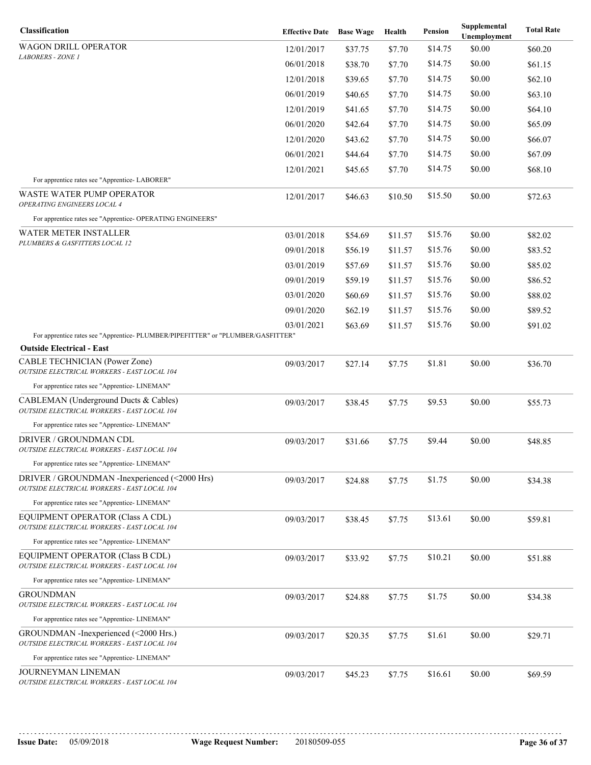| Classification                                                                                | <b>Effective Date</b> | <b>Base Wage</b> | Health  | Pension | Supplemental<br>Unemployment | <b>Total Rate</b> |
|-----------------------------------------------------------------------------------------------|-----------------------|------------------|---------|---------|------------------------------|-------------------|
| WAGON DRILL OPERATOR                                                                          | 12/01/2017            | \$37.75          | \$7.70  | \$14.75 | \$0.00                       | \$60.20           |
| <b>LABORERS - ZONE 1</b>                                                                      | 06/01/2018            | \$38.70          | \$7.70  | \$14.75 | \$0.00                       | \$61.15           |
|                                                                                               | 12/01/2018            | \$39.65          | \$7.70  | \$14.75 | \$0.00                       | \$62.10           |
|                                                                                               | 06/01/2019            | \$40.65          | \$7.70  | \$14.75 | \$0.00                       | \$63.10           |
|                                                                                               | 12/01/2019            | \$41.65          | \$7.70  | \$14.75 | \$0.00                       | \$64.10           |
|                                                                                               | 06/01/2020            | \$42.64          | \$7.70  | \$14.75 | \$0.00                       | \$65.09           |
|                                                                                               | 12/01/2020            | \$43.62          | \$7.70  | \$14.75 | \$0.00                       | \$66.07           |
|                                                                                               | 06/01/2021            | \$44.64          | \$7.70  | \$14.75 | \$0.00                       | \$67.09           |
|                                                                                               | 12/01/2021            | \$45.65          | \$7.70  | \$14.75 | \$0.00                       | \$68.10           |
| For apprentice rates see "Apprentice-LABORER"                                                 |                       |                  |         |         |                              |                   |
| <b>WASTE WATER PUMP OPERATOR</b><br>OPERATING ENGINEERS LOCAL 4                               | 12/01/2017            | \$46.63          | \$10.50 | \$15.50 | \$0.00                       | \$72.63           |
| For apprentice rates see "Apprentice- OPERATING ENGINEERS"                                    |                       |                  |         |         |                              |                   |
| WATER METER INSTALLER                                                                         | 03/01/2018            | \$54.69          | \$11.57 | \$15.76 | \$0.00                       | \$82.02           |
| PLUMBERS & GASFITTERS LOCAL 12                                                                | 09/01/2018            | \$56.19          | \$11.57 | \$15.76 | \$0.00                       | \$83.52           |
|                                                                                               | 03/01/2019            | \$57.69          | \$11.57 | \$15.76 | \$0.00                       | \$85.02           |
|                                                                                               | 09/01/2019            | \$59.19          | \$11.57 | \$15.76 | \$0.00                       | \$86.52           |
|                                                                                               | 03/01/2020            | \$60.69          | \$11.57 | \$15.76 | \$0.00                       | \$88.02           |
|                                                                                               | 09/01/2020            | \$62.19          | \$11.57 | \$15.76 | \$0.00                       | \$89.52           |
|                                                                                               | 03/01/2021            | \$63.69          | \$11.57 | \$15.76 | \$0.00                       | \$91.02           |
| For apprentice rates see "Apprentice-PLUMBER/PIPEFITTER" or "PLUMBER/GASFITTER"               |                       |                  |         |         |                              |                   |
| <b>Outside Electrical - East</b>                                                              |                       |                  |         |         |                              |                   |
| <b>CABLE TECHNICIAN (Power Zone)</b><br>OUTSIDE ELECTRICAL WORKERS - EAST LOCAL 104           | 09/03/2017            | \$27.14          | \$7.75  | \$1.81  | \$0.00                       | \$36.70           |
| For apprentice rates see "Apprentice-LINEMAN"                                                 |                       |                  |         |         |                              |                   |
| CABLEMAN (Underground Ducts & Cables)<br>OUTSIDE ELECTRICAL WORKERS - EAST LOCAL 104          | 09/03/2017            | \$38.45          | \$7.75  | \$9.53  | \$0.00                       | \$55.73           |
| For apprentice rates see "Apprentice-LINEMAN"                                                 |                       |                  |         |         |                              |                   |
| <b>DRIVER / GROUNDMAN CDL</b><br>OUTSIDE ELECTRICAL WORKERS - EAST LOCAL 104                  | 09/03/2017            | \$31.66          | \$7.75  | \$9.44  | \$0.00                       | \$48.85           |
| For apprentice rates see "Apprentice-LINEMAN"                                                 |                       |                  |         |         |                              |                   |
| DRIVER / GROUNDMAN - Inexperienced (<2000 Hrs)<br>OUTSIDE ELECTRICAL WORKERS - EAST LOCAL 104 | 09/03/2017            | \$24.88          | \$7.75  | \$1.75  | \$0.00                       | \$34.38           |
| For apprentice rates see "Apprentice-LINEMAN"                                                 |                       |                  |         |         |                              |                   |
| EQUIPMENT OPERATOR (Class A CDL)<br>OUTSIDE ELECTRICAL WORKERS - EAST LOCAL 104               | 09/03/2017            | \$38.45          | \$7.75  | \$13.61 | \$0.00                       | \$59.81           |
| For apprentice rates see "Apprentice-LINEMAN"                                                 |                       |                  |         |         |                              |                   |
| EQUIPMENT OPERATOR (Class B CDL)<br>OUTSIDE ELECTRICAL WORKERS - EAST LOCAL 104               | 09/03/2017            | \$33.92          | \$7.75  | \$10.21 | \$0.00                       | \$51.88           |
| For apprentice rates see "Apprentice-LINEMAN"                                                 |                       |                  |         |         |                              |                   |
| <b>GROUNDMAN</b><br>OUTSIDE ELECTRICAL WORKERS - EAST LOCAL 104                               | 09/03/2017            | \$24.88          | \$7.75  | \$1.75  | \$0.00                       | \$34.38           |
| For apprentice rates see "Apprentice-LINEMAN"                                                 |                       |                  |         |         |                              |                   |
| GROUNDMAN - Inexperienced (<2000 Hrs.)<br>OUTSIDE ELECTRICAL WORKERS - EAST LOCAL 104         | 09/03/2017            | \$20.35          | \$7.75  | \$1.61  | \$0.00                       | \$29.71           |
| For apprentice rates see "Apprentice- LINEMAN"                                                |                       |                  |         |         |                              |                   |
| JOURNEYMAN LINEMAN<br>OUTSIDE ELECTRICAL WORKERS - EAST LOCAL 104                             | 09/03/2017            | \$45.23          | \$7.75  | \$16.61 | \$0.00                       | \$69.59           |
|                                                                                               |                       |                  |         |         |                              |                   |